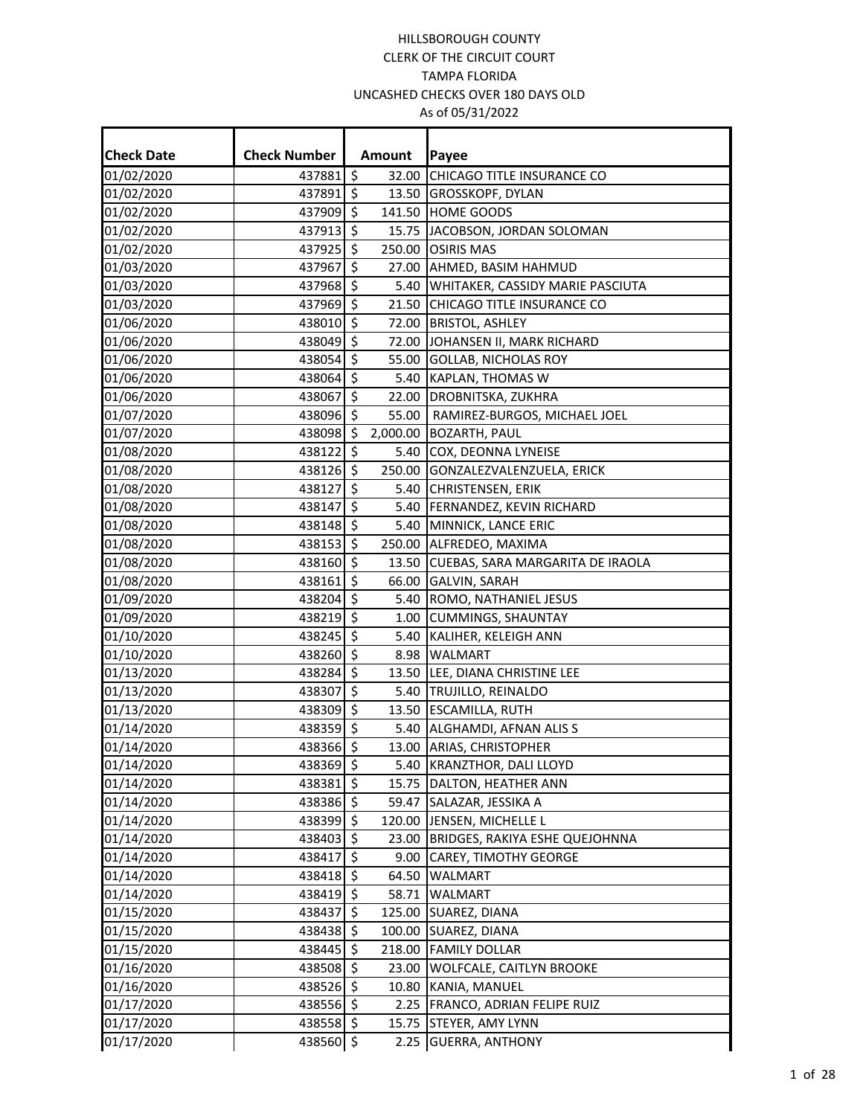| <b>Check Date</b> | <b>Check Number</b> |                          | <b>Amount</b> | Payee                                 |
|-------------------|---------------------|--------------------------|---------------|---------------------------------------|
| 01/02/2020        | 437881 \$           |                          | 32.00         | CHICAGO TITLE INSURANCE CO            |
| 01/02/2020        | 437891 \$           |                          | 13.50         | GROSSKOPF, DYLAN                      |
| 01/02/2020        | 437909              | $\zeta$                  | 141.50        | <b>HOME GOODS</b>                     |
| 01/02/2020        | 437913 \$           |                          | 15.75         | JACOBSON, JORDAN SOLOMAN              |
| 01/02/2020        | 437925 \$           |                          | 250.00        | <b>OSIRIS MAS</b>                     |
| 01/03/2020        | 437967              | $\overline{\mathcal{S}}$ | 27.00         | AHMED, BASIM HAHMUD                   |
| 01/03/2020        | 437968 \$           |                          | 5.40          | WHITAKER, CASSIDY MARIE PASCIUTA      |
| 01/03/2020        | 437969 \$           |                          | 21.50         | CHICAGO TITLE INSURANCE CO            |
| 01/06/2020        | 438010 \$           |                          | 72.00         | <b>BRISTOL, ASHLEY</b>                |
| 01/06/2020        | 438049 \$           |                          | 72.00         | JOHANSEN II, MARK RICHARD             |
| 01/06/2020        | 438054 \$           |                          | 55.00         | <b>GOLLAB, NICHOLAS ROY</b>           |
| 01/06/2020        | 438064 \$           |                          | 5.40          | KAPLAN, THOMAS W                      |
| 01/06/2020        | 438067 \$           |                          | 22.00         | DROBNITSKA, ZUKHRA                    |
| 01/07/2020        | 438096              | \$                       | 55.00         | RAMIREZ-BURGOS, MICHAEL JOEL          |
| 01/07/2020        | 438098 \$           |                          | 2,000.00      |                                       |
|                   | 438122 \$           |                          | 5.40          | <b>BOZARTH, PAUL</b>                  |
| 01/08/2020        | 438126 \$           |                          |               | COX, DEONNA LYNEISE                   |
| 01/08/2020        |                     | $\zeta$                  | 250.00        | GONZALEZVALENZUELA, ERICK             |
| 01/08/2020        | 438127              |                          | 5.40          | <b>CHRISTENSEN, ERIK</b>              |
| 01/08/2020        | 438147              | \$                       | 5.40          | FERNANDEZ, KEVIN RICHARD              |
| 01/08/2020        | 438148 \$           |                          |               | 5.40 MINNICK, LANCE ERIC              |
| 01/08/2020        | 438153 \$           |                          |               | 250.00 ALFREDEO, MAXIMA               |
| 01/08/2020        | 438160 \$           |                          | 13.50         | CUEBAS, SARA MARGARITA DE IRAOLA      |
| 01/08/2020        | 4381615             |                          | 66.00         | <b>GALVIN, SARAH</b>                  |
| 01/09/2020        | 438204 \$           |                          | 5.40          | ROMO, NATHANIEL JESUS                 |
| 01/09/2020        | 438219 \$           |                          | 1.00          | <b>CUMMINGS, SHAUNTAY</b>             |
| 01/10/2020        | 438245 \$           |                          | 5.40          | KALIHER, KELEIGH ANN                  |
| 01/10/2020        | 438260 \$           |                          | 8.98          | <b>WALMART</b>                        |
| 01/13/2020        | 438284              | $\zeta$                  | 13.50         | LEE, DIANA CHRISTINE LEE              |
| 01/13/2020        | 438307              | $\zeta$                  |               | 5.40 TRUJILLO, REINALDO               |
| 01/13/2020        | 438309 \$           |                          | 13.50         | <b>ESCAMILLA, RUTH</b>                |
| 01/14/2020        | 438359 \$           |                          | 5.40          | ALGHAMDI, AFNAN ALIS S                |
| 01/14/2020        | 438366 \$           |                          |               | 13.00 ARIAS, CHRISTOPHER              |
| 01/14/2020        | 438369 \$           |                          |               | 5.40 KRANZTHOR, DALI LLOYD            |
| 01/14/2020        | 438381 \$           |                          |               | 15.75 DALTON, HEATHER ANN             |
| 01/14/2020        | 438386 \$           |                          |               | 59.47 SALAZAR, JESSIKA A              |
| 01/14/2020        | 438399 \$           |                          |               | 120.00 JENSEN, MICHELLE L             |
| 01/14/2020        | 438403 \$           |                          | 23.00         | <b>BRIDGES, RAKIYA ESHE QUEJOHNNA</b> |
| 01/14/2020        | 438417 \$           |                          | 9.00          | CAREY, TIMOTHY GEORGE                 |
| 01/14/2020        | 438418 \$           |                          | 64.50         | <b>WALMART</b>                        |
| 01/14/2020        | 438419 \$           |                          | 58.71         | WALMART                               |
| 01/15/2020        | 438437 \$           |                          | 125.00        | SUAREZ, DIANA                         |
| 01/15/2020        | 438438 \$           |                          |               | 100.00 SUAREZ, DIANA                  |
| 01/15/2020        | 438445 \$           |                          | 218.00        | <b>FAMILY DOLLAR</b>                  |
| 01/16/2020        | 438508 \$           |                          | 23.00         | WOLFCALE, CAITLYN BROOKE              |
| 01/16/2020        | 438526 \$           |                          |               | 10.80 KANIA, MANUEL                   |
| 01/17/2020        | 438556 \$           |                          |               | 2.25 FRANCO, ADRIAN FELIPE RUIZ       |
| 01/17/2020        | 438558 \$           |                          | 15.75         | STEYER, AMY LYNN                      |
| 01/17/2020        | 438560 \$           |                          | 2.25          | <b>GUERRA, ANTHONY</b>                |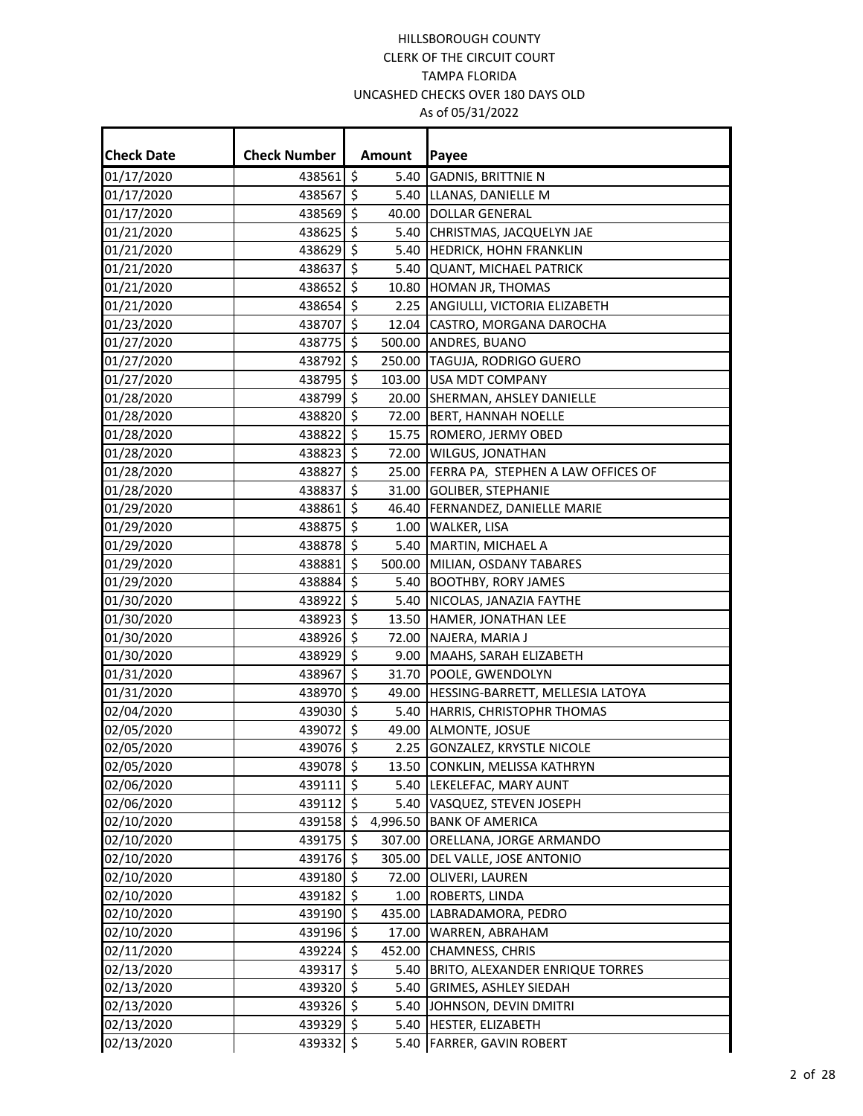Ŧ.

÷

| <b>Check Date</b> | <b>Check Number</b> |    | Amount | Payee                                    |
|-------------------|---------------------|----|--------|------------------------------------------|
| 01/17/2020        | 438561 \$           |    |        | 5.40 GADNIS, BRITTNIE N                  |
| 01/17/2020        | 438567 \$           |    |        | 5.40 LLANAS, DANIELLE M                  |
| 01/17/2020        | 438569 \$           |    |        | 40.00 DOLLAR GENERAL                     |
| 01/21/2020        | 438625 \$           |    |        | 5.40 CHRISTMAS, JACQUELYN JAE            |
| 01/21/2020        | 438629 \$           |    |        | 5.40 HEDRICK, HOHN FRANKLIN              |
| 01/21/2020        | 438637 \$           |    |        | 5.40 QUANT, MICHAEL PATRICK              |
| 01/21/2020        | 438652 \$           |    |        | 10.80 HOMAN JR, THOMAS                   |
| 01/21/2020        | 438654 \$           |    |        | 2.25 ANGIULLI, VICTORIA ELIZABETH        |
| 01/23/2020        | 438707 \$           |    |        | 12.04 CASTRO, MORGANA DAROCHA            |
| 01/27/2020        | 438775 \$           |    |        | 500.00 ANDRES, BUANO                     |
| 01/27/2020        | 438792 \$           |    |        | 250.00 TAGUJA, RODRIGO GUERO             |
| 01/27/2020        | 438795 \$           |    |        | 103.00 USA MDT COMPANY                   |
| 01/28/2020        | 438799 \$           |    |        | 20.00 SHERMAN, AHSLEY DANIELLE           |
| 01/28/2020        | 438820 \$           |    |        | 72.00 BERT, HANNAH NOELLE                |
| 01/28/2020        | 438822 \$           |    |        | 15.75 ROMERO, JERMY OBED                 |
| 01/28/2020        | 438823              | \$ |        | 72.00 WILGUS, JONATHAN                   |
| 01/28/2020        | 438827              | \$ |        | 25.00 FERRA PA, STEPHEN A LAW OFFICES OF |
| 01/28/2020        | 438837              | \$ |        | 31.00 GOLIBER, STEPHANIE                 |
| 01/29/2020        | 438861              | \$ |        | 46.40 FERNANDEZ, DANIELLE MARIE          |
| 01/29/2020        | 438875 \$           |    |        | 1.00 WALKER, LISA                        |
| 01/29/2020        | 438878 \$           |    |        | 5.40 MARTIN, MICHAEL A                   |
| 01/29/2020        | 438881              | \$ |        | 500.00 MILIAN, OSDANY TABARES            |
| 01/29/2020        | 438884 \$           |    |        | 5.40 BOOTHBY, RORY JAMES                 |
| 01/30/2020        | 438922 \$           |    |        | 5.40 NICOLAS, JANAZIA FAYTHE             |
| 01/30/2020        | 438923 \$           |    |        | 13.50 HAMER, JONATHAN LEE                |
| 01/30/2020        | 438926 \$           |    |        | 72.00 NAJERA, MARIA J                    |
| 01/30/2020        | 438929 \$           |    |        | 9.00 MAAHS, SARAH ELIZABETH              |
| 01/31/2020        | 438967              | 5  |        | 31.70 POOLE, GWENDOLYN                   |
| 01/31/2020        | 438970 \$           |    |        | 49.00   HESSING-BARRETT, MELLESIA LATOYA |
| 02/04/2020        | 439030 \$           |    |        | 5.40 HARRIS, CHRISTOPHR THOMAS           |
| 02/05/2020        | 439072 \$           |    |        | 49.00 ALMONTE, JOSUE                     |
| 02/05/2020        | 439076 \$           |    |        | 2.25 GONZALEZ, KRYSTLE NICOLE            |
| 02/05/2020        | 439078 \$           |    |        | 13.50 CONKLIN, MELISSA KATHRYN           |
| 02/06/2020        | 439111 \$           |    |        | 5.40   LEKELEFAC, MARY AUNT              |
| 02/06/2020        | 439112 \$           |    |        | 5.40 VASQUEZ, STEVEN JOSEPH              |
| 02/10/2020        | 439158 \$           |    |        | 4,996.50 BANK OF AMERICA                 |
| 02/10/2020        | 439175 \$           |    |        | 307.00 ORELLANA, JORGE ARMANDO           |
| 02/10/2020        | 439176 \$           |    | 305.00 | DEL VALLE, JOSE ANTONIO                  |
| 02/10/2020        | 439180 \$           |    |        | 72.00 OLIVERI, LAUREN                    |
| 02/10/2020        | 439182 \$           |    |        | 1.00 ROBERTS, LINDA                      |
| 02/10/2020        | 439190 \$           |    |        | 435.00 LABRADAMORA, PEDRO                |
| 02/10/2020        | 439196 \$           |    |        | 17.00 WARREN, ABRAHAM                    |
| 02/11/2020        | 439224 \$           |    |        | 452.00 CHAMNESS, CHRIS                   |
| 02/13/2020        | 439317 \$           |    |        | 5.40 BRITO, ALEXANDER ENRIQUE TORRES     |
| 02/13/2020        | 439320 \$           |    |        | 5.40 GRIMES, ASHLEY SIEDAH               |
| 02/13/2020        | 439326 \$           |    |        | 5.40 JOHNSON, DEVIN DMITRI               |
| 02/13/2020        | 439329 \$           |    |        | 5.40   HESTER, ELIZABETH                 |
| 02/13/2020        | 439332 \$           |    |        | 5.40 FARRER, GAVIN ROBERT                |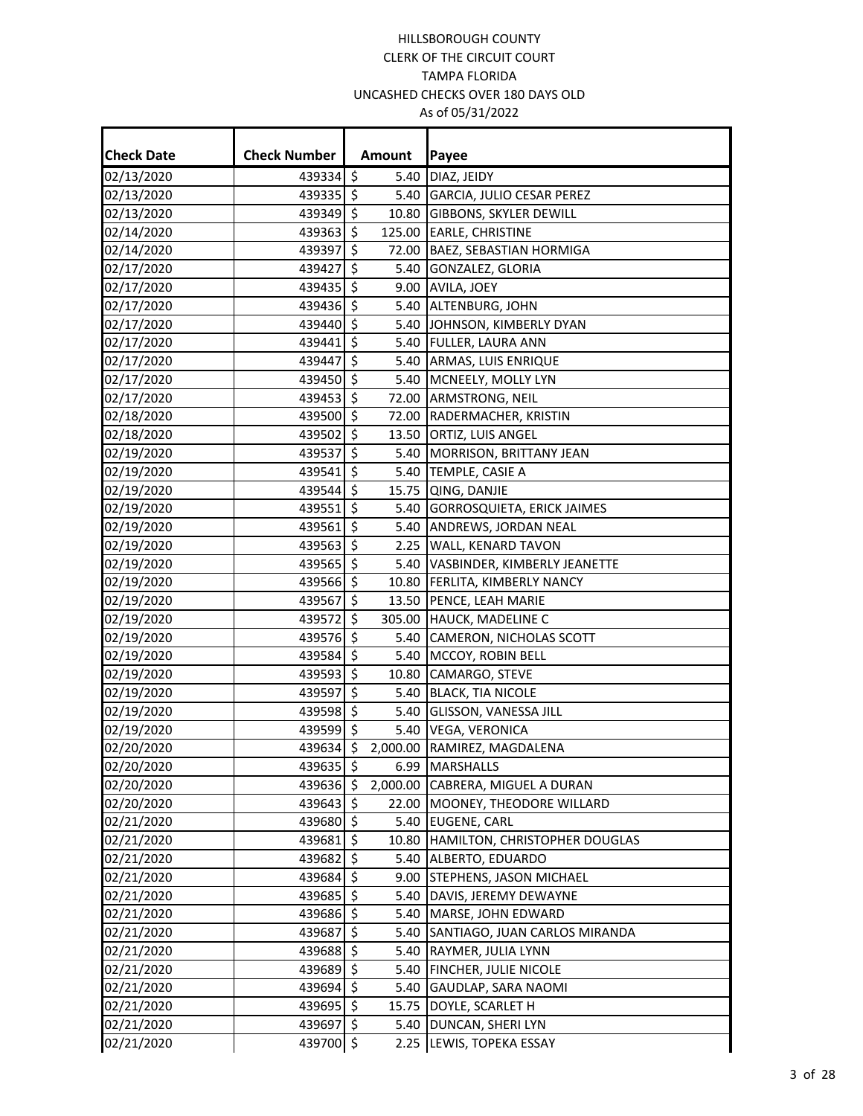| <b>Check Date</b> | <b>Check Number</b> |                     | Amount | Payee                               |
|-------------------|---------------------|---------------------|--------|-------------------------------------|
| 02/13/2020        | 439334 \$           |                     | 5.40   | DIAZ, JEIDY                         |
| 02/13/2020        | 439335 \$           |                     |        | 5.40 GARCIA, JULIO CESAR PEREZ      |
| 02/13/2020        | 439349 \$           |                     | 10.80  | <b>GIBBONS, SKYLER DEWILL</b>       |
| 02/14/2020        | 439363              | $\zeta$             | 125.00 | <b>EARLE, CHRISTINE</b>             |
| 02/14/2020        | 439397              | $\zeta$             | 72.00  | <b>BAEZ, SEBASTIAN HORMIGA</b>      |
| 02/17/2020        | 439427              | $\zeta$             | 5.40   | <b>GONZALEZ, GLORIA</b>             |
| 02/17/2020        | 439435              | $\zeta$             | 9.00   | AVILA, JOEY                         |
| 02/17/2020        | 439436 \$           |                     |        | 5.40 ALTENBURG, JOHN                |
| 02/17/2020        | 439440              | \$                  | 5.40   | JOHNSON, KIMBERLY DYAN              |
| 02/17/2020        | 439441              | $\zeta$             |        | 5.40 FULLER, LAURA ANN              |
| 02/17/2020        | 439447              | $\zeta$             |        | 5.40 ARMAS, LUIS ENRIQUE            |
| 02/17/2020        | 439450 \$           |                     |        | 5.40 MCNEELY, MOLLY LYN             |
| 02/17/2020        | 439453              | \$                  |        | 72.00 ARMSTRONG, NEIL               |
| 02/18/2020        | 439500 \$           |                     |        | 72.00 RADERMACHER, KRISTIN          |
| 02/18/2020        | 439502              | $\zeta$             | 13.50  | <b>ORTIZ, LUIS ANGEL</b>            |
| 02/19/2020        | 439537              | $\zeta$             | 5.40   | MORRISON, BRITTANY JEAN             |
| 02/19/2020        | 439541              | $\zeta$             | 5.40   | TEMPLE, CASIE A                     |
| 02/19/2020        | 439544              | \$                  | 15.75  | QING, DANJIE                        |
| 02/19/2020        | 439551 \$           |                     | 5.40   | <b>GORROSQUIETA, ERICK JAIMES</b>   |
| 02/19/2020        | 439561              | $\zeta$             | 5.40   | ANDREWS, JORDAN NEAL                |
| 02/19/2020        | 439563              | $\zeta$             | 2.25   | <b>WALL, KENARD TAVON</b>           |
| 02/19/2020        | 439565 \$           |                     |        | 5.40 VASBINDER, KIMBERLY JEANETTE   |
| 02/19/2020        | 439566 \$           |                     |        | 10.80 FERLITA, KIMBERLY NANCY       |
| 02/19/2020        | 439567              | \$                  |        | 13.50 PENCE, LEAH MARIE             |
| 02/19/2020        | 439572 \$           |                     |        | 305.00 HAUCK, MADELINE C            |
| 02/19/2020        | 439576              | $\zeta$             | 5.40   | CAMERON, NICHOLAS SCOTT             |
| 02/19/2020        | 439584              | $\zeta$             | 5.40   | MCCOY, ROBIN BELL                   |
| 02/19/2020        | 439593 \$           |                     | 10.80  | CAMARGO, STEVE                      |
| 02/19/2020        | 439597              | $\zeta$             | 5.40   | <b>BLACK, TIA NICOLE</b>            |
| 02/19/2020        | 439598 \$           |                     | 5.40   | <b>GLISSON, VANESSA JILL</b>        |
| 02/19/2020        | 439599 \$           |                     |        | 5.40 VEGA, VERONICA                 |
| 02/20/2020        | 439634 \$           |                     |        | 2,000.00 RAMIREZ, MAGDALENA         |
| 02/20/2020        | 439635 \$           |                     |        | 6.99 MARSHALLS                      |
| 02/20/2020        | 439636 \$           |                     |        | 2,000.00 CABRERA, MIGUEL A DURAN    |
| 02/20/2020        | 439643 \$           |                     | 22.00  | MOONEY, THEODORE WILLARD            |
| 02/21/2020        | 439680 \$           |                     |        | 5.40 EUGENE, CARL                   |
| 02/21/2020        | 439681              | $\ddot{\mathsf{S}}$ |        | 10.80 HAMILTON, CHRISTOPHER DOUGLAS |
| 02/21/2020        | 439682              | $\zeta$             | 5.40   | ALBERTO, EDUARDO                    |
| 02/21/2020        | 439684 \$           |                     | 9.00   | STEPHENS, JASON MICHAEL             |
| 02/21/2020        | 439685              | \$                  |        | 5.40  DAVIS, JEREMY DEWAYNE         |
| 02/21/2020        | 439686 \$           |                     |        | 5.40   MARSE, JOHN EDWARD           |
| 02/21/2020        | 439687              | $\ddot{\mathsf{S}}$ | 5.40   | SANTIAGO, JUAN CARLOS MIRANDA       |
| 02/21/2020        | 439688              | $\zeta$             | 5.40   | RAYMER, JULIA LYNN                  |
| 02/21/2020        | 439689 \$           |                     | 5.40   | <b>FINCHER, JULIE NICOLE</b>        |
| 02/21/2020        | 439694 \$           |                     |        | 5.40 GAUDLAP, SARA NAOMI            |
| 02/21/2020        | 439695              | \$                  | 15.75  | DOYLE, SCARLET H                    |
| 02/21/2020        | 439697 \$           |                     | 5.40   | DUNCAN, SHERI LYN                   |
| 02/21/2020        | 439700 \$           |                     |        | 2.25 LEWIS, TOPEKA ESSAY            |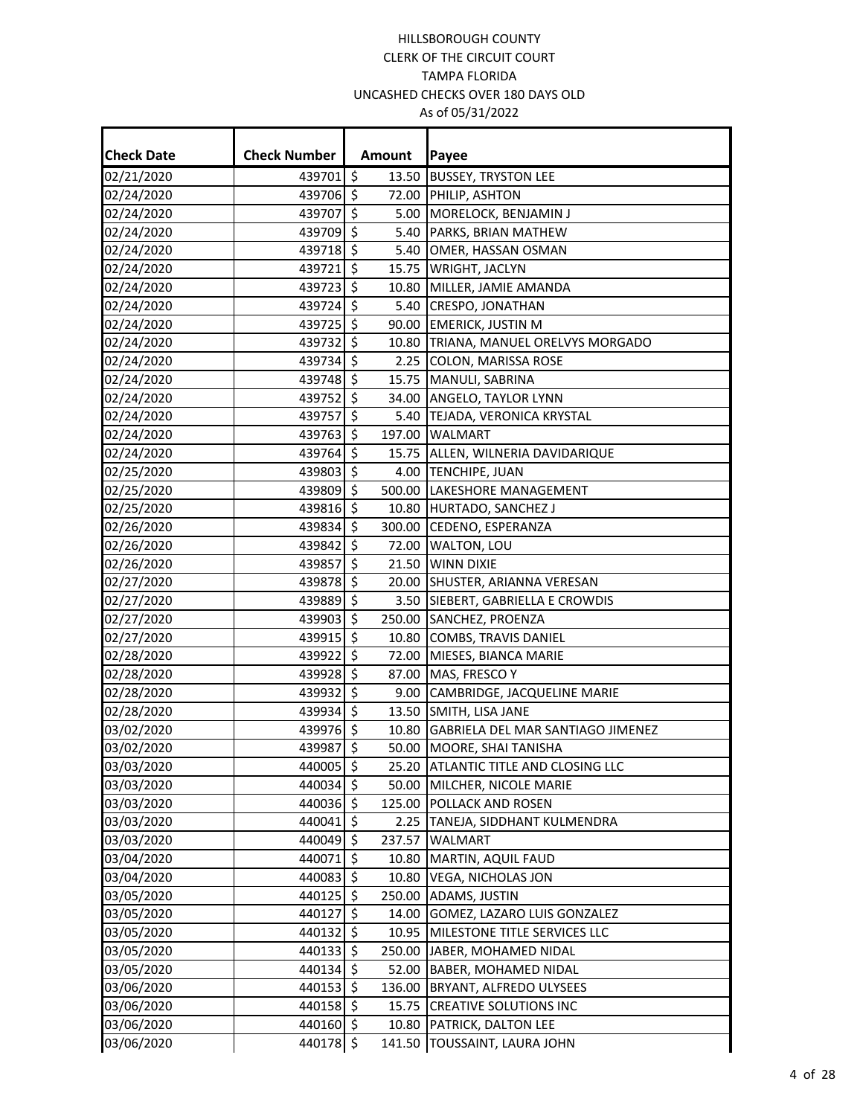| <b>Check Date</b>        | <b>Check Number</b>      |    | Amount         | Payee                                               |
|--------------------------|--------------------------|----|----------------|-----------------------------------------------------|
| 02/21/2020               | 439701 \$                |    | 13.50          | <b>BUSSEY, TRYSTON LEE</b>                          |
| 02/24/2020               | 439706 \$                |    |                | 72.00 PHILIP, ASHTON                                |
| 02/24/2020               | 439707                   | \$ |                | 5.00 MORELOCK, BENJAMIN J                           |
| 02/24/2020               | 439709 \$                |    |                | 5.40 PARKS, BRIAN MATHEW                            |
| 02/24/2020               | 439718                   | \$ | 5.40           | OMER, HASSAN OSMAN                                  |
| 02/24/2020               | 439721 \$                |    | 15.75          | <b>WRIGHT, JACLYN</b>                               |
|                          | 439723                   | \$ |                | 10.80 MILLER, JAMIE AMANDA                          |
| 02/24/2020<br>02/24/2020 | 439724 \$                |    |                | 5.40 CRESPO, JONATHAN                               |
| 02/24/2020               | 439725 \$                |    |                | 90.00 EMERICK, JUSTIN M                             |
| 02/24/2020               | 439732 \$                |    | 10.80          | TRIANA, MANUEL ORELVYS MORGADO                      |
| 02/24/2020               | 439734                   | \$ | 2.25           |                                                     |
| 02/24/2020               | 439748 \$                |    |                | <b>COLON, MARISSA ROSE</b><br>15.75 MANULI, SABRINA |
|                          |                          | \$ |                | 34.00 ANGELO, TAYLOR LYNN                           |
| 02/24/2020<br>02/24/2020 | 439752                   | Ŝ. |                |                                                     |
| 02/24/2020               | 439757<br>439763 \$      |    | 5.40<br>197.00 | TEJADA, VERONICA KRYSTAL                            |
| 02/24/2020               | 439764                   | \$ |                | <b>WALMART</b>                                      |
|                          | 439803 \$                |    |                | 15.75 ALLEN, WILNERIA DAVIDARIQUE                   |
| 02/25/2020               | 439809 \$                |    |                | 4.00 TENCHIPE, JUAN<br>500.00 LAKESHORE MANAGEMENT  |
| 02/25/2020               | 439816                   | \$ |                |                                                     |
| 02/25/2020               | 439834 \$                |    |                | 10.80 HURTADO, SANCHEZ J                            |
| 02/26/2020               | 439842 \$                |    | 300.00         | CEDENO, ESPERANZA                                   |
| 02/26/2020               |                          | \$ | 72.00          | WALTON, LOU                                         |
| 02/26/2020               | 439857<br>439878 \$      |    | 21.50          | <b>WINN DIXIE</b>                                   |
| 02/27/2020               |                          |    |                | 20.00 SHUSTER, ARIANNA VERESAN                      |
| 02/27/2020               | 439889 \$                |    |                | 3.50 SIEBERT, GABRIELLA E CROWDIS                   |
| 02/27/2020               | 439903 \$                |    |                | 250.00 SANCHEZ, PROENZA                             |
| 02/27/2020               | 439915 \$                | \$ |                | 10.80 COMBS, TRAVIS DANIEL                          |
| 02/28/2020               | 439922<br>439928 \$      |    | 72.00          | MIESES, BIANCA MARIE                                |
| 02/28/2020               | 439932 \$                |    |                | 87.00 MAS, FRESCO Y                                 |
| 02/28/2020               |                          |    |                | 9.00 CAMBRIDGE, JACQUELINE MARIE                    |
| 02/28/2020               | 439934                   | \$ |                | 13.50 SMITH, LISA JANE                              |
| 03/02/2020               | 439976 \$                |    |                | 10.80 GABRIELA DEL MAR SANTIAGO JIMENEZ             |
| 03/02/2020<br>03/03/2020 | 439987 \$<br>$440005$ \$ |    |                | 50.00 MOORE, SHAI TANISHA                           |
|                          | 440034 \$                |    |                | 25.20 ATLANTIC TITLE AND CLOSING LLC                |
| 03/03/2020               |                          |    |                | 50.00 MILCHER, NICOLE MARIE                         |
| 03/03/2020               | 440036 \$                |    |                | 125.00 POLLACK AND ROSEN                            |
| 03/03/2020               | 440041                   | \$ |                | 2.25 TANEJA, SIDDHANT KULMENDRA                     |
| 03/03/2020               | 440049 \$<br>440071 \$   |    | 237.57         | <b>WALMART</b>                                      |
| 03/04/2020               |                          |    | 10.80          | MARTIN, AQUIL FAUD                                  |
| 03/04/2020               | 440083 \$                |    | 10.80          | <b>VEGA, NICHOLAS JON</b>                           |
| 03/05/2020               | 440125 \$                |    | 250.00         | <b>ADAMS, JUSTIN</b>                                |
| 03/05/2020               | 440127                   | \$ | 14.00          | GOMEZ, LAZARO LUIS GONZALEZ                         |
| 03/05/2020               | 440132 \$                |    |                | 10.95 MILESTONE TITLE SERVICES LLC                  |
| 03/05/2020               | 440133 \$                |    |                | 250.00 JABER, MOHAMED NIDAL                         |
| 03/05/2020               | 440134                   | \$ | 52.00          | <b>BABER, MOHAMED NIDAL</b>                         |
| 03/06/2020               | 440153 \$                |    | 136.00         | BRYANT, ALFREDO ULYSEES                             |
| 03/06/2020               | 440158 \$                |    | 15.75          | <b>CREATIVE SOLUTIONS INC</b>                       |
| 03/06/2020               | 440160 \$                |    | 10.80          | <b>PATRICK, DALTON LEE</b>                          |
| 03/06/2020               | 440178 \$                |    | 141.50         | TOUSSAINT, LAURA JOHN                               |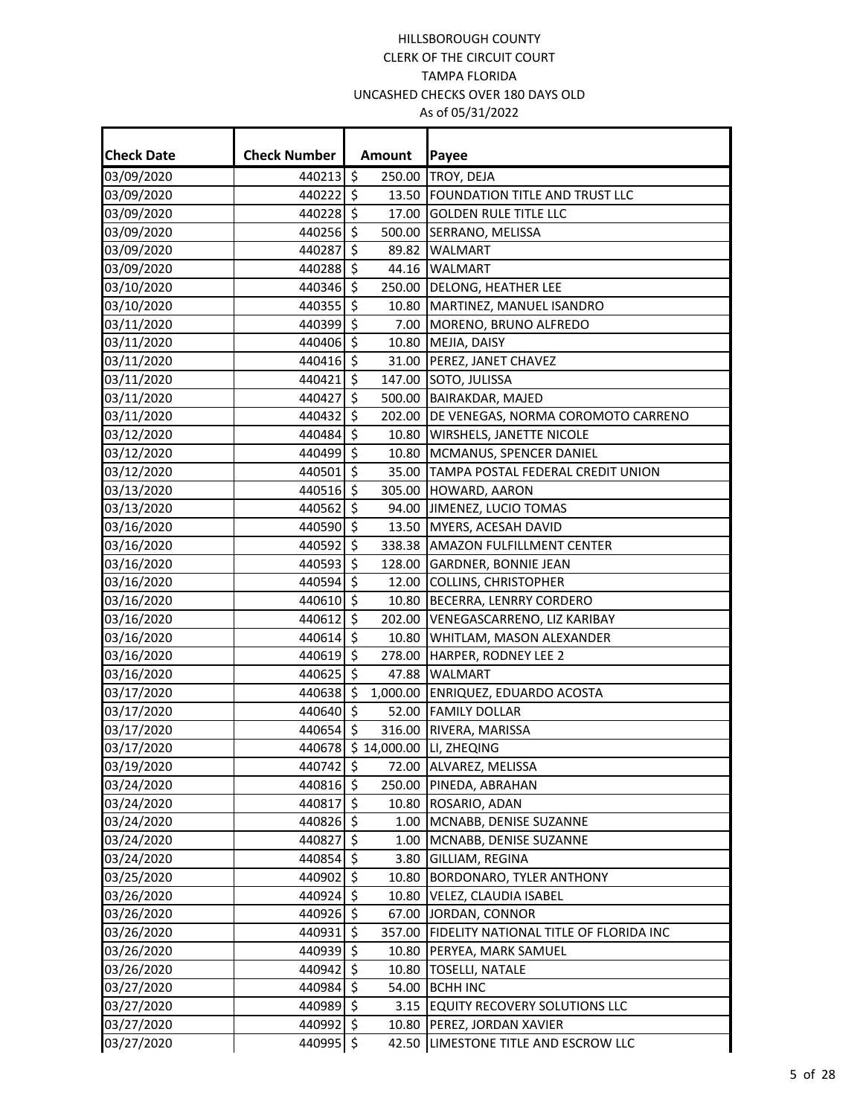| <b>Check Date</b> | <b>Check Number</b> |                     | Amount | Payee                                         |
|-------------------|---------------------|---------------------|--------|-----------------------------------------------|
| 03/09/2020        | 440213 \$           |                     |        | 250.00 TROY, DEJA                             |
| 03/09/2020        | 440222 \$           |                     |        | 13.50 FOUNDATION TITLE AND TRUST LLC          |
| 03/09/2020        | 440228 \$           |                     |        | 17.00 GOLDEN RULE TITLE LLC                   |
| 03/09/2020        | 440256 \$           |                     |        | 500.00 SERRANO, MELISSA                       |
| 03/09/2020        | 440287              | $\mathsf{\hat{S}}$  |        | 89.82 WALMART                                 |
| 03/09/2020        | 440288              | $\ddot{\mathsf{s}}$ |        | 44.16 WALMART                                 |
| 03/10/2020        | 440346 \$           |                     |        | 250.00 DELONG, HEATHER LEE                    |
| 03/10/2020        | 440355 \$           |                     |        | 10.80 MARTINEZ, MANUEL ISANDRO                |
| 03/11/2020        | 440399 \$           |                     |        | 7.00 MORENO, BRUNO ALFREDO                    |
| 03/11/2020        | 440406 \$           |                     |        | 10.80 MEJIA, DAISY                            |
| 03/11/2020        | 440416 \$           |                     |        | 31.00 PEREZ, JANET CHAVEZ                     |
| 03/11/2020        | 440421              | -\$                 |        | 147.00 SOTO, JULISSA                          |
| 03/11/2020        | 440427 \$           |                     |        | 500.00 BAIRAKDAR, MAJED                       |
| 03/11/2020        | 440432 \$           |                     |        | 202.00 DE VENEGAS, NORMA COROMOTO CARRENO     |
| 03/12/2020        | 440484 \$           |                     |        | 10.80 WIRSHELS, JANETTE NICOLE                |
| 03/12/2020        | 440499 \$           |                     |        | 10.80 MCMANUS, SPENCER DANIEL                 |
| 03/12/2020        | 440501 \$           |                     |        | 35.00 TAMPA POSTAL FEDERAL CREDIT UNION       |
| 03/13/2020        | 440516 \$           |                     |        | 305.00 HOWARD, AARON                          |
| 03/13/2020        | 440562 \$           |                     |        | 94.00 JIMENEZ, LUCIO TOMAS                    |
| 03/16/2020        | 440590 \$           |                     |        | 13.50 MYERS, ACESAH DAVID                     |
| 03/16/2020        | 440592 \$           |                     |        | 338.38 AMAZON FULFILLMENT CENTER              |
| 03/16/2020        | 440593 \$           |                     |        | 128.00 GARDNER, BONNIE JEAN                   |
| 03/16/2020        | 440594 \$           |                     |        | 12.00 COLLINS, CHRISTOPHER                    |
| 03/16/2020        | 440610 \$           |                     |        | 10.80 BECERRA, LENRRY CORDERO                 |
| 03/16/2020        | 440612 \$           |                     |        | 202.00 VENEGASCARRENO, LIZ KARIBAY            |
| 03/16/2020        | 440614 \$           |                     |        | 10.80 WHITLAM, MASON ALEXANDER                |
| 03/16/2020        | 440619 \$           |                     |        | 278.00 HARPER, RODNEY LEE 2                   |
| 03/16/2020        | 440625 \$           |                     |        | 47.88 WALMART                                 |
| 03/17/2020        | 440638 \$           |                     |        | 1,000.00 ENRIQUEZ, EDUARDO ACOSTA             |
| 03/17/2020        | 440640 \$           |                     |        | 52.00 FAMILY DOLLAR                           |
| 03/17/2020        | 440654 \$           |                     |        | 316.00 RIVERA, MARISSA                        |
| 03/17/2020        |                     |                     |        | 440678 \$14,000.00 LI, ZHEQING                |
| 03/19/2020        |                     |                     |        | 440742 \$ 72.00 ALVAREZ, MELISSA              |
| 03/24/2020        | 440816 \$           |                     |        | 250.00 PINEDA, ABRAHAN                        |
| 03/24/2020        | 440817 \$           |                     |        | 10.80 ROSARIO, ADAN                           |
| 03/24/2020        | 440826 \$           |                     |        | 1.00 MCNABB, DENISE SUZANNE                   |
| 03/24/2020        | 440827 \$           |                     |        | 1.00 MCNABB, DENISE SUZANNE                   |
| 03/24/2020        | 440854 \$           |                     |        | 3.80 GILLIAM, REGINA                          |
| 03/25/2020        | 440902 \$           |                     |        | 10.80 BORDONARO, TYLER ANTHONY                |
| 03/26/2020        | 440924 \$           |                     |        | 10.80 VELEZ, CLAUDIA ISABEL                   |
| 03/26/2020        | 440926 \$           |                     |        | 67.00 JORDAN, CONNOR                          |
| 03/26/2020        | 440931 \$           |                     |        | 357.00 FIDELITY NATIONAL TITLE OF FLORIDA INC |
| 03/26/2020        | 440939 \$           |                     |        | 10.80 PERYEA, MARK SAMUEL                     |
| 03/26/2020        | 440942 \$           |                     |        | 10.80 TOSELLI, NATALE                         |
| 03/27/2020        | 440984 \$           |                     |        | 54.00 BCHH INC                                |
| 03/27/2020        | 440989 \$           |                     |        | 3.15 EQUITY RECOVERY SOLUTIONS LLC            |
| 03/27/2020        | 440992 \$           |                     |        | 10.80 PEREZ, JORDAN XAVIER                    |
| 03/27/2020        | 440995 \$           |                     |        | 42.50 LIMESTONE TITLE AND ESCROW LLC          |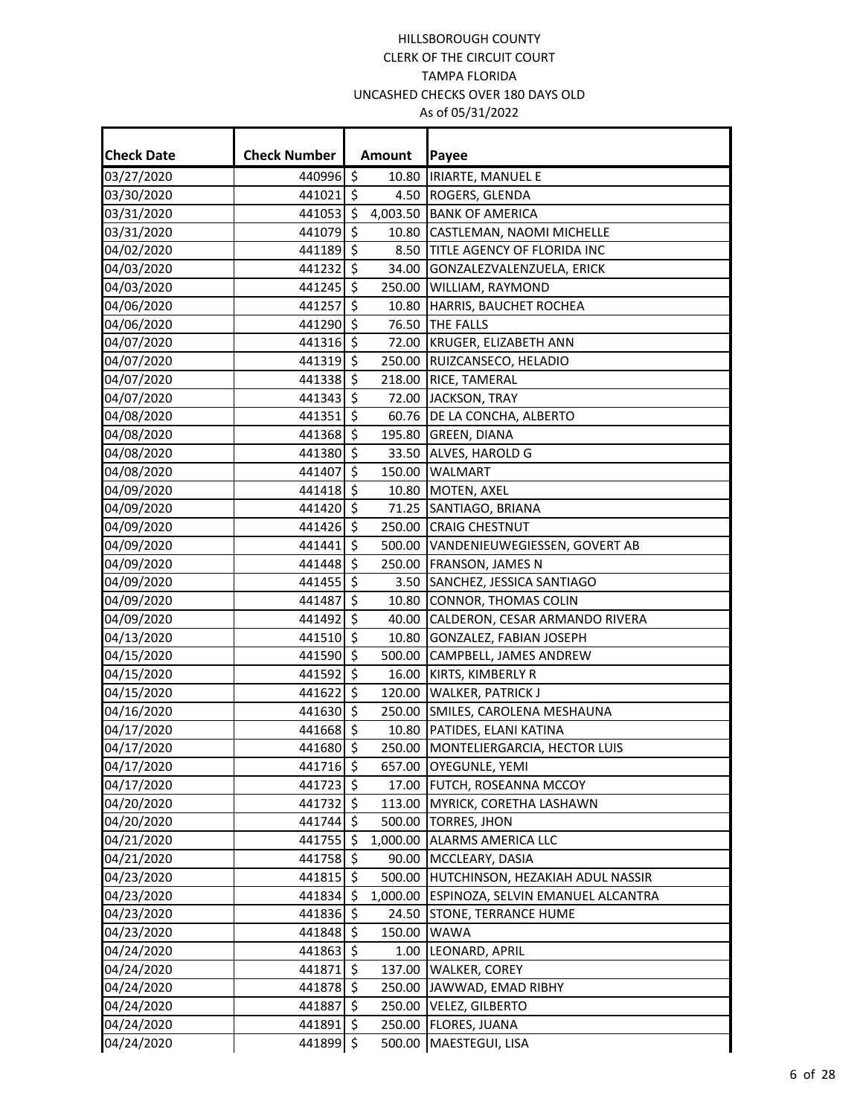÷

| <b>Check Date</b> | <b>Check Number</b> |                     | Amount | Payee                                      |
|-------------------|---------------------|---------------------|--------|--------------------------------------------|
| 03/27/2020        | 440996 \$           |                     | 10.80  | <b>IRIARTE, MANUEL E</b>                   |
| 03/30/2020        | 441021 \$           |                     |        | 4.50 ROGERS, GLENDA                        |
| 03/31/2020        | 441053 \$           |                     |        | 4,003.50 BANK OF AMERICA                   |
| 03/31/2020        | 441079 \$           |                     |        | 10.80 CASTLEMAN, NAOMI MICHELLE            |
| 04/02/2020        | 441189 \$           |                     | 8.50   | <b>TITLE AGENCY OF FLORIDA INC</b>         |
| 04/03/2020        | 441232 \$           |                     |        | 34.00 GONZALEZVALENZUELA, ERICK            |
| 04/03/2020        | 441245              | \$                  |        | 250.00 WILLIAM, RAYMOND                    |
| 04/06/2020        | 441257 \$           |                     |        | 10.80 HARRIS, BAUCHET ROCHEA               |
| 04/06/2020        | 441290 \$           |                     |        | 76.50 THE FALLS                            |
| 04/07/2020        | 441316 \$           |                     |        | 72.00 KRUGER, ELIZABETH ANN                |
| 04/07/2020        | 441319 \$           |                     |        | 250.00 RUIZCANSECO, HELADIO                |
| 04/07/2020        | 441338 \$           |                     |        | 218.00 RICE, TAMERAL                       |
| 04/07/2020        | 441343              | \$                  |        | 72.00 JACKSON, TRAY                        |
| 04/08/2020        | 441351 \$           |                     |        | 60.76 DE LA CONCHA, ALBERTO                |
| 04/08/2020        | 441368 \$           |                     |        | 195.80 GREEN, DIANA                        |
| 04/08/2020        | 441380 \$           |                     |        | 33.50 ALVES, HAROLD G                      |
| 04/08/2020        | 441407 \$           |                     |        | 150.00 WALMART                             |
| 04/09/2020        | 441418 \$           |                     |        | 10.80   MOTEN, AXEL                        |
| 04/09/2020        | 441420 \$           |                     |        | 71.25 SANTIAGO, BRIANA                     |
| 04/09/2020        | 441426 \$           |                     |        | 250.00 CRAIG CHESTNUT                      |
| 04/09/2020        | 441441              | \$                  |        | 500.00 VANDENIEUWEGIESSEN, GOVERT AB       |
| 04/09/2020        | 441448 \$           |                     |        | 250.00 FRANSON, JAMES N                    |
| 04/09/2020        | 441455 \$           |                     |        | 3.50 SANCHEZ, JESSICA SANTIAGO             |
| 04/09/2020        | 441487              | \$                  |        | 10.80 CONNOR, THOMAS COLIN                 |
| 04/09/2020        | 441492 \$           |                     |        | 40.00 CALDERON, CESAR ARMANDO RIVERA       |
| 04/13/2020        | 441510 \$           |                     |        | 10.80 GONZALEZ, FABIAN JOSEPH              |
| 04/15/2020        | 441590              | \$                  |        | 500.00 CAMPBELL, JAMES ANDREW              |
| 04/15/2020        | 441592 \$           |                     |        | 16.00 KIRTS, KIMBERLY R                    |
| 04/15/2020        | 441622 \$           |                     |        | 120.00 WALKER, PATRICK J                   |
| 04/16/2020        | 441630 \$           |                     |        | 250.00 SMILES, CAROLENA MESHAUNA           |
| 04/17/2020        | 441668 \$           |                     |        | 10.80 PATIDES, ELANI KATINA                |
| 04/17/2020        | 441680 \$           |                     |        | 250.00 MONTELIERGARCIA, HECTOR LUIS        |
| 04/17/2020        | 441716 \$           |                     |        | 657.00 OYEGUNLE, YEMI                      |
| 04/17/2020        | 441723 \$           |                     |        | 17.00 FUTCH, ROSEANNA MCCOY                |
| 04/20/2020        | 441732   \$         |                     |        | 113.00 MYRICK, CORETHA LASHAWN             |
| 04/20/2020        | 441744 \$           |                     |        | 500.00 TORRES, JHON                        |
| 04/21/2020        | 441755 \$           |                     |        | 1,000.00 ALARMS AMERICA LLC                |
| 04/21/2020        | 441758 \$           |                     |        | 90.00 MCCLEARY, DASIA                      |
| 04/23/2020        | 441815 \$           |                     |        | 500.00 HUTCHINSON, HEZAKIAH ADUL NASSIR    |
| 04/23/2020        | 441834 \$           |                     |        | 1,000.00 ESPINOZA, SELVIN EMANUEL ALCANTRA |
| 04/23/2020        | 441836 \$           |                     |        | 24.50 STONE, TERRANCE HUME                 |
| 04/23/2020        | 441848 \$           |                     |        | 150.00 WAWA                                |
| 04/24/2020        | 441863 \$           |                     |        | 1.00 LEONARD, APRIL                        |
| 04/24/2020        | 441871 \$           |                     |        | 137.00 WALKER, COREY                       |
| 04/24/2020        | 441878 \$           |                     |        | 250.00 JAWWAD, EMAD RIBHY                  |
| 04/24/2020        | 441887              | \$                  |        | 250.00 VELEZ, GILBERTO                     |
| 04/24/2020        | 441891 \$           |                     |        | 250.00 FLORES, JUANA                       |
| 04/24/2020        | 441899              | $\ddot{\mathsf{S}}$ |        | 500.00 MAESTEGUI, LISA                     |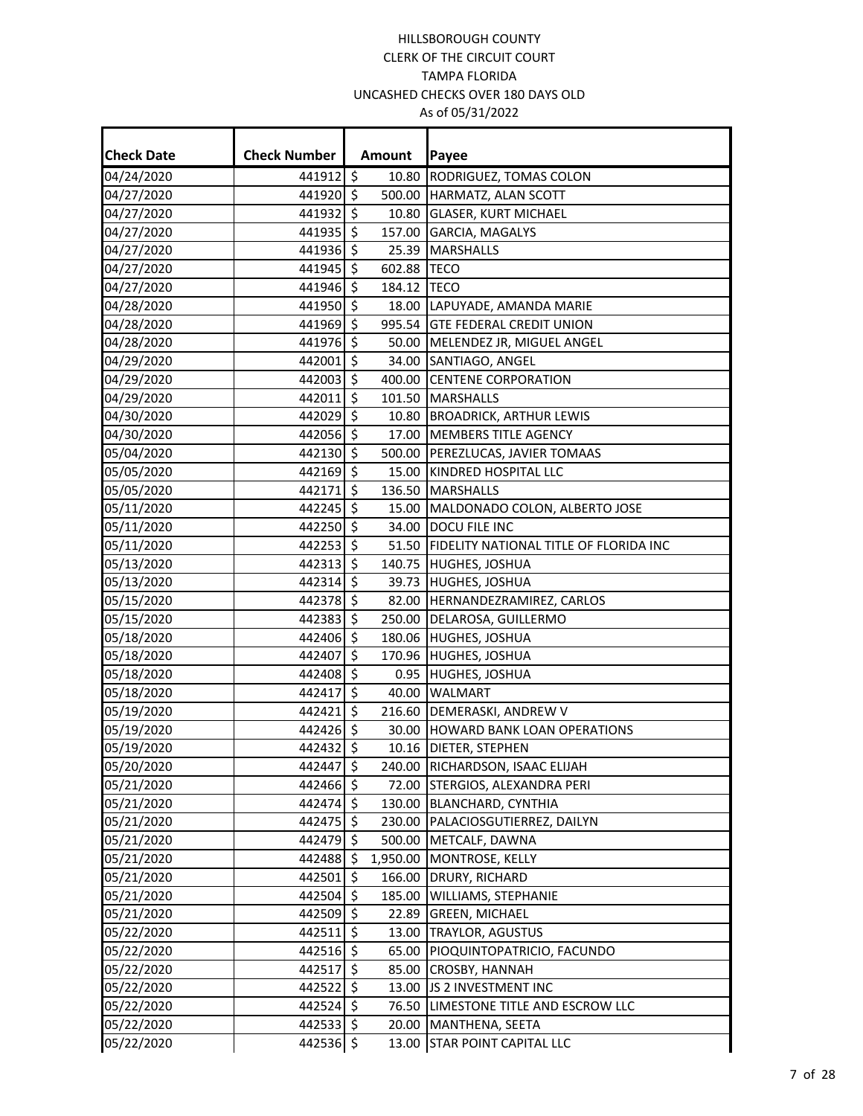| <b>Check Date</b> | <b>Check Number</b> |                          | Amount   | Payee                                        |
|-------------------|---------------------|--------------------------|----------|----------------------------------------------|
| 04/24/2020        | 441912 \$           |                          | 10.80    | RODRIGUEZ, TOMAS COLON                       |
| 04/27/2020        | 441920 \$           |                          |          | 500.00 HARMATZ, ALAN SCOTT                   |
| 04/27/2020        | 441932 \$           |                          | 10.80    | <b>GLASER, KURT MICHAEL</b>                  |
| 04/27/2020        | 441935 \$           |                          | 157.00   | GARCIA, MAGALYS                              |
| 04/27/2020        | 441936              | $\zeta$                  |          | 25.39 MARSHALLS                              |
| 04/27/2020        | 441945 \$           |                          | 602.88   | <b>TECO</b>                                  |
| 04/27/2020        | 441946              | \$                       | 184.12   | <b>TECO</b>                                  |
| 04/28/2020        | 441950 \$           |                          |          | 18.00 LAPUYADE, AMANDA MARIE                 |
| 04/28/2020        | 441969 \$           |                          |          | 995.54 GTE FEDERAL CREDIT UNION              |
| 04/28/2020        | 441976              | \$                       |          | 50.00 MELENDEZ JR, MIGUEL ANGEL              |
| 04/29/2020        | 442001 \$           |                          |          | 34.00 SANTIAGO, ANGEL                        |
| 04/29/2020        | 442003 \$           |                          |          | 400.00 CENTENE CORPORATION                   |
| 04/29/2020        | 442011              | \$                       |          | 101.50 MARSHALLS                             |
| 04/30/2020        | 442029 \$           |                          |          | 10.80 BROADRICK, ARTHUR LEWIS                |
| 04/30/2020        | 442056 \$           |                          |          | 17.00 MEMBERS TITLE AGENCY                   |
| 05/04/2020        | 442130              | $\zeta$                  |          | 500.00 PEREZLUCAS, JAVIER TOMAAS             |
| 05/05/2020        | 442169 \$           |                          |          | 15.00 KINDRED HOSPITAL LLC                   |
| 05/05/2020        | 442171              | \$                       |          | 136.50 MARSHALLS                             |
| 05/11/2020        | 442245 \$           |                          |          | 15.00 MALDONADO COLON, ALBERTO JOSE          |
| 05/11/2020        | 442250 \$           |                          | 34.00    | DOCU FILE INC                                |
| 05/11/2020        | 442253 \$           |                          |          | 51.50 FIDELITY NATIONAL TITLE OF FLORIDA INC |
| 05/13/2020        | 442313 \$           |                          |          | 140.75 HUGHES, JOSHUA                        |
| 05/13/2020        | 442314 \$           |                          |          | 39.73 HUGHES, JOSHUA                         |
| 05/15/2020        | 442378 \$           |                          |          | 82.00  HERNANDEZRAMIREZ, CARLOS              |
| 05/15/2020        | 442383 \$           |                          |          | 250.00 DELAROSA, GUILLERMO                   |
| 05/18/2020        | 442406 \$           |                          |          | 180.06 HUGHES, JOSHUA                        |
| 05/18/2020        | 442407              | $\overline{\mathcal{S}}$ |          | 170.96 HUGHES, JOSHUA                        |
| 05/18/2020        | 442408 \$           |                          |          | 0.95 HUGHES, JOSHUA                          |
| 05/18/2020        | 442417              | $\zeta$                  | 40.00    | <b>WALMART</b>                               |
| 05/19/2020        | 442421 \$           |                          |          | 216.60 DEMERASKI, ANDREW V                   |
| 05/19/2020        | 442426 \$           |                          |          | 30.00 HOWARD BANK LOAN OPERATIONS            |
| 05/19/2020        | 442432 \$           |                          |          | 10.16 DIETER, STEPHEN                        |
| 05/20/2020        | 442447 \$           |                          |          | 240.00 RICHARDSON, ISAAC ELIJAH              |
| 05/21/2020        | 442466 \$           |                          |          | 72.00 STERGIOS, ALEXANDRA PERI               |
| 05/21/2020        | 442474              | \$                       |          | 130.00 BLANCHARD, CYNTHIA                    |
| 05/21/2020        | 442475 \$           |                          | 230.00   | PALACIOSGUTIERREZ, DAILYN                    |
| 05/21/2020        | 442479 \$           |                          | 500.00   | METCALF, DAWNA                               |
| 05/21/2020        | 442488              | \$                       | 1,950.00 | MONTROSE, KELLY                              |
| 05/21/2020        | 442501 \$           |                          | 166.00   | DRURY, RICHARD                               |
| 05/21/2020        | 442504 \$           |                          | 185.00   | WILLIAMS, STEPHANIE                          |
| 05/21/2020        | 442509 \$           |                          | 22.89    | <b>GREEN, MICHAEL</b>                        |
| 05/22/2020        | $442511$ \$         |                          | 13.00    | <b>TRAYLOR, AGUSTUS</b>                      |
| 05/22/2020        | $442516$ \$         |                          | 65.00    | PIOQUINTOPATRICIO, FACUNDO                   |
| 05/22/2020        | 442517              | \$                       | 85.00    | <b>CROSBY, HANNAH</b>                        |
| 05/22/2020        | 442522              | $\zeta$                  | 13.00    | JS 2 INVESTMENT INC                          |
| 05/22/2020        | 442524              | \$                       | 76.50    | LIMESTONE TITLE AND ESCROW LLC               |
| 05/22/2020        | 442533 \$           |                          | 20.00    | MANTHENA, SEETA                              |
| 05/22/2020        | 442536 \$           |                          |          | 13.00 STAR POINT CAPITAL LLC                 |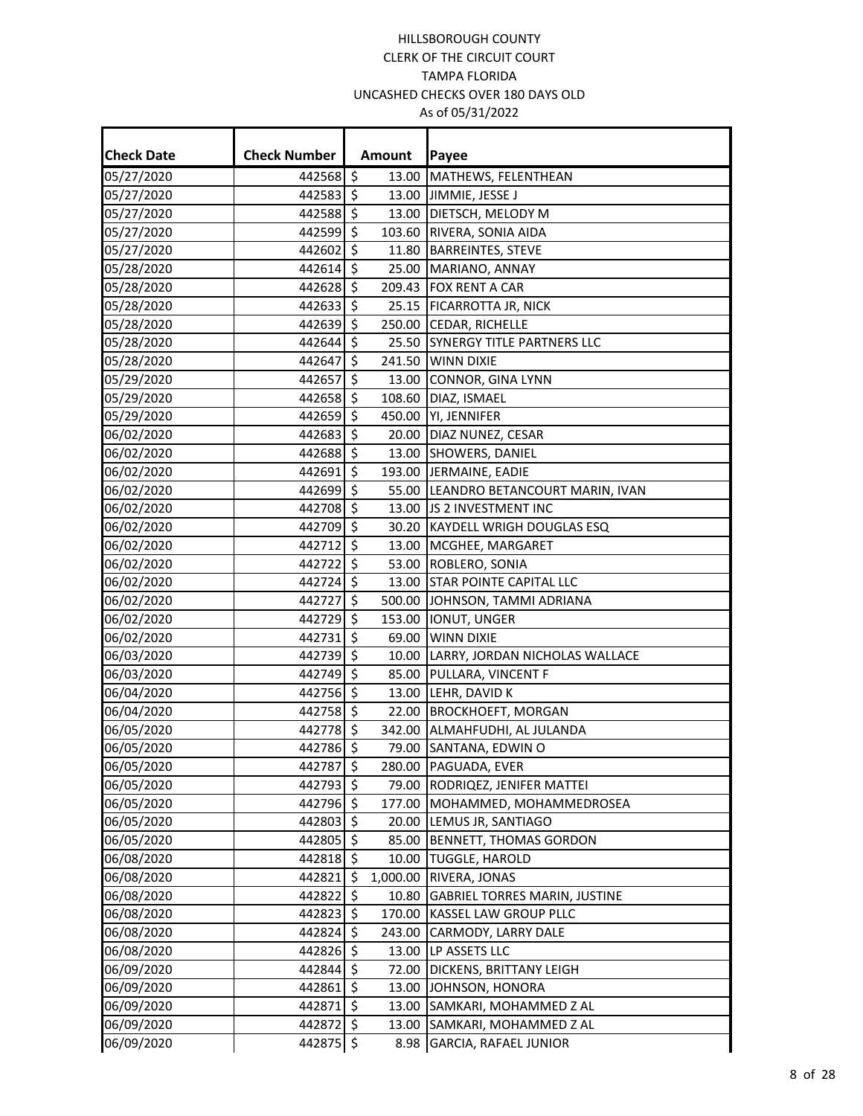÷.

| <b>Check Date</b> | <b>Check Number</b> |                     | Amount   | Payee                                |
|-------------------|---------------------|---------------------|----------|--------------------------------------|
| 05/27/2020        | 442568 \$           |                     | 13.00    | MATHEWS, FELENTHEAN                  |
| 05/27/2020        | 442583 \$           |                     |          | 13.00 JIMMIE, JESSE J                |
| 05/27/2020        | 442588 \$           |                     |          | 13.00 DIETSCH, MELODY M              |
| 05/27/2020        | 442599 \$           |                     |          | 103.60 RIVERA, SONIA AIDA            |
| 05/27/2020        | 442602 \$           |                     |          | 11.80   BARREINTES, STEVE            |
| 05/28/2020        | 442614 \$           |                     |          | 25.00 MARIANO, ANNAY                 |
| 05/28/2020        | 442628 \$           |                     |          | 209.43 FOX RENT A CAR                |
| 05/28/2020        | 442633 \$           |                     |          | 25.15 FICARROTTA JR, NICK            |
| 05/28/2020        | 442639 \$           |                     |          | 250.00 CEDAR, RICHELLE               |
| 05/28/2020        | 442644              | $\ddot{\mathsf{s}}$ |          | 25.50 SYNERGY TITLE PARTNERS LLC     |
| 05/28/2020        | 442647 \$           |                     |          | 241.50 WINN DIXIE                    |
| 05/29/2020        | 442657              | 5                   |          | 13.00 CONNOR, GINA LYNN              |
| 05/29/2020        | 442658 \$           |                     |          | 108.60 DIAZ, ISMAEL                  |
| 05/29/2020        | 442659 \$           |                     |          | 450.00 YI, JENNIFER                  |
| 06/02/2020        | 442683 \$           |                     |          | 20.00 DIAZ NUNEZ, CESAR              |
| 06/02/2020        | 442688 \$           |                     |          | 13.00 SHOWERS, DANIEL                |
| 06/02/2020        | 442691              | 5                   |          | 193.00 JERMAINE, EADIE               |
| 06/02/2020        | 442699 \$           |                     |          | 55.00 LEANDRO BETANCOURT MARIN, IVAN |
| 06/02/2020        | 442708 \$           |                     |          | 13.00 JS 2 INVESTMENT INC            |
| 06/02/2020        | 442709 \$           |                     |          | 30.20 KAYDELL WRIGH DOUGLAS ESQ      |
| 06/02/2020        | 442712 \$           |                     |          | 13.00 MCGHEE, MARGARET               |
| 06/02/2020        | 442722 \$           |                     |          | 53.00 ROBLERO, SONIA                 |
| 06/02/2020        | 442724 \$           |                     |          | 13.00 STAR POINTE CAPITAL LLC        |
| 06/02/2020        | 442727              | \$                  |          | 500.00 JOHNSON, TAMMI ADRIANA        |
| 06/02/2020        | 442729 \$           |                     |          | 153.00  IONUT, UNGER                 |
| 06/02/2020        | 442731              | \$                  |          | 69.00 WINN DIXIE                     |
| 06/03/2020        | 442739              | \$                  |          | 10.00 LARRY, JORDAN NICHOLAS WALLACE |
| 06/03/2020        | 442749 \$           |                     |          | 85.00 PULLARA, VINCENT F             |
| 06/04/2020        | 442756 \$           |                     |          | 13.00 LEHR, DAVID K                  |
| 06/04/2020        | 442758 \$           |                     |          | 22.00 BROCKHOEFT, MORGAN             |
| 06/05/2020        | 442778 \$           |                     |          | 342.00 ALMAHFUDHI, AL JULANDA        |
| 06/05/2020        | 442786 \$           |                     |          | 79.00 SANTANA, EDWIN O               |
| 06/05/2020        | 442787 \$           |                     |          | 280.00 PAGUADA, EVER                 |
| 06/05/2020        | 442793 \$           |                     |          | 79.00 RODRIQEZ, JENIFER MATTEI       |
| 06/05/2020        | 442796 \$           |                     |          | 177.00  MOHAMMED, MOHAMMEDROSEA      |
| 06/05/2020        | 442803 \$           |                     |          | 20.00 LEMUS JR, SANTIAGO             |
| 06/05/2020        | 442805 \$           |                     | 85.00    | <b>BENNETT, THOMAS GORDON</b>        |
| 06/08/2020        | 442818 \$           |                     | 10.00    | <b>TUGGLE, HAROLD</b>                |
| 06/08/2020        | 442821 \$           |                     | 1,000.00 | RIVERA, JONAS                        |
| 06/08/2020        | 442822              | \$                  |          | 10.80 GABRIEL TORRES MARIN, JUSTINE  |
| 06/08/2020        | 442823 \$           |                     |          | 170.00 KASSEL LAW GROUP PLLC         |
| 06/08/2020        | 442824 \$           |                     |          | 243.00 CARMODY, LARRY DALE           |
| 06/08/2020        | 442826              | \$                  | 13.00    | LP ASSETS LLC                        |
| 06/09/2020        | 442844              | \$                  | 72.00    | DICKENS, BRITTANY LEIGH              |
| 06/09/2020        | 442861 \$           |                     |          | 13.00 JOHNSON, HONORA                |
| 06/09/2020        | 442871              | \$                  |          | 13.00 SAMKARI, MOHAMMED Z AL         |
| 06/09/2020        | 442872 \$           |                     | 13.00    | SAMKARI, MOHAMMED Z AL               |
| 06/09/2020        | 442875              | $\zeta$             | 8.98     | <b>GARCIA, RAFAEL JUNIOR</b>         |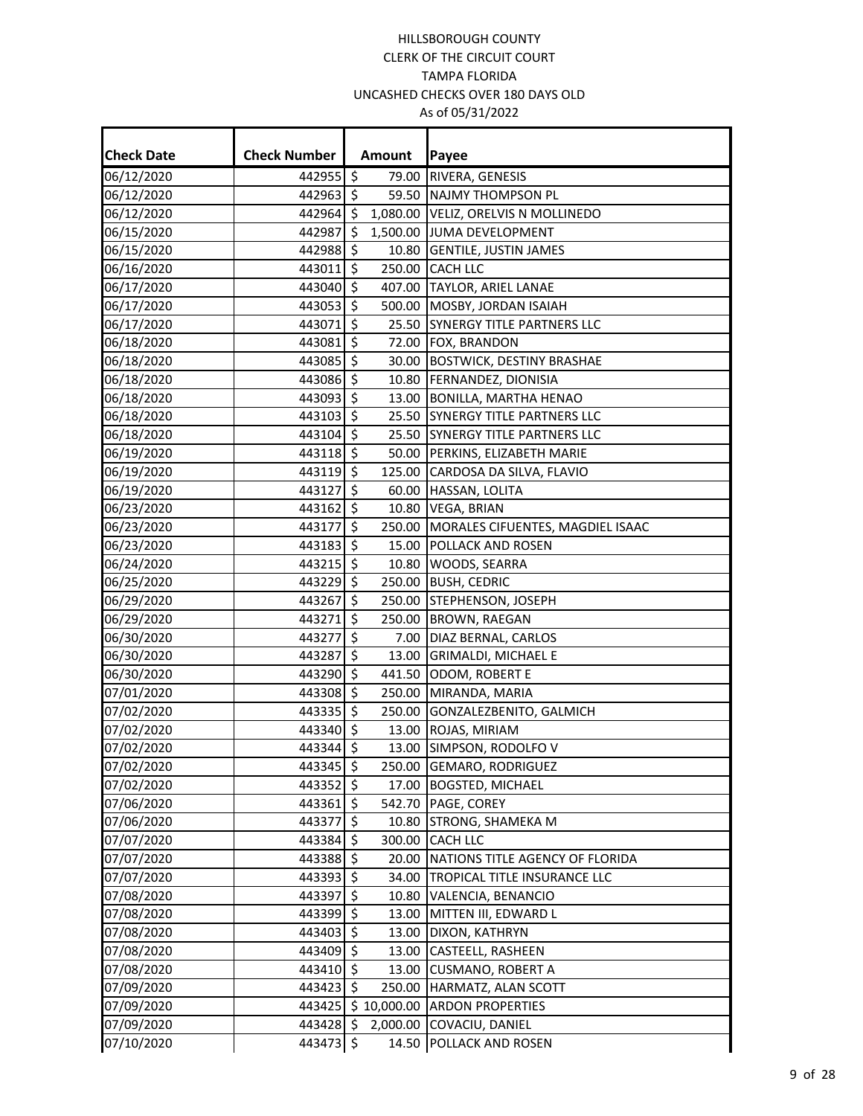| <b>Check Date</b> | <b>Check Number</b> |         | Amount      | Payee                                   |
|-------------------|---------------------|---------|-------------|-----------------------------------------|
| 06/12/2020        | 442955 \$           |         | 79.00       | RIVERA, GENESIS                         |
| 06/12/2020        | 442963 \$           |         |             | 59.50 NAJMY THOMPSON PL                 |
| 06/12/2020        | 442964 \$           |         |             | 1,080.00 VELIZ, ORELVIS N MOLLINEDO     |
| 06/15/2020        | 442987              | \$      |             | 1,500.00 JUMA DEVELOPMENT               |
| 06/15/2020        | 442988 \$           |         |             | 10.80 GENTILE, JUSTIN JAMES             |
| 06/16/2020        | 443011 \$           |         |             | 250.00 CACH LLC                         |
| 06/17/2020        | 443040              | \$      |             | 407.00 TAYLOR, ARIEL LANAE              |
| 06/17/2020        | 443053 \$           |         |             | 500.00 MOSBY, JORDAN ISAIAH             |
| 06/17/2020        | 443071 \$           |         |             | 25.50 SYNERGY TITLE PARTNERS LLC        |
| 06/18/2020        | 443081 \$           |         |             | 72.00 FOX, BRANDON                      |
| 06/18/2020        | 443085 \$           |         |             | 30.00 BOSTWICK, DESTINY BRASHAE         |
| 06/18/2020        | 443086 \$           |         |             | 10.80 FERNANDEZ, DIONISIA               |
| 06/18/2020        | 443093 \$           |         |             | 13.00 BONILLA, MARTHA HENAO             |
| 06/18/2020        | 443103 \$           |         |             | 25.50 SYNERGY TITLE PARTNERS LLC        |
| 06/18/2020        | 443104              | \$      |             | 25.50 SYNERGY TITLE PARTNERS LLC        |
| 06/19/2020        | 443118 \$           |         |             | 50.00 PERKINS, ELIZABETH MARIE          |
| 06/19/2020        | 443119 \$           |         |             | 125.00 CARDOSA DA SILVA, FLAVIO         |
| 06/19/2020        | 443127              | \$      | 60.00       | HASSAN, LOLITA                          |
| 06/23/2020        | 443162 \$           |         |             | 10.80 VEGA, BRIAN                       |
| 06/23/2020        | 443177 \$           |         |             | 250.00 MORALES CIFUENTES, MAGDIEL ISAAC |
| 06/23/2020        | 443183 \$           |         |             | 15.00 POLLACK AND ROSEN                 |
| 06/24/2020        | 443215 \$           |         |             | 10.80 WOODS, SEARRA                     |
| 06/25/2020        | 443229 \$           |         |             | 250.00 BUSH, CEDRIC                     |
| 06/29/2020        | 443267              | \$      |             | 250.00 STEPHENSON, JOSEPH               |
| 06/29/2020        | 443271 \$           |         |             | 250.00 BROWN, RAEGAN                    |
| 06/30/2020        | 443277              | $\zeta$ |             | 7.00 DIAZ BERNAL, CARLOS                |
| 06/30/2020        | 443287              | $\zeta$ |             | 13.00 GRIMALDI, MICHAEL E               |
| 06/30/2020        | 443290 \$           |         |             | 441.50 ODOM, ROBERT E                   |
| 07/01/2020        | 443308              | \$      |             | 250.00 MIRANDA, MARIA                   |
| 07/02/2020        | 443335 \$           |         |             | 250.00 GONZALEZBENITO, GALMICH          |
| 07/02/2020        | 443340 \$           |         |             | 13.00 ROJAS, MIRIAM                     |
| 07/02/2020        | 443344 \$           |         |             | 13.00 SIMPSON, RODOLFO V                |
| 07/02/2020        | 443345 \$           |         |             | 250.00 GEMARO, RODRIGUEZ                |
| 07/02/2020        | 443352 \$           |         |             | 17.00 BOGSTED, MICHAEL                  |
| 07/06/2020        | 443361 \$           |         |             | 542.70 PAGE, COREY                      |
| 07/06/2020        | 443377 \$           |         | 10.80       | <b>STRONG, SHAMEKA M</b>                |
| 07/07/2020        | 443384 \$           |         |             | 300.00 CACH LLC                         |
| 07/07/2020        | 443388 \$           |         | 20.00       | NATIONS TITLE AGENCY OF FLORIDA         |
| 07/07/2020        | 443393 \$           |         |             | 34.00 TROPICAL TITLE INSURANCE LLC      |
| 07/08/2020        | 443397 \$           |         |             | 10.80 VALENCIA, BENANCIO                |
| 07/08/2020        | 443399 \$           |         |             | 13.00 MITTEN III, EDWARD L              |
| 07/08/2020        | 443403 \$           |         | 13.00       | DIXON, KATHRYN                          |
| 07/08/2020        | 443409 \$           |         | 13.00       | <b>CASTEELL, RASHEEN</b>                |
| 07/08/2020        | 443410 \$           |         | 13.00       | CUSMANO, ROBERT A                       |
| 07/09/2020        | 443423 \$           |         | 250.00      | HARMATZ, ALAN SCOTT                     |
| 07/09/2020        | 443425              |         | \$10,000.00 | <b>ARDON PROPERTIES</b>                 |
| 07/09/2020        | 443428 \$           |         | 2,000.00    | COVACIU, DANIEL                         |
| 07/10/2020        | 443473              | \$      | 14.50       | <b>POLLACK AND ROSEN</b>                |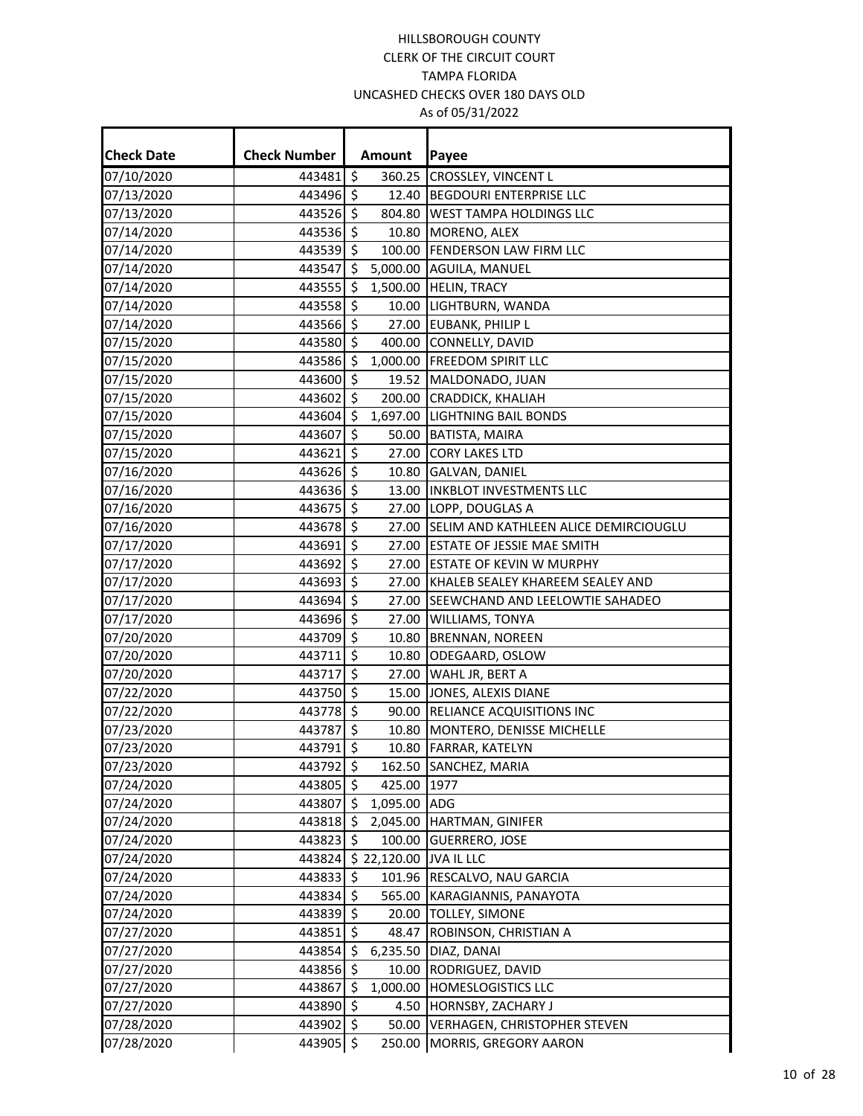| <b>Check Date</b> | <b>Check Number</b> |         | <b>Amount</b> | Payee                                 |
|-------------------|---------------------|---------|---------------|---------------------------------------|
| 07/10/2020        | 443481 \$           |         | 360.25        | CROSSLEY, VINCENT L                   |
| 07/13/2020        | 443496 \$           |         | 12.40         | <b>BEGDOURI ENTERPRISE LLC</b>        |
| 07/13/2020        | 443526 \$           |         | 804.80        | WEST TAMPA HOLDINGS LLC               |
| 07/14/2020        | 443536 \$           |         | 10.80         | MORENO, ALEX                          |
| 07/14/2020        | 443539 \$           |         |               | 100.00 FENDERSON LAW FIRM LLC         |
| 07/14/2020        | 443547 \$           |         |               | 5,000.00 AGUILA, MANUEL               |
| 07/14/2020        | 443555 \$           |         |               | 1,500.00 HELIN, TRACY                 |
| 07/14/2020        | 443558 \$           |         |               | 10.00 LIGHTBURN, WANDA                |
| 07/14/2020        | 443566 \$           |         | 27.00         | <b>EUBANK, PHILIP L</b>               |
| 07/15/2020        | 443580 \$           |         | 400.00        | CONNELLY, DAVID                       |
| 07/15/2020        | 443586              | \$      | 1,000.00      | <b>FREEDOM SPIRIT LLC</b>             |
| 07/15/2020        | 443600 \$           |         | 19.52         | MALDONADO, JUAN                       |
| 07/15/2020        | 443602 \$           |         | 200.00        | CRADDICK, KHALIAH                     |
| 07/15/2020        | 443604 \$           |         |               | 1,697.00 LIGHTNING BAIL BONDS         |
| 07/15/2020        | 443607              | $\zeta$ | 50.00         | BATISTA, MAIRA                        |
| 07/15/2020        | 443621              | \$      | 27.00         | <b>CORY LAKES LTD</b>                 |
| 07/16/2020        | 443626 \$           |         |               | 10.80 GALVAN, DANIEL                  |
| 07/16/2020        | 443636 \$           |         |               | 13.00 INKBLOT INVESTMENTS LLC         |
| 07/16/2020        | 443675              | \$      |               | 27.00 LOPP, DOUGLAS A                 |
| 07/16/2020        | 443678 \$           |         | 27.00         | SELIM AND KATHLEEN ALICE DEMIRCIOUGLU |
| 07/17/2020        | 443691 \$           |         |               | 27.00 ESTATE OF JESSIE MAE SMITH      |
| 07/17/2020        | 443692 \$           |         | 27.00         | <b>ESTATE OF KEVIN W MURPHY</b>       |
| 07/17/2020        | 443693 \$           |         | 27.00         | KHALEB SEALEY KHAREEM SEALEY AND      |
| 07/17/2020        | 443694 \$           |         | 27.00         | SEEWCHAND AND LEELOWTIE SAHADEO       |
| 07/17/2020        | 443696 \$           |         |               | 27.00 WILLIAMS, TONYA                 |
| 07/20/2020        | 443709 \$           |         | 10.80         | <b>BRENNAN, NOREEN</b>                |
| 07/20/2020        | 443711              | \$      | 10.80         | ODEGAARD, OSLOW                       |
| 07/20/2020        | 443717              | $\zeta$ | 27.00         | WAHL JR, BERT A                       |
| 07/22/2020        | 443750              | $\zeta$ | 15.00         | JONES, ALEXIS DIANE                   |
| 07/22/2020        | 443778              | \$      | 90.00         | RELIANCE ACQUISITIONS INC             |
| 07/23/2020        | 443787 \$           |         | 10.80         | MONTERO, DENISSE MICHELLE             |
| 07/23/2020        | 443791 \$           |         |               | 10.80 FARRAR, KATELYN                 |
| 07/23/2020        | 443792 \$           |         |               | 162.50 SANCHEZ, MARIA                 |
| 07/24/2020        | 443805 \$           |         | 425.00 1977   |                                       |
| 07/24/2020        | 443807 \$           |         | 1,095.00      | ADG                                   |
| 07/24/2020        | 443818              | \$.     | 2,045.00      | HARTMAN, GINIFER                      |
| 07/24/2020        | 443823 \$           |         | 100.00        | <b>GUERRERO, JOSE</b>                 |
| 07/24/2020        | 443824              |         | \$22,120.00   | <b>JVA IL LLC</b>                     |
| 07/24/2020        | 443833 \$           |         | 101.96        | RESCALVO, NAU GARCIA                  |
| 07/24/2020        | 443834 \$           |         | 565.00        | KARAGIANNIS, PANAYOTA                 |
| 07/24/2020        | 443839 \$           |         | 20.00         | TOLLEY, SIMONE                        |
| 07/27/2020        | 443851 \$           |         | 48.47         | ROBINSON, CHRISTIAN A                 |
| 07/27/2020        | 443854 \$           |         | 6,235.50      | DIAZ, DANAI                           |
| 07/27/2020        | 443856 \$           |         | 10.00         | RODRIGUEZ, DAVID                      |
| 07/27/2020        | 443867              | \$      | 1,000.00      | HOMESLOGISTICS LLC                    |
| 07/27/2020        | 443890 \$           |         | 4.50          | <b>HORNSBY, ZACHARY J</b>             |
| 07/28/2020        | 443902 \$           |         | 50.00         | <b>VERHAGEN, CHRISTOPHER STEVEN</b>   |
| 07/28/2020        | 443905 \$           |         | 250.00        | MORRIS, GREGORY AARON                 |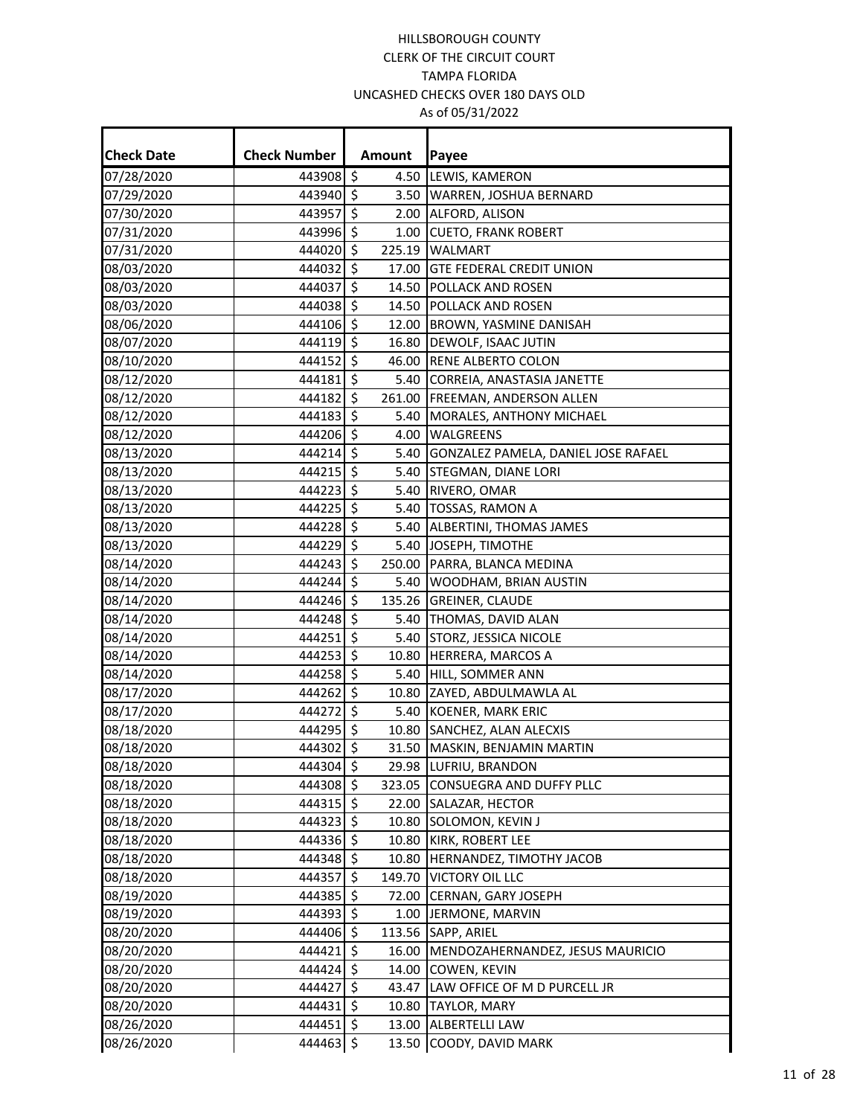| <b>Check Date</b> | <b>Check Number</b> |         | Amount | Payee                                  |
|-------------------|---------------------|---------|--------|----------------------------------------|
| 07/28/2020        | 443908 \$           |         |        | 4.50 LEWIS, KAMERON                    |
| 07/29/2020        | 443940              | \$      |        | 3.50 WARREN, JOSHUA BERNARD            |
| 07/30/2020        | 443957              | $\zeta$ | 2.00   | ALFORD, ALISON                         |
| 07/31/2020        | 443996 \$           |         |        | 1.00 CUETO, FRANK ROBERT               |
| 07/31/2020        | 444020              | \$      |        | 225.19 WALMART                         |
| 08/03/2020        | 444032              | $\zeta$ | 17.00  | <b>GTE FEDERAL CREDIT UNION</b>        |
| 08/03/2020        | 444037              | \$      | 14.50  | <b>POLLACK AND ROSEN</b>               |
| 08/03/2020        | 444038 \$           |         | 14.50  | <b>POLLACK AND ROSEN</b>               |
| 08/06/2020        | 444106 \$           |         | 12.00  | <b>BROWN, YASMINE DANISAH</b>          |
| 08/07/2020        | 444119              | $\zeta$ | 16.80  | DEWOLF, ISAAC JUTIN                    |
| 08/10/2020        | 444152              | $\zeta$ | 46.00  | <b>RENE ALBERTO COLON</b>              |
| 08/12/2020        | 444181 \$           |         |        | 5.40 CORREIA, ANASTASIA JANETTE        |
| 08/12/2020        | 444182              | \$      | 261.00 | <b>FREEMAN, ANDERSON ALLEN</b>         |
| 08/12/2020        | 444183              | S.      | 5.40   | MORALES, ANTHONY MICHAEL               |
| 08/12/2020        | 444206 \$           |         | 4.00   | <b>WALGREENS</b>                       |
| 08/13/2020        | 444214              | $\zeta$ | 5.40   | GONZALEZ PAMELA, DANIEL JOSE RAFAEL    |
| 08/13/2020        | 444215              | $\zeta$ | 5.40   | <b>STEGMAN, DIANE LORI</b>             |
| 08/13/2020        | 444223              | $\zeta$ | 5.40   | RIVERO, OMAR                           |
| 08/13/2020        | 444225              | \$      | 5.40   | TOSSAS, RAMON A                        |
| 08/13/2020        | 444228 \$           |         |        | 5.40 ALBERTINI, THOMAS JAMES           |
| 08/13/2020        | 444229              | $\zeta$ |        | 5.40 JOSEPH, TIMOTHE                   |
| 08/14/2020        | 444243              | \$      | 250.00 | PARRA, BLANCA MEDINA                   |
| 08/14/2020        | 444244 \$           |         |        | 5.40 WOODHAM, BRIAN AUSTIN             |
| 08/14/2020        | 444246              | \$      |        | 135.26 GREINER, CLAUDE                 |
| 08/14/2020        | 444248 \$           |         |        | 5.40 THOMAS, DAVID ALAN                |
| 08/14/2020        | 444251              | $\zeta$ | 5.40   | <b>STORZ, JESSICA NICOLE</b>           |
| 08/14/2020        | 444253              | \$      | 10.80  | HERRERA, MARCOS A                      |
| 08/14/2020        | 444258              | $\zeta$ | 5.40   | HILL, SOMMER ANN                       |
| 08/17/2020        | 444262              | $\zeta$ |        | 10.80 ZAYED, ABDULMAWLA AL             |
| 08/17/2020        | 444272              | \$      |        | 5.40 KOENER, MARK ERIC                 |
| 08/18/2020        | 444295 \$           |         |        | 10.80 SANCHEZ, ALAN ALECXIS            |
| 08/18/2020        | 444302 \$           |         |        | 31.50 MASKIN, BENJAMIN MARTIN          |
| 08/18/2020        | $444304$ \$         |         |        | 29.98 LUFRIU, BRANDON                  |
| 08/18/2020        | 444308 \$           |         |        | 323.05 CONSUEGRA AND DUFFY PLLC        |
| 08/18/2020        | 444315 \$           |         |        | 22.00 SALAZAR, HECTOR                  |
| 08/18/2020        | 444323 \$           |         | 10.80  | SOLOMON, KEVIN J                       |
| 08/18/2020        | 444336 \$           |         | 10.80  | KIRK, ROBERT LEE                       |
| 08/18/2020        | 444348 \$           |         | 10.80  | HERNANDEZ, TIMOTHY JACOB               |
| 08/18/2020        | 444357              | $\zeta$ | 149.70 | <b>VICTORY OIL LLC</b>                 |
| 08/19/2020        | 444385 \$           |         |        | 72.00 CERNAN, GARY JOSEPH              |
| 08/19/2020        | 444393 \$           |         |        | 1.00 JERMONE, MARVIN                   |
| 08/20/2020        | 444406 \$           |         |        | 113.56 SAPP, ARIEL                     |
| 08/20/2020        | 444421              | \$      |        | 16.00 MENDOZAHERNANDEZ, JESUS MAURICIO |
| 08/20/2020        | 444424              | $\zeta$ | 14.00  | <b>COWEN, KEVIN</b>                    |
| 08/20/2020        | 444427              | $\zeta$ | 43.47  | LAW OFFICE OF M D PURCELL JR           |
| 08/20/2020        | 444431 \$           |         |        | 10.80  TAYLOR, MARY                    |
| 08/26/2020        | 444451 \$           |         | 13.00  | <b>ALBERTELLI LAW</b>                  |
| 08/26/2020        | 444463 \$           |         | 13.50  | COODY, DAVID MARK                      |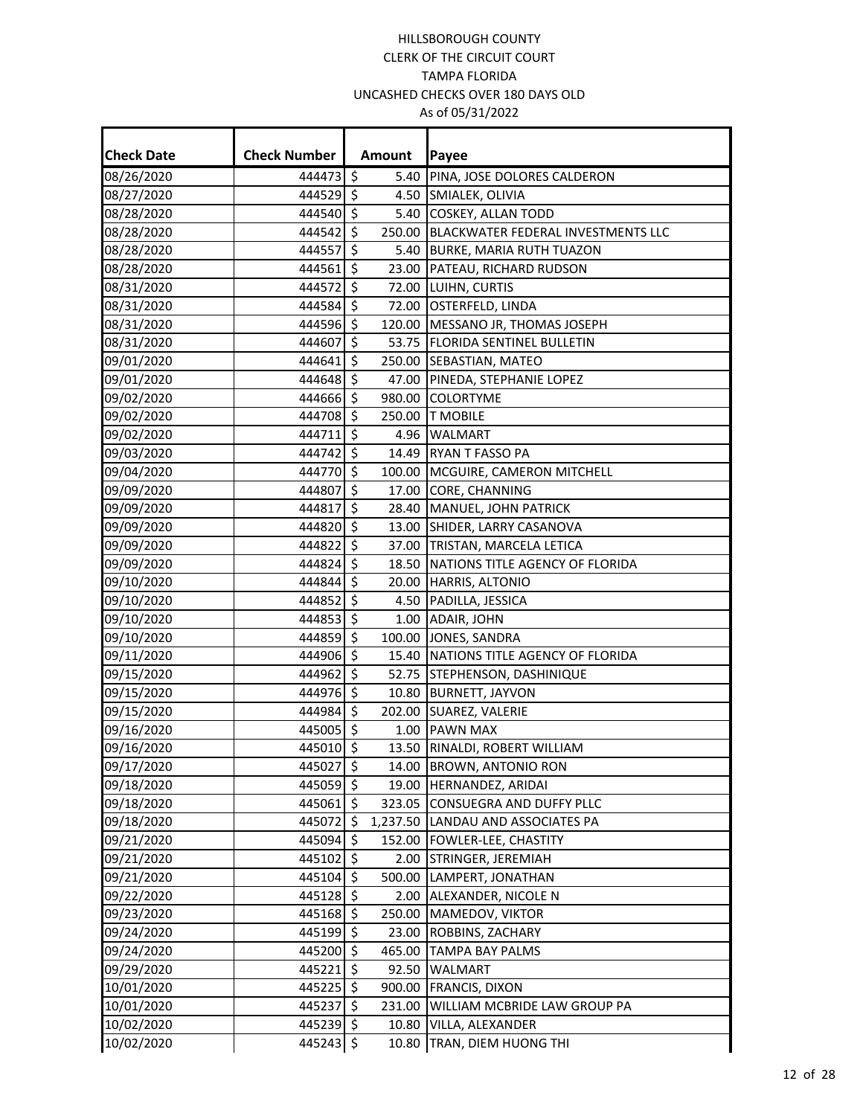| <b>Check Date</b> | <b>Check Number</b> |                     | Amount | Payee                                     |
|-------------------|---------------------|---------------------|--------|-------------------------------------------|
| 08/26/2020        | 444473 \$           |                     |        | 5.40 PINA, JOSE DOLORES CALDERON          |
| 08/27/2020        | 444529 \$           |                     |        | 4.50 SMIALEK, OLIVIA                      |
| 08/28/2020        | 444540 \$           |                     |        | 5.40 COSKEY, ALLAN TODD                   |
| 08/28/2020        | 444542 \$           |                     |        | 250.00 BLACKWATER FEDERAL INVESTMENTS LLC |
| 08/28/2020        | 444557              | \$                  |        | 5.40 BURKE, MARIA RUTH TUAZON             |
| 08/28/2020        | 444561 \$           |                     |        | 23.00 PATEAU, RICHARD RUDSON              |
| 08/31/2020        | 444572              | \$                  |        | 72.00 LUIHN, CURTIS                       |
| 08/31/2020        | 444584 \$           |                     |        | 72.00 OSTERFELD, LINDA                    |
| 08/31/2020        | 444596 \$           |                     |        | 120.00 MESSANO JR, THOMAS JOSEPH          |
| 08/31/2020        | 444607              | \$                  |        | 53.75 FLORIDA SENTINEL BULLETIN           |
| 09/01/2020        | 444641              | $\mathsf{\dot{S}}$  |        | 250.00 SEBASTIAN, MATEO                   |
| 09/01/2020        | 444648              | $\ddot{\mathsf{s}}$ |        | 47.00 PINEDA, STEPHANIE LOPEZ             |
| 09/02/2020        | 444666              | \$                  |        | 980.00 COLORTYME                          |
| 09/02/2020        | 444708 \$           |                     |        | 250.00 T MOBILE                           |
| 09/02/2020        | 444711              | \$                  |        | 4.96 WALMART                              |
| 09/03/2020        | 444742 \$           |                     |        | 14.49 RYAN T FASSO PA                     |
| 09/04/2020        | 444770 \$           |                     |        | 100.00 MCGUIRE, CAMERON MITCHELL          |
| 09/09/2020        | 444807              | \$                  |        | 17.00 CORE, CHANNING                      |
| 09/09/2020        | 444817              | -Ŝ                  |        | 28.40 MANUEL, JOHN PATRICK                |
| 09/09/2020        | 444820 \$           |                     |        | 13.00 SHIDER, LARRY CASANOVA              |
| 09/09/2020        | 444822              | \$                  |        | 37.00 TRISTAN, MARCELA LETICA             |
| 09/09/2020        | 444824 \$           |                     |        | 18.50 NATIONS TITLE AGENCY OF FLORIDA     |
| 09/10/2020        | 444844 \$           |                     |        | 20.00 HARRIS, ALTONIO                     |
| 09/10/2020        | 444852 \$           |                     |        | 4.50 PADILLA, JESSICA                     |
| 09/10/2020        | 444853 \$           |                     |        | 1.00 ADAIR, JOHN                          |
| 09/10/2020        | 444859 \$           |                     |        | 100.00 JONES, SANDRA                      |
| 09/11/2020        | 444906              | \$                  |        | 15.40 NATIONS TITLE AGENCY OF FLORIDA     |
| 09/15/2020        | 444962 \$           |                     |        | 52.75 STEPHENSON, DASHINIQUE              |
| 09/15/2020        | 444976 \$           |                     |        | 10.80 BURNETT, JAYVON                     |
| 09/15/2020        | 444984 \$           |                     |        | 202.00 SUAREZ, VALERIE                    |
| 09/16/2020        | 445005 \$           |                     |        | 1.00 PAWN MAX                             |
| 09/16/2020        | 445010 \$           |                     |        | 13.50 RINALDI, ROBERT WILLIAM             |
| 09/17/2020        | 445027 \$           |                     |        | 14.00 BROWN, ANTONIO RON                  |
| 09/18/2020        | 445059 \$           |                     |        | 19.00 HERNANDEZ, ARIDAI                   |
| 09/18/2020        | 445061 \$           |                     |        | 323.05 CONSUEGRA AND DUFFY PLLC           |
| 09/18/2020        | 445072 \$           |                     |        | 1,237.50 LANDAU AND ASSOCIATES PA         |
| 09/21/2020        | 445094 \$           |                     |        | 152.00 FOWLER-LEE, CHASTITY               |
| 09/21/2020        | 445102 \$           |                     |        | 2.00 STRINGER, JEREMIAH                   |
| 09/21/2020        | 445104 \$           |                     |        | 500.00 LAMPERT, JONATHAN                  |
| 09/22/2020        | 445128 \$           |                     |        | 2.00 ALEXANDER, NICOLE N                  |
| 09/23/2020        | 445168 \$           |                     |        | 250.00 MAMEDOV, VIKTOR                    |
| 09/24/2020        | 445199 \$           |                     |        | 23.00 ROBBINS, ZACHARY                    |
| 09/24/2020        | 445200 \$           |                     | 465.00 | <b>TAMPA BAY PALMS</b>                    |
| 09/29/2020        | 445221 \$           |                     | 92.50  | <b>WALMART</b>                            |
| 10/01/2020        | 445225 \$           |                     |        | 900.00 FRANCIS, DIXON                     |
| 10/01/2020        | 445237              | \$                  | 231.00 | WILLIAM MCBRIDE LAW GROUP PA              |
| 10/02/2020        | 445239 \$           |                     | 10.80  | VILLA, ALEXANDER                          |
| 10/02/2020        | 445243 \$           |                     | 10.80  | TRAN, DIEM HUONG THI                      |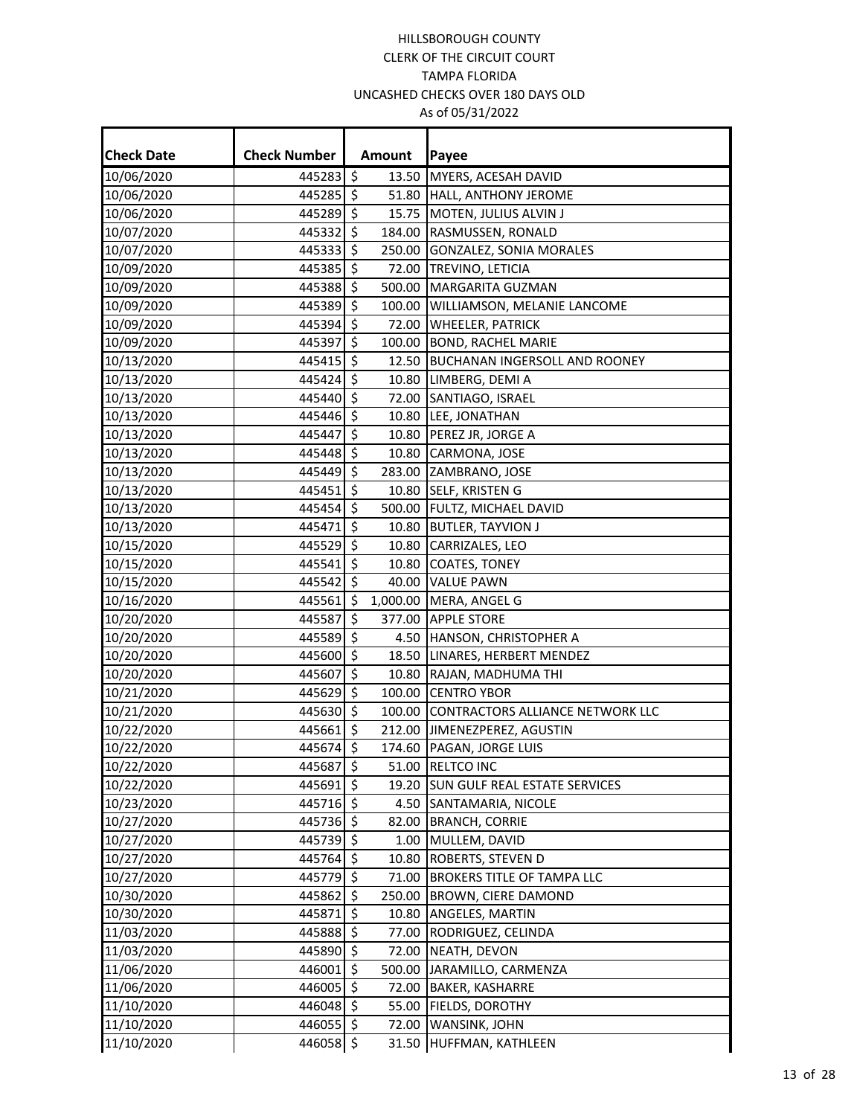| <b>Check Date</b> | <b>Check Number</b> |                      | Amount | Payee                                   |
|-------------------|---------------------|----------------------|--------|-----------------------------------------|
| 10/06/2020        | $445283$ \$         |                      | 13.50  | MYERS, ACESAH DAVID                     |
| 10/06/2020        | 445285              | \$                   |        | 51.80 HALL, ANTHONY JEROME              |
| 10/06/2020        | 445289 \$           |                      |        | 15.75 MOTEN, JULIUS ALVIN J             |
| 10/07/2020        | 445332 \$           |                      |        | 184.00 RASMUSSEN, RONALD                |
| 10/07/2020        | 445333              | \$                   |        | 250.00 GONZALEZ, SONIA MORALES          |
| 10/09/2020        | 445385 \$           |                      | 72.00  | <b>TREVINO, LETICIA</b>                 |
| 10/09/2020        | 445388              | \$                   |        | 500.00 MARGARITA GUZMAN                 |
| 10/09/2020        | 445389              | \$                   |        | 100.00   WILLIAMSON, MELANIE LANCOME    |
| 10/09/2020        | 445394 \$           |                      |        | 72.00 WHEELER, PATRICK                  |
| 10/09/2020        | 445397              | $\boldsymbol{\zeta}$ |        | 100.00 BOND, RACHEL MARIE               |
| 10/13/2020        | 445415              | \$                   | 12.50  | <b>BUCHANAN INGERSOLL AND ROONEY</b>    |
| 10/13/2020        | 445424 \$           |                      |        | 10.80 LIMBERG, DEMI A                   |
| 10/13/2020        | 445440              | \$                   |        | 72.00 SANTIAGO, ISRAEL                  |
| 10/13/2020        | 445446 \$           |                      |        | 10.80 LEE, JONATHAN                     |
| 10/13/2020        | 445447 \$           |                      |        | 10.80 PEREZ JR, JORGE A                 |
| 10/13/2020        | 445448              | \$                   |        | 10.80 CARMONA, JOSE                     |
| 10/13/2020        | 445449 \$           |                      |        | 283.00 ZAMBRANO, JOSE                   |
| 10/13/2020        | 445451              | $\zeta$              |        | 10.80 SELF, KRISTEN G                   |
| 10/13/2020        | 445454              | \$                   |        | 500.00 FULTZ, MICHAEL DAVID             |
| 10/13/2020        | 445471 \$           |                      | 10.80  | <b>BUTLER, TAYVION J</b>                |
| 10/15/2020        | 445529 \$           |                      |        | 10.80 CARRIZALES, LEO                   |
| 10/15/2020        | 445541              | \$                   | 10.80  | <b>COATES, TONEY</b>                    |
| 10/15/2020        | 445542 \$           |                      |        | 40.00 VALUE PAWN                        |
| 10/16/2020        | 445561              | \$                   |        | 1,000.00 MERA, ANGEL G                  |
| 10/20/2020        | 445587              | \$                   |        | 377.00 APPLE STORE                      |
| 10/20/2020        | 445589 \$           |                      |        | 4.50 HANSON, CHRISTOPHER A              |
| 10/20/2020        | 445600              | \$                   |        | 18.50 LINARES, HERBERT MENDEZ           |
| 10/20/2020        | 445607              | $\zeta$              |        | 10.80 RAJAN, MADHUMA THI                |
| 10/21/2020        | 445629              | $\zeta$              |        | 100.00 CENTRO YBOR                      |
| 10/21/2020        | 445630              | \$                   |        | 100.00 CONTRACTORS ALLIANCE NETWORK LLC |
| 10/22/2020        | 445661 \$           |                      |        | 212.00 JIMENEZPEREZ, AGUSTIN            |
| 10/22/2020        | 445674 \$           |                      |        | 174.60 PAGAN, JORGE LUIS                |
| 10/22/2020        | 445687 \$           |                      |        | 51.00 RELTCO INC                        |
| 10/22/2020        | 445691 \$           |                      |        | 19.20 SUN GULF REAL ESTATE SERVICES     |
| 10/23/2020        | 445716 \$           |                      |        | 4.50 SANTAMARIA, NICOLE                 |
| 10/27/2020        | 445736 \$           |                      |        | 82.00 BRANCH, CORRIE                    |
| 10/27/2020        | 445739 \$           |                      |        | 1.00 MULLEM, DAVID                      |
| 10/27/2020        | 445764 \$           |                      |        | 10.80 ROBERTS, STEVEN D                 |
| 10/27/2020        | 445779 \$           |                      |        | 71.00 BROKERS TITLE OF TAMPA LLC        |
| 10/30/2020        | 445862 \$           |                      |        | 250.00 BROWN, CIERE DAMOND              |
| 10/30/2020        | 445871              | \$                   |        | 10.80 ANGELES, MARTIN                   |
| 11/03/2020        | 445888 \$           |                      |        | 77.00   RODRIGUEZ, CELINDA              |
| 11/03/2020        | 445890 \$           |                      |        | 72.00 NEATH, DEVON                      |
| 11/06/2020        | 446001              | \$                   |        | 500.00 JARAMILLO, CARMENZA              |
| 11/06/2020        | 446005 \$           |                      |        | 72.00 BAKER, KASHARRE                   |
| 11/10/2020        | 446048 \$           |                      |        | 55.00   FIELDS, DOROTHY                 |
| 11/10/2020        | 446055 \$           |                      |        | 72.00 WANSINK, JOHN                     |
| 11/10/2020        | 446058 \$           |                      |        | 31.50 HUFFMAN, KATHLEEN                 |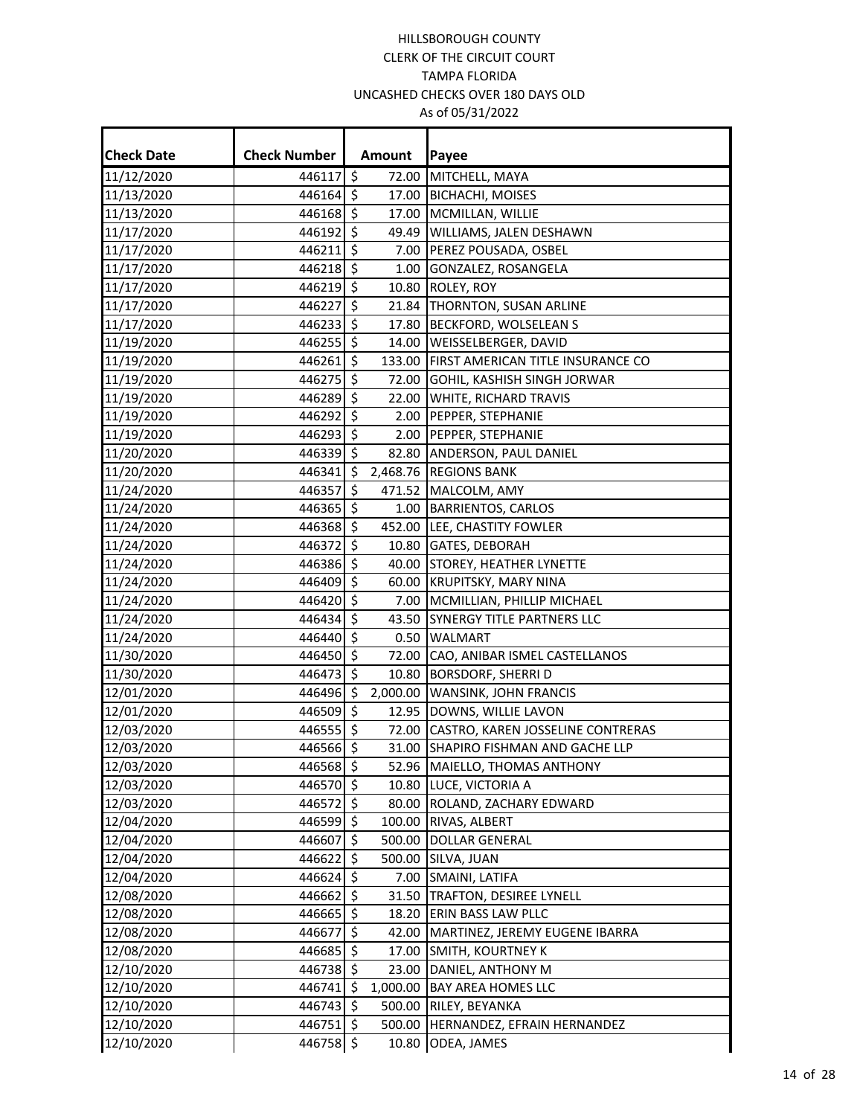| <b>Check Date</b> | <b>Check Number</b> |                          | Amount | Payee                                    |
|-------------------|---------------------|--------------------------|--------|------------------------------------------|
| 11/12/2020        | $446117$ \$         |                          |        | 72.00 MITCHELL, MAYA                     |
| 11/13/2020        | 446164              | \$                       |        | 17.00 BICHACHI, MOISES                   |
| 11/13/2020        | 446168 \$           |                          |        | 17.00 MCMILLAN, WILLIE                   |
| 11/17/2020        | 446192              | $\ddot{\mathsf{S}}$      |        | 49.49 WILLIAMS, JALEN DESHAWN            |
| 11/17/2020        | 446211              | $\overline{\mathcal{S}}$ |        | 7.00 PEREZ POUSADA, OSBEL                |
| 11/17/2020        | 446218 \$           |                          |        | 1.00 GONZALEZ, ROSANGELA                 |
| 11/17/2020        | 446219 \$           |                          |        | 10.80 ROLEY, ROY                         |
| 11/17/2020        | 446227              | $\ddot{\mathsf{S}}$      |        | 21.84 THORNTON, SUSAN ARLINE             |
| 11/17/2020        | 446233 \$           |                          |        | 17.80 BECKFORD, WOLSELEAN S              |
| 11/19/2020        | $446255$ \$         |                          |        | 14.00 WEISSELBERGER, DAVID               |
| 11/19/2020        | $446261$ \$         |                          |        | 133.00 FIRST AMERICAN TITLE INSURANCE CO |
| 11/19/2020        | $446275$ \$         |                          |        | 72.00 GOHIL, KASHISH SINGH JORWAR        |
| 11/19/2020        | 446289              | \$                       |        | 22.00 WHITE, RICHARD TRAVIS              |
| 11/19/2020        | 446292              | l\$                      |        | 2.00 PEPPER, STEPHANIE                   |
| 11/19/2020        | 446293 \$           |                          |        | 2.00 PEPPER, STEPHANIE                   |
| 11/20/2020        | 4463395             |                          |        | 82.80 ANDERSON, PAUL DANIEL              |
| 11/20/2020        | 446341              | \$                       |        | 2,468.76 REGIONS BANK                    |
| 11/24/2020        | 446357              | $\ddot{\mathsf{S}}$      |        | 471.52 MALCOLM, AMY                      |
| 11/24/2020        | 446365 \$           |                          |        | 1.00 BARRIENTOS, CARLOS                  |
| 11/24/2020        | 446368 \$           |                          |        | 452.00 LEE, CHASTITY FOWLER              |
| 11/24/2020        | 446372 \$           |                          |        | 10.80 GATES, DEBORAH                     |
| 11/24/2020        | 446386 \$           |                          |        | 40.00 STOREY, HEATHER LYNETTE            |
| 11/24/2020        | 446409 \$           |                          |        | 60.00 KRUPITSKY, MARY NINA               |
| 11/24/2020        | 446420 \$           |                          |        | 7.00   MCMILLIAN, PHILLIP MICHAEL        |
| 11/24/2020        | $446434$ \$         |                          |        | 43.50 SYNERGY TITLE PARTNERS LLC         |
| 11/24/2020        | $446440$ \$         |                          |        | 0.50 WALMART                             |
| 11/30/2020        | 446450 \$           |                          |        | 72.00 CAO, ANIBAR ISMEL CASTELLANOS      |
| 11/30/2020        | $446473$ \$         |                          |        | 10.80 BORSDORF, SHERRI D                 |
| 12/01/2020        | 446496 \$           |                          |        | 2,000.00 WANSINK, JOHN FRANCIS           |
| 12/01/2020        | 446509              | \$                       |        | 12.95 DOWNS, WILLIE LAVON                |
| 12/03/2020        | 446555 \$           |                          |        | 72.00 CASTRO, KAREN JOSSELINE CONTRERAS  |
| 12/03/2020        | 446566 \$           |                          |        | 31.00 SHAPIRO FISHMAN AND GACHE LLP      |
| 12/03/2020        | 446568 \$           |                          |        | 52.96 MAIELLO, THOMAS ANTHONY            |
| 12/03/2020        | 446570 \$           |                          |        | 10.80 LUCE, VICTORIA A                   |
| 12/03/2020        | 446572 \$           |                          |        | 80.00 ROLAND, ZACHARY EDWARD             |
| 12/04/2020        | 446599 \$           |                          |        | 100.00 RIVAS, ALBERT                     |
| 12/04/2020        | 446607              | $\ddot{\mathsf{s}}$      |        | 500.00 DOLLAR GENERAL                    |
| 12/04/2020        | 446622              | \$                       |        | 500.00 SILVA, JUAN                       |
| 12/04/2020        | 446624 \$           |                          |        | 7.00 SMAINI, LATIFA                      |
| 12/08/2020        | 446662              | \$                       |        | 31.50 TRAFTON, DESIREE LYNELL            |
| 12/08/2020        | 446665              | \$                       |        | 18.20 ERIN BASS LAW PLLC                 |
| 12/08/2020        | 446677              | $\ddot{\mathsf{S}}$      |        | 42.00 MARTINEZ, JEREMY EUGENE IBARRA     |
| 12/08/2020        | 446685 \$           |                          |        | 17.00 SMITH, KOURTNEY K                  |
| 12/10/2020        | 446738 \$           |                          |        | 23.00 DANIEL, ANTHONY M                  |
| 12/10/2020        | 446741 \$           |                          |        | 1,000.00 BAY AREA HOMES LLC              |
| 12/10/2020        | 446743              | \$ ا                     |        | 500.00 RILEY, BEYANKA                    |
| 12/10/2020        | 446751 \$           |                          |        | 500.00 HERNANDEZ, EFRAIN HERNANDEZ       |
| 12/10/2020        | 446758 \$           |                          | 10.80  | ODEA, JAMES                              |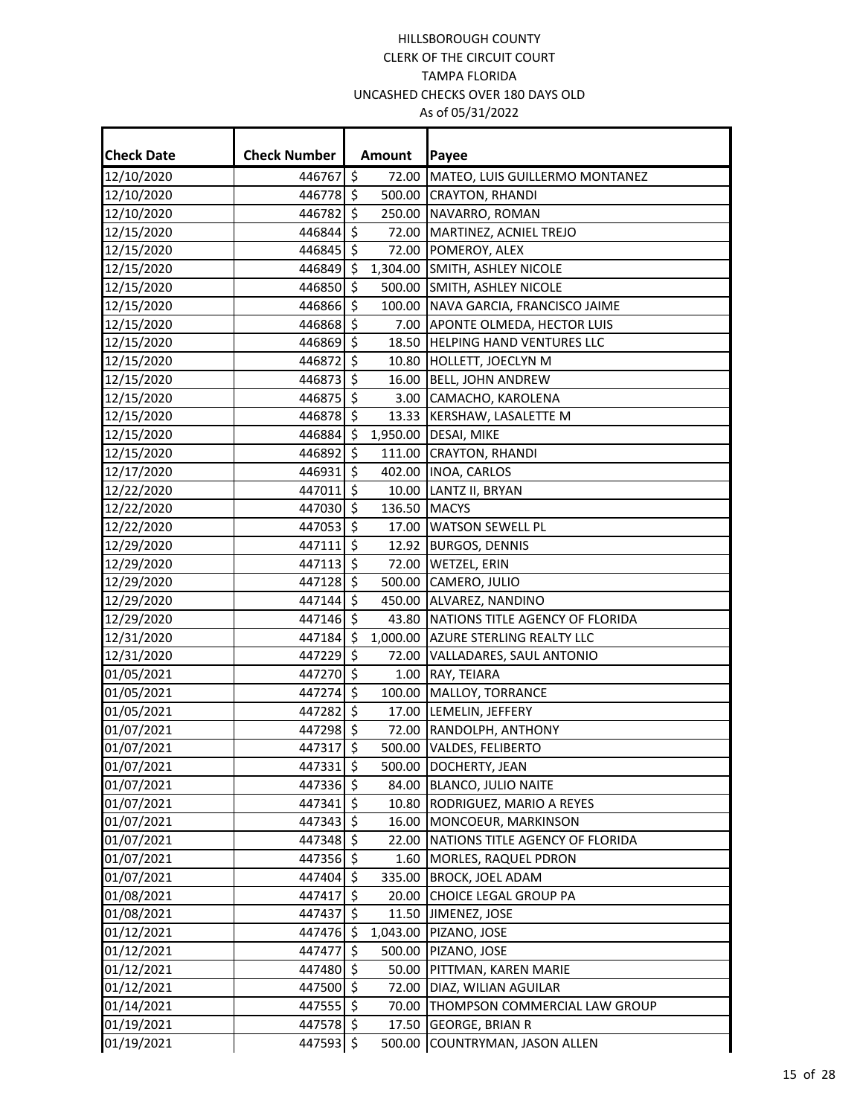| <b>Check Date</b> | <b>Check Number</b>    | Amount       | Payee                                                                  |
|-------------------|------------------------|--------------|------------------------------------------------------------------------|
| 12/10/2020        | 446767 \$              |              | 72.00 MATEO, LUIS GUILLERMO MONTANEZ                                   |
| 12/10/2020        | 446778 \$              |              | 500.00 CRAYTON, RHANDI                                                 |
| 12/10/2020        | 446782 \$              |              | 250.00 NAVARRO, ROMAN                                                  |
| 12/15/2020        | 446844 \$              |              | 72.00 MARTINEZ, ACNIEL TREJO                                           |
|                   | 446845 \$              |              |                                                                        |
| 12/15/2020        | 446849 \$              |              | 72.00 POMEROY, ALEX                                                    |
| 12/15/2020        |                        | \$           | 1,304.00 SMITH, ASHLEY NICOLE                                          |
| 12/15/2020        | 446850                 |              | 500.00 SMITH, ASHLEY NICOLE                                            |
| 12/15/2020        | 446866 \$<br>446868 \$ |              | 100.00 NAVA GARCIA, FRANCISCO JAIME<br>7.00 APONTE OLMEDA, HECTOR LUIS |
| 12/15/2020        | 446869 \$              |              |                                                                        |
| 12/15/2020        | 446872 \$              |              | 18.50 HELPING HAND VENTURES LLC                                        |
| 12/15/2020        |                        |              | 10.80 HOLLETT, JOECLYN M                                               |
| 12/15/2020        | 446873 \$              |              | 16.00 BELL, JOHN ANDREW                                                |
| 12/15/2020        | 446875 \$              |              | 3.00 CAMACHO, KAROLENA                                                 |
| 12/15/2020        | 446878 \$              |              | 13.33 KERSHAW, LASALETTE M                                             |
| 12/15/2020        | 446884 \$              |              | 1,950.00 DESAI, MIKE                                                   |
| 12/15/2020        | 446892                 | \$           | 111.00 CRAYTON, RHANDI                                                 |
| 12/17/2020        | 446931 \$              |              | 402.00 INOA, CARLOS                                                    |
| 12/22/2020        | 447011 \$              |              | 10.00 LANTZ II, BRYAN                                                  |
| 12/22/2020        | 447030 \$              | 136.50 MACYS |                                                                        |
| 12/22/2020        | 447053 \$              |              | 17.00 WATSON SEWELL PL                                                 |
| 12/29/2020        | 447111 \$              |              | 12.92 BURGOS, DENNIS                                                   |
| 12/29/2020        | 447113 \$              |              | 72.00 WETZEL, ERIN                                                     |
| 12/29/2020        | 447128 \$              |              | 500.00 CAMERO, JULIO                                                   |
| 12/29/2020        | 447144                 | \$           | 450.00 ALVAREZ, NANDINO                                                |
| 12/29/2020        | 447146 \$              |              | 43.80 NATIONS TITLE AGENCY OF FLORIDA                                  |
| 12/31/2020        | 447184 \$              |              | 1,000.00 AZURE STERLING REALTY LLC                                     |
| 12/31/2020        | 447229                 | \$           | 72.00 VALLADARES, SAUL ANTONIO                                         |
| 01/05/2021        | 447270 \$              |              | 1.00 RAY, TEIARA                                                       |
| 01/05/2021        | 447274 \$              |              | 100.00 MALLOY, TORRANCE                                                |
| 01/05/2021        | 447282 \$              |              | 17.00 LEMELIN, JEFFERY                                                 |
| 01/07/2021        | 447298 \$              |              | 72.00 RANDOLPH, ANTHONY                                                |
| 01/07/2021        | 447317 \$              |              | 500.00 VALDES, FELIBERTO                                               |
| 01/07/2021        | 447331 \$              |              | 500.00 DOCHERTY, JEAN                                                  |
| 01/07/2021        | 447336 \$              |              | 84.00 BLANCO, JULIO NAITE                                              |
| 01/07/2021        | 447341 \$              |              | 10.80   RODRIGUEZ, MARIO A REYES                                       |
| 01/07/2021        | 447343 \$              |              | 16.00 MONCOEUR, MARKINSON                                              |
| 01/07/2021        | 447348 \$              | 22.00        | NATIONS TITLE AGENCY OF FLORIDA                                        |
| 01/07/2021        | 447356 \$              |              | 1.60 MORLES, RAQUEL PDRON                                              |
| 01/07/2021        | 447404 \$              |              | 335.00 BROCK, JOEL ADAM                                                |
| 01/08/2021        | 447417 \$              |              | 20.00 CHOICE LEGAL GROUP PA                                            |
| 01/08/2021        | 447437 \$              |              | 11.50 JIMENEZ, JOSE                                                    |
| 01/12/2021        | 447476 \$              |              | 1,043.00 PIZANO, JOSE                                                  |
| 01/12/2021        | 447477                 | \$           | 500.00 PIZANO, JOSE                                                    |
| 01/12/2021        | 447480 \$              |              | 50.00 PITTMAN, KAREN MARIE                                             |
| 01/12/2021        | 447500 \$              |              | 72.00 DIAZ, WILIAN AGUILAR                                             |
| 01/14/2021        | 447555 \$              | 70.00        | THOMPSON COMMERCIAL LAW GROUP                                          |
| 01/19/2021        | 447578 \$              |              | 17.50 GEORGE, BRIAN R                                                  |
| 01/19/2021        | 447593 \$              |              | 500.00 COUNTRYMAN, JASON ALLEN                                         |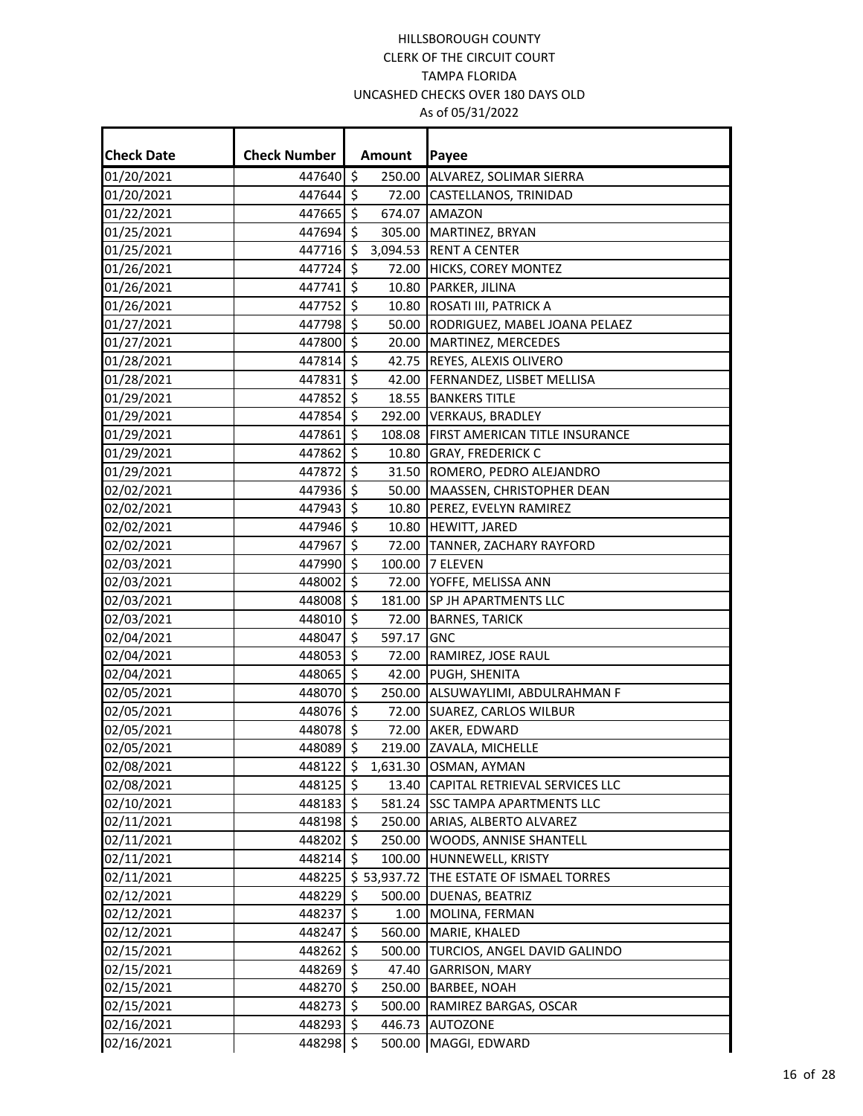| <b>Check Date</b>        | <b>Check Number</b>    |                     | Amount | Payee                                                            |
|--------------------------|------------------------|---------------------|--------|------------------------------------------------------------------|
| 01/20/2021               | 447640 \$              |                     |        | 250.00 ALVAREZ, SOLIMAR SIERRA                                   |
| 01/20/2021               | 447644 \$              |                     |        | 72.00 CASTELLANOS, TRINIDAD                                      |
| 01/22/2021               | 447665 \$              |                     |        | 674.07 AMAZON                                                    |
| 01/25/2021               | 447694 \$              |                     |        | 305.00 MARTINEZ, BRYAN                                           |
| 01/25/2021               | 447716                 | \$                  |        | 3,094.53 RENT A CENTER                                           |
| 01/26/2021               | 447724                 | $\ddot{\mathsf{S}}$ |        | 72.00 HICKS, COREY MONTEZ                                        |
| 01/26/2021               | 447741                 | -\$                 |        | 10.80 PARKER, JILINA                                             |
| 01/26/2021               | 447752 \$              |                     |        | 10.80 ROSATI III, PATRICK A                                      |
| 01/27/2021               | 447798 \$              |                     |        | 50.00 RODRIGUEZ, MABEL JOANA PELAEZ                              |
| 01/27/2021               | 447800 \$              |                     |        | 20.00 MARTINEZ, MERCEDES                                         |
| 01/28/2021               | 447814 \$              |                     |        | 42.75 REYES, ALEXIS OLIVERO                                      |
| 01/28/2021               | 447831                 | \$                  |        | 42.00 FERNANDEZ, LISBET MELLISA                                  |
| 01/29/2021               | 447852 \$              |                     |        | 18.55 BANKERS TITLE                                              |
| 01/29/2021               | 447854 \$              |                     |        | 292.00 VERKAUS, BRADLEY                                          |
| 01/29/2021               | 447861                 | S.                  |        | 108.08 FIRST AMERICAN TITLE INSURANCE                            |
|                          |                        | 5                   |        |                                                                  |
| 01/29/2021               | 447862<br>447872       | $\ddot{\mathsf{S}}$ |        | 10.80 GRAY, FREDERICK C<br>31.50 ROMERO, PEDRO ALEJANDRO         |
| 01/29/2021<br>02/02/2021 | 447936 \$              |                     |        | 50.00 MAASSEN, CHRISTOPHER DEAN                                  |
| 02/02/2021               | 447943 \$              |                     |        | 10.80 PEREZ, EVELYN RAMIREZ                                      |
| 02/02/2021               | 447946 \$              |                     |        | 10.80 HEWITT, JARED                                              |
| 02/02/2021               | 447967                 | \$                  |        |                                                                  |
|                          | 447990 \$              |                     |        | 72.00 TANNER, ZACHARY RAYFORD<br>100.00 7 ELEVEN                 |
| 02/03/2021<br>02/03/2021 | 448002 \$              |                     |        |                                                                  |
|                          | 448008 \$              |                     |        | 72.00 YOFFE, MELISSA ANN                                         |
| 02/03/2021<br>02/03/2021 | 448010 \$              |                     |        | 181.00 SP JH APARTMENTS LLC                                      |
| 02/04/2021               | 448047                 | $\mathsf{S}$        | 597.17 | 72.00 BARNES, TARICK<br><b>IGNC</b>                              |
| 02/04/2021               | 448053 \$              |                     |        |                                                                  |
| 02/04/2021               | 448065 \$              |                     |        | 72.00 RAMIREZ, JOSE RAUL<br>42.00 PUGH, SHENITA                  |
| 02/05/2021               | 448070 \$              |                     |        |                                                                  |
| 02/05/2021               | 448076 \$              |                     |        | 250.00 ALSUWAYLIMI, ABDULRAHMAN F<br>72.00 SUAREZ, CARLOS WILBUR |
| 02/05/2021               | 448078 \$              |                     |        | 72.00 AKER, EDWARD                                               |
| 02/05/2021               | 448089 \$              |                     |        | 219.00 ZAVALA, MICHELLE                                          |
| 02/08/2021               |                        |                     |        | 448122 \$ 1,631.30 OSMAN, AYMAN                                  |
| 02/08/2021               | 448125 \$              |                     |        | 13.40 CAPITAL RETRIEVAL SERVICES LLC                             |
| 02/10/2021               | 448183 \$              |                     |        | 581.24 SSC TAMPA APARTMENTS LLC                                  |
| 02/11/2021               | 448198 \$              |                     |        | 250.00 ARIAS, ALBERTO ALVAREZ                                    |
| 02/11/2021               | 448202 \$              |                     |        | 250.00 WOODS, ANNISE SHANTELL                                    |
| 02/11/2021               | 448214 \$              |                     |        | 100.00 HUNNEWELL, KRISTY                                         |
| 02/11/2021               |                        |                     |        | 448225 \$ 53,937.72 THE ESTATE OF ISMAEL TORRES                  |
| 02/12/2021               | 448229 \$              |                     |        |                                                                  |
|                          |                        |                     |        | 500.00 DUENAS, BEATRIZ                                           |
| 02/12/2021<br>02/12/2021 | 448237 \$<br>448247 \$ |                     |        | 1.00 MOLINA, FERMAN<br>560.00 MARIE, KHALED                      |
| 02/15/2021               | 448262 \$              |                     |        | 500.00 TURCIOS, ANGEL DAVID GALINDO                              |
| 02/15/2021               | 448269 \$              |                     | 47.40  | <b>GARRISON, MARY</b>                                            |
| 02/15/2021               | 448270 \$              |                     |        | 250.00 BARBEE, NOAH                                              |
| 02/15/2021               | 448273 \$              |                     |        | 500.00 RAMIREZ BARGAS, OSCAR                                     |
| 02/16/2021               | 448293 \$              |                     | 446.73 | <b>AUTOZONE</b>                                                  |
| 02/16/2021               | 448298 \$              |                     |        | 500.00 MAGGI, EDWARD                                             |
|                          |                        |                     |        |                                                                  |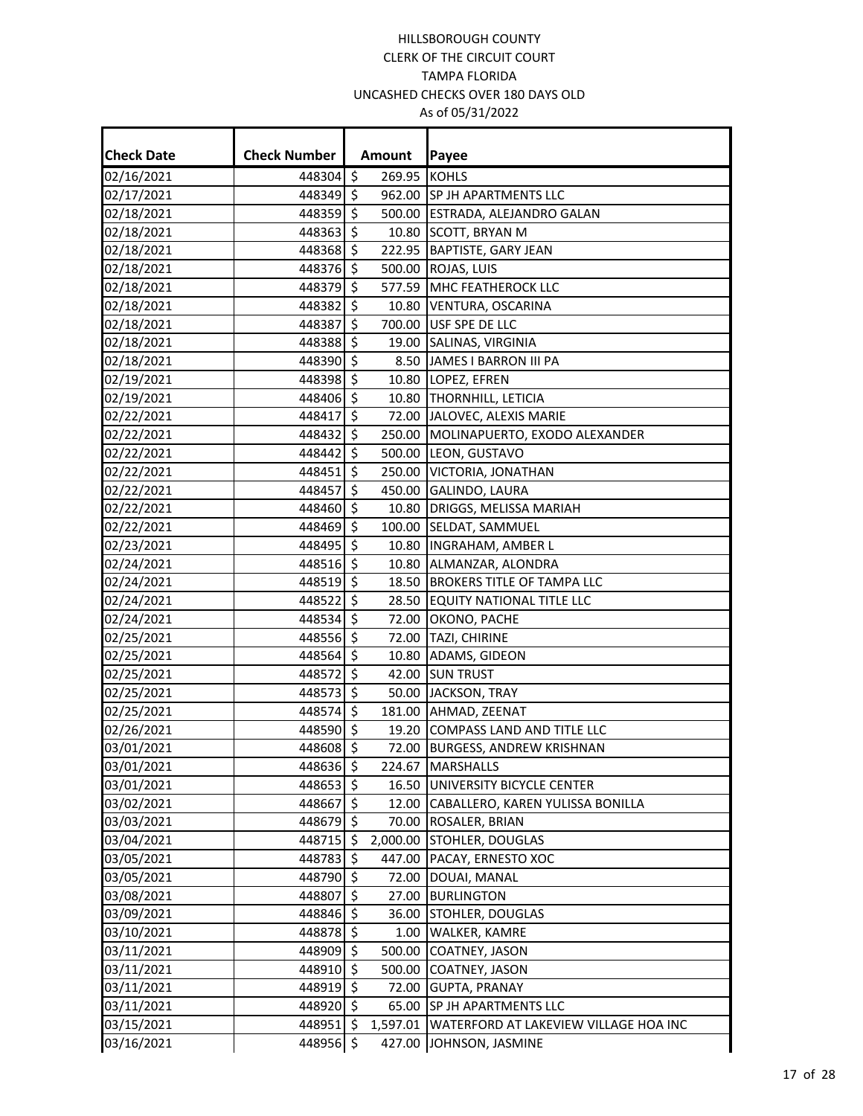| <b>Check Date</b> | <b>Check Number</b> |                     | Amount       | Payee                                 |
|-------------------|---------------------|---------------------|--------------|---------------------------------------|
| 02/16/2021        | 448304 \$           |                     | 269.95 KOHLS |                                       |
| 02/17/2021        | 448349 \$           |                     |              | 962.00 SP JH APARTMENTS LLC           |
| 02/18/2021        | 448359 \$           |                     |              | 500.00 ESTRADA, ALEJANDRO GALAN       |
| 02/18/2021        | 448363 \$           |                     |              | 10.80 SCOTT, BRYAN M                  |
| 02/18/2021        | 448368 \$           |                     |              | 222.95 BAPTISTE, GARY JEAN            |
| 02/18/2021        | 448376 \$           |                     |              | 500.00 ROJAS, LUIS                    |
| 02/18/2021        | 448379 \$           |                     |              | 577.59 MHC FEATHEROCK LLC             |
| 02/18/2021        | 448382 \$           |                     |              | 10.80 VENTURA, OSCARINA               |
| 02/18/2021        | 448387 \$           |                     |              | 700.00 USF SPE DE LLC                 |
| 02/18/2021        | 448388 \$           |                     |              | 19.00 SALINAS, VIRGINIA               |
| 02/18/2021        | 448390 \$           |                     |              | 8.50 JAMES I BARRON III PA            |
| 02/19/2021        | 448398 \$           |                     |              | 10.80 LOPEZ, EFREN                    |
| 02/19/2021        | 448406 \$           |                     |              | 10.80 THORNHILL, LETICIA              |
| 02/22/2021        | 448417 \$           |                     |              | 72.00 JALOVEC, ALEXIS MARIE           |
| 02/22/2021        | 448432              | $\ddot{\mathsf{s}}$ |              | 250.00 MOLINAPUERTO, EXODO ALEXANDER  |
| 02/22/2021        | 448442 \$           |                     |              | 500.00 LEON, GUSTAVO                  |
| 02/22/2021        | 448451 \$           |                     |              | 250.00 VICTORIA, JONATHAN             |
| 02/22/2021        | 448457              | -\$                 |              | 450.00 GALINDO, LAURA                 |
| 02/22/2021        | 448460 \$           |                     |              | 10.80 DRIGGS, MELISSA MARIAH          |
| 02/22/2021        | 448469 \$           |                     |              | 100.00 SELDAT, SAMMUEL                |
| 02/23/2021        | 448495 \$           |                     |              | 10.80  INGRAHAM, AMBER L              |
| 02/24/2021        | 448516 \$           |                     |              | 10.80 ALMANZAR, ALONDRA               |
| 02/24/2021        | 448519 \$           |                     |              | 18.50 BROKERS TITLE OF TAMPA LLC      |
| 02/24/2021        | 448522 \$           |                     |              | 28.50 EQUITY NATIONAL TITLE LLC       |
| 02/24/2021        | 448534 \$           |                     |              | 72.00 OKONO, PACHE                    |
| 02/25/2021        | 448556 \$           |                     |              | 72.00 TAZI, CHIRINE                   |
| 02/25/2021        | 448564 \$           |                     |              | 10.80 ADAMS, GIDEON                   |
| 02/25/2021        | 448572 \$           |                     |              | 42.00 SUN TRUST                       |
| 02/25/2021        | 448573 \$           |                     |              | 50.00 JACKSON, TRAY                   |
| 02/25/2021        | 448574 \$           |                     |              | 181.00 AHMAD, ZEENAT                  |
| 02/26/2021        | 448590 \$           |                     |              | 19.20 COMPASS LAND AND TITLE LLC      |
| 03/01/2021        | 448608 \$           |                     |              | 72.00 BURGESS, ANDREW KRISHNAN        |
| 03/01/2021        | 448636 \$           |                     |              | 224.67 MARSHALLS                      |
| 03/01/2021        | 448653 \$           |                     |              | 16.50 UNIVERSITY BICYCLE CENTER       |
| 03/02/2021        | 448667              | \$.                 | 12.00        | CABALLERO, KAREN YULISSA BONILLA      |
| 03/03/2021        | 448679 \$           |                     |              | 70.00 ROSALER, BRIAN                  |
| 03/04/2021        | 448715 \$           |                     |              | 2,000.00 STOHLER, DOUGLAS             |
| 03/05/2021        | 448783 \$           |                     | 447.00       | PACAY, ERNESTO XOC                    |
| 03/05/2021        | 448790 \$           |                     |              | 72.00 DOUAI, MANAL                    |
| 03/08/2021        | 448807              | \$                  |              | 27.00 BURLINGTON                      |
| 03/09/2021        | 448846 \$           |                     | 36.00        | <b>STOHLER, DOUGLAS</b>               |
| 03/10/2021        | 448878 \$           |                     |              | 1.00 WALKER, KAMRE                    |
| 03/11/2021        | 448909              | \$                  | 500.00       | COATNEY, JASON                        |
| 03/11/2021        | 448910 \$           |                     | 500.00       | COATNEY, JASON                        |
| 03/11/2021        | 448919 \$           |                     |              | 72.00 GUPTA, PRANAY                   |
| 03/11/2021        | 448920 \$           |                     | 65.00        | SP JH APARTMENTS LLC                  |
| 03/15/2021        | 448951 \$           |                     | 1,597.01     | WATERFORD AT LAKEVIEW VILLAGE HOA INC |
| 03/16/2021        | 448956              | $\ddot{\mathsf{s}}$ | 427.00       | JOHNSON, JASMINE                      |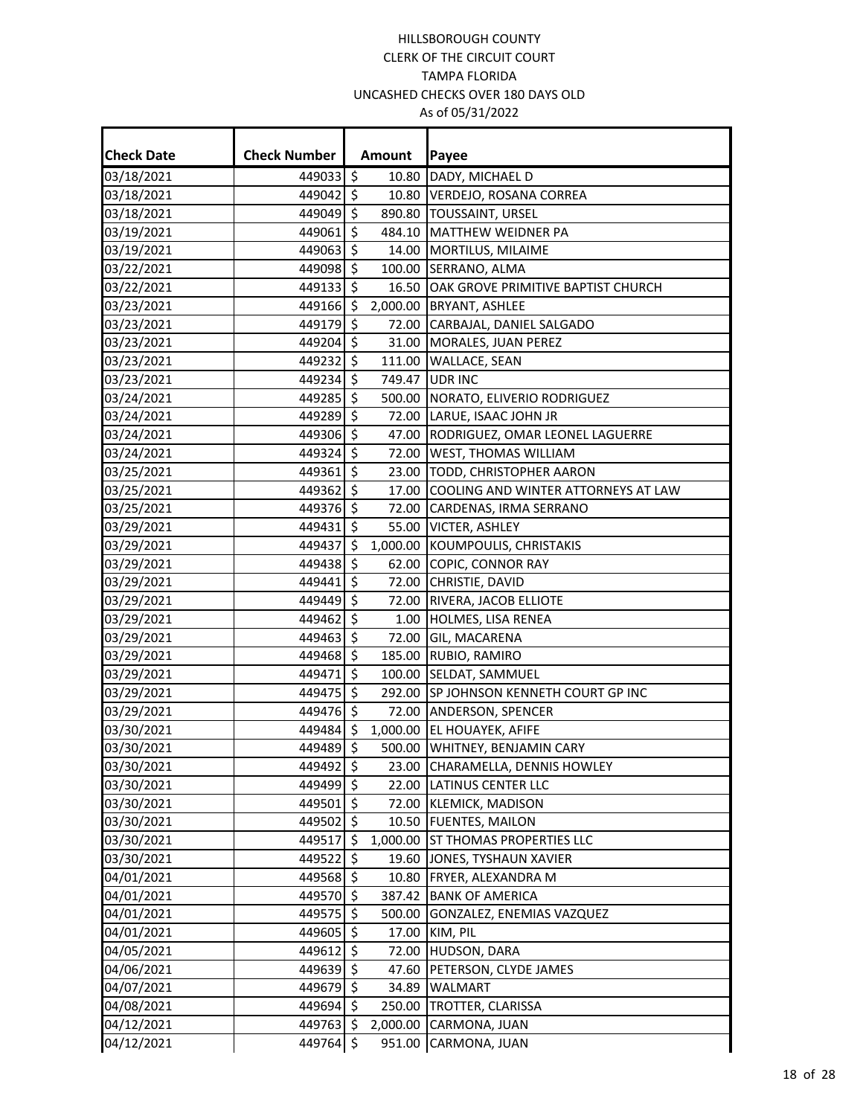| <b>Check Date</b> | <b>Check Number</b> | Amount   | Payee                                     |
|-------------------|---------------------|----------|-------------------------------------------|
| 03/18/2021        | 449033 \$           | 10.80    | DADY, MICHAEL D                           |
| 03/18/2021        | 449042 \$           |          | 10.80 VERDEJO, ROSANA CORREA              |
| 03/18/2021        | 449049 \$           |          | 890.80 TOUSSAINT, URSEL                   |
| 03/19/2021        | 449061 \$           |          | 484.10 MATTHEW WEIDNER PA                 |
| 03/19/2021        | 449063 \$           |          | 14.00 MORTILUS, MILAIME                   |
| 03/22/2021        | 449098 \$           |          | 100.00 SERRANO, ALMA                      |
| 03/22/2021        | 449133 \$           |          | 16.50 OAK GROVE PRIMITIVE BAPTIST CHURCH  |
| 03/23/2021        | 449166 \$           |          | 2,000.00 BRYANT, ASHLEE                   |
| 03/23/2021        | 449179 \$           |          | 72.00 CARBAJAL, DANIEL SALGADO            |
| 03/23/2021        | 449204 \$           |          | 31.00 MORALES, JUAN PEREZ                 |
| 03/23/2021        | 449232 \$           |          | 111.00 WALLACE, SEAN                      |
| 03/23/2021        | 449234 \$           |          | 749.47 UDR INC                            |
| 03/24/2021        | 449285 \$           |          | 500.00 NORATO, ELIVERIO RODRIGUEZ         |
| 03/24/2021        | 449289 \$           |          | 72.00 LARUE, ISAAC JOHN JR                |
| 03/24/2021        | 449306 \$           |          | 47.00 RODRIGUEZ, OMAR LEONEL LAGUERRE     |
| 03/24/2021        | 449324              | \$       | 72.00 WEST, THOMAS WILLIAM                |
| 03/25/2021        | 449361 \$           |          | 23.00 TODD, CHRISTOPHER AARON             |
| 03/25/2021        | 449362 \$           |          | 17.00 COOLING AND WINTER ATTORNEYS AT LAW |
| 03/25/2021        | 449376 \$           |          | 72.00 CARDENAS, IRMA SERRANO              |
| 03/29/2021        | 449431 \$           |          | 55.00 VICTER, ASHLEY                      |
| 03/29/2021        | 449437 \$           |          | 1,000.00 KOUMPOULIS, CHRISTAKIS           |
| 03/29/2021        | 449438 \$           |          | 62.00 COPIC, CONNOR RAY                   |
| 03/29/2021        | 449441 \$           |          | 72.00 CHRISTIE, DAVID                     |
| 03/29/2021        | 449449 \$           |          | 72.00 RIVERA, JACOB ELLIOTE               |
| 03/29/2021        | 449462 \$           |          | 1.00 HOLMES, LISA RENEA                   |
| 03/29/2021        | 449463 \$           |          | 72.00 GIL, MACARENA                       |
| 03/29/2021        | 449468              | \$       | 185.00 RUBIO, RAMIRO                      |
| 03/29/2021        | 449471 \$           |          | 100.00 SELDAT, SAMMUEL                    |
| 03/29/2021        | 449475 \$           |          | 292.00 SP JOHNSON KENNETH COURT GP INC    |
| 03/29/2021        | 449476 \$           |          | 72.00 ANDERSON, SPENCER                   |
| 03/30/2021        | 449484 \$           |          | 1,000.00 EL HOUAYEK, AFIFE                |
| 03/30/2021        | 449489 \$           |          | 500.00 WHITNEY, BENJAMIN CARY             |
| 03/30/2021        | 449492 \$           |          | 23.00 CHARAMELLA, DENNIS HOWLEY           |
| 03/30/2021        | 449499 \$           |          | 22.00 LATINUS CENTER LLC                  |
| 03/30/2021        | 449501 \$           |          | 72.00 KLEMICK, MADISON                    |
| 03/30/2021        | 449502 \$           |          | 10.50 FUENTES, MAILON                     |
| 03/30/2021        | 449517 \$           |          | 1,000.00 ST THOMAS PROPERTIES LLC         |
| 03/30/2021        | 449522              | \$       | 19.60 JONES, TYSHAUN XAVIER               |
| 04/01/2021        | 449568 \$           |          | 10.80 FRYER, ALEXANDRA M                  |
| 04/01/2021        | 449570 \$           |          | 387.42 BANK OF AMERICA                    |
| 04/01/2021        | 449575 \$           |          | 500.00 GONZALEZ, ENEMIAS VAZQUEZ          |
| 04/01/2021        | 449605 \$           |          | 17.00 KIM, PIL                            |
| 04/05/2021        | 449612 \$           |          | 72.00 HUDSON, DARA                        |
| 04/06/2021        | 449639 \$           | 47.60    | PETERSON, CLYDE JAMES                     |
| 04/07/2021        | 449679 \$           | 34.89    | <b>WALMART</b>                            |
| 04/08/2021        | 449694 \$           |          | 250.00 TROTTER, CLARISSA                  |
| 04/12/2021        | 449763 \$           | 2,000.00 | CARMONA, JUAN                             |
| 04/12/2021        | 449764 \$           |          | 951.00 CARMONA, JUAN                      |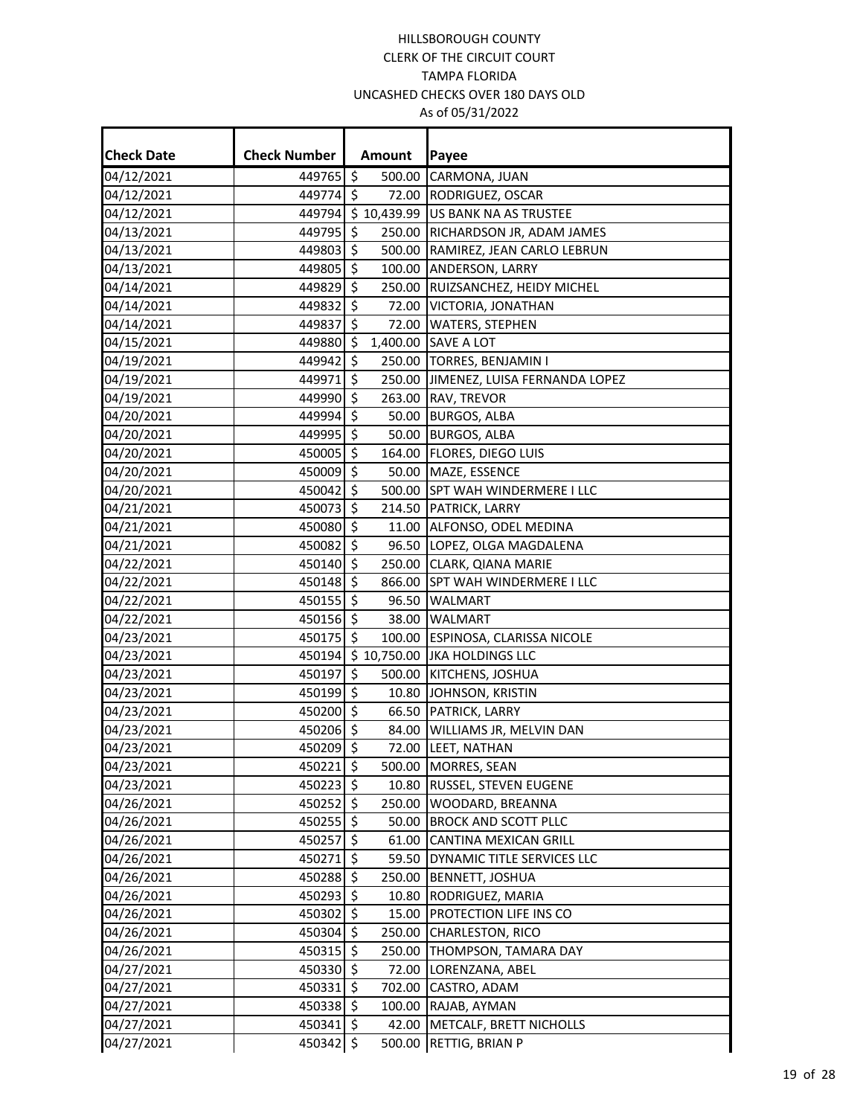| <b>Check Date</b> | <b>Check Number</b>           | <b>Amount</b>                 | Payee                                    |
|-------------------|-------------------------------|-------------------------------|------------------------------------------|
| 04/12/2021        | 449765                        | $\ddot{\mathsf{S}}$<br>500.00 | CARMONA, JUAN                            |
| 04/12/2021        | 449774 \$                     | 72.00                         | RODRIGUEZ, OSCAR                         |
| 04/12/2021        |                               |                               | 449794 \$10,439.99 US BANK NA AS TRUSTEE |
| 04/13/2021        | 449795                        | $\zeta$<br>250.00             | RICHARDSON JR, ADAM JAMES                |
| 04/13/2021        | 449803                        | \$<br>500.00                  | RAMIREZ, JEAN CARLO LEBRUN               |
| 04/13/2021        | 449805 \$                     | 100.00                        | <b>ANDERSON, LARRY</b>                   |
| 04/14/2021        | 449829                        | \$<br>250.00                  | RUIZSANCHEZ, HEIDY MICHEL                |
| 04/14/2021        | 449832                        | S.                            | 72.00 VICTORIA, JONATHAN                 |
| 04/14/2021        | 449837                        | $\zeta$<br>72.00              | <b>WATERS, STEPHEN</b>                   |
| 04/15/2021        | 449880                        | $\zeta$<br>1,400.00           | <b>SAVE A LOT</b>                        |
| 04/19/2021        | 449942                        | $\zeta$                       | 250.00 TORRES, BENJAMIN I                |
| 04/19/2021        | 449971                        | $\zeta$                       | 250.00 JIMENEZ, LUISA FERNANDA LOPEZ     |
| 04/19/2021        | 449990                        | \$                            | 263.00 RAV, TREVOR                       |
| 04/20/2021        | 449994 \$                     | 50.00                         | <b>BURGOS, ALBA</b>                      |
| 04/20/2021        | 449995 \$                     |                               | 50.00 BURGOS, ALBA                       |
| 04/20/2021        | 450005                        | \$<br>164.00                  | <b>FLORES, DIEGO LUIS</b>                |
| 04/20/2021        | 450009 \$                     |                               | 50.00 MAZE, ESSENCE                      |
| 04/20/2021        | 450042                        | $\zeta$<br>500.00             | <b>SPT WAH WINDERMERE I LLC</b>          |
| 04/21/2021        | 450073                        | \$                            | 214.50 PATRICK, LARRY                    |
| 04/21/2021        | 450080 \$                     |                               | 11.00 ALFONSO, ODEL MEDINA               |
| 04/21/2021        | 450082                        | $\zeta$                       | 96.50 LOPEZ, OLGA MAGDALENA              |
| 04/22/2021        | $450140 \overline{\smash{5}}$ |                               | 250.00 CLARK, QIANA MARIE                |
| 04/22/2021        | 450148 \$                     | 866.00                        | <b>SPT WAH WINDERMERE I LLC</b>          |
| 04/22/2021        | 450155                        | \$                            | 96.50 WALMART                            |
| 04/22/2021        | 450156 \$                     |                               | 38.00 WALMART                            |
| 04/23/2021        | 450175 \$                     |                               | 100.00 ESPINOSA, CLARISSA NICOLE         |
| 04/23/2021        | 450194                        | \$10,750.00                   | <b>JKA HOLDINGS LLC</b>                  |
| 04/23/2021        | 450197                        | $\zeta$<br>500.00             | KITCHENS, JOSHUA                         |
| 04/23/2021        | 450199 \$                     | 10.80                         | JOHNSON, KRISTIN                         |
| 04/23/2021        | 450200 \$                     | 66.50                         | PATRICK, LARRY                           |
| 04/23/2021        | 450206 \$                     |                               | 84.00 WILLIAMS JR, MELVIN DAN            |
| 04/23/2021        | 450209 \$                     |                               | 72.00 LEET, NATHAN                       |
| 04/23/2021        | 450221 \$                     |                               | 500.00 MORRES, SEAN                      |
| 04/23/2021        | 450223 \$                     |                               | 10.80 RUSSEL, STEVEN EUGENE              |
| 04/26/2021        | 450252                        | \$<br>250.00                  | WOODARD, BREANNA                         |
| 04/26/2021        | 450255 \$                     | 50.00                         | <b>BROCK AND SCOTT PLLC</b>              |
| 04/26/2021        | 450257                        | \$<br>61.00                   | CANTINA MEXICAN GRILL                    |
| 04/26/2021        | 450271                        | \$<br>59.50                   | DYNAMIC TITLE SERVICES LLC               |
| 04/26/2021        | 450288 \$                     | 250.00                        | <b>BENNETT, JOSHUA</b>                   |
| 04/26/2021        | 450293 \$                     | 10.80                         | RODRIGUEZ, MARIA                         |
| 04/26/2021        | 450302 \$                     | 15.00                         | <b>PROTECTION LIFE INS CO</b>            |
| 04/26/2021        | 450304 \$                     |                               | 250.00 CHARLESTON, RICO                  |
| 04/26/2021        | 450315                        | $\zeta$<br>250.00             | THOMPSON, TAMARA DAY                     |
| 04/27/2021        | 450330                        | $\zeta$<br>72.00              | LORENZANA, ABEL                          |
| 04/27/2021        | 450331 \$                     | 702.00                        | CASTRO, ADAM                             |
| 04/27/2021        | 450338                        | \$<br>100.00                  | RAJAB, AYMAN                             |
| 04/27/2021        | 450341 \$                     | 42.00                         | METCALF, BRETT NICHOLLS                  |
| 04/27/2021        | 450342 \$                     | 500.00                        | RETTIG, BRIAN P                          |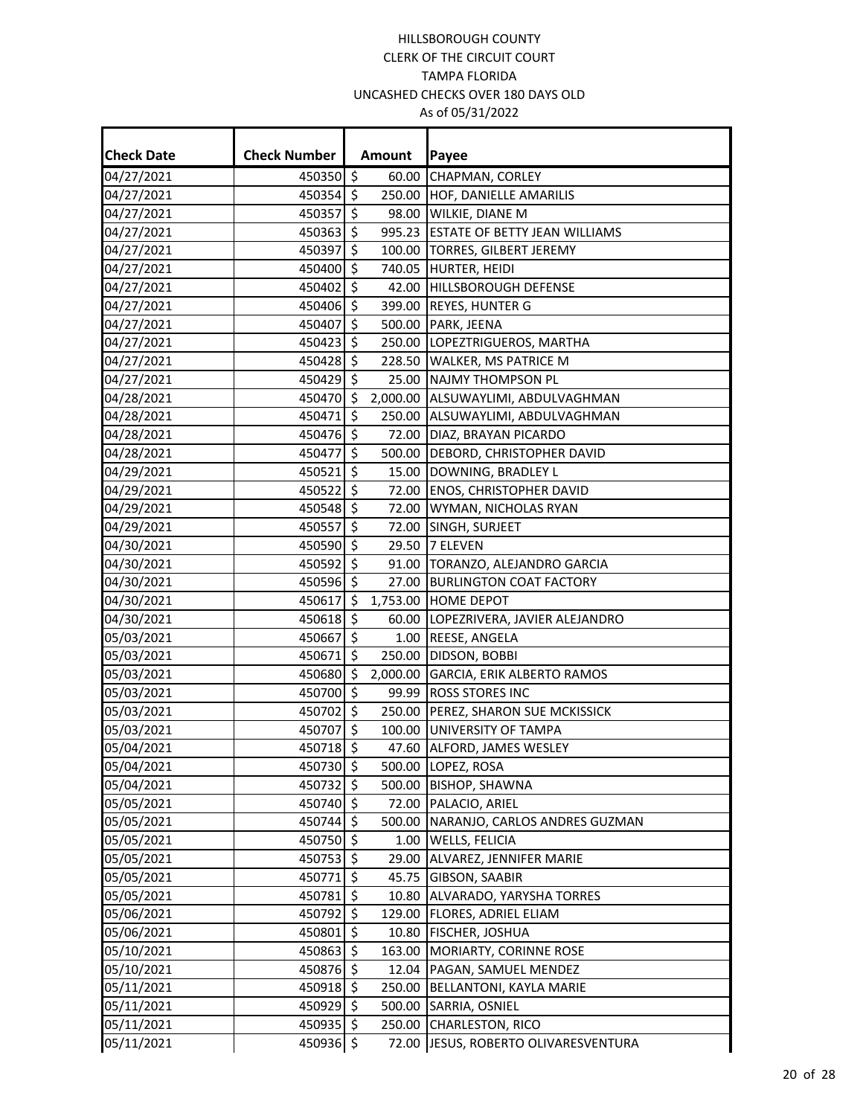| <b>Check Date</b> | <b>Check Number</b> | <b>Amount</b> | Payee                                |
|-------------------|---------------------|---------------|--------------------------------------|
| 04/27/2021        | 450350 \$           |               | 60.00 CHAPMAN, CORLEY                |
| 04/27/2021        | 450354 \$           |               | 250.00 HOF, DANIELLE AMARILIS        |
| 04/27/2021        | 450357 \$           |               | 98.00 WILKIE, DIANE M                |
| 04/27/2021        | 450363 \$           |               | 995.23 ESTATE OF BETTY JEAN WILLIAMS |
| 04/27/2021        | 450397              | \$            | 100.00 TORRES, GILBERT JEREMY        |
| 04/27/2021        | 450400 \$           |               | 740.05 HURTER, HEIDI                 |
| 04/27/2021        | 450402 \$           |               | 42.00 HILLSBOROUGH DEFENSE           |
| 04/27/2021        | 450406 \$           |               | 399.00 REYES, HUNTER G               |
| 04/27/2021        | 450407 \$           |               | 500.00 PARK, JEENA                   |
| 04/27/2021        | 450423 \$           |               | 250.00 LOPEZTRIGUEROS, MARTHA        |
| 04/27/2021        | 450428 \$           |               | 228.50 WALKER, MS PATRICE M          |
| 04/27/2021        | 450429 \$           |               | 25.00 NAJMY THOMPSON PL              |
| 04/28/2021        | 450470 \$           |               | 2,000.00 ALSUWAYLIMI, ABDULVAGHMAN   |
| 04/28/2021        | 450471 \$           |               | 250.00 ALSUWAYLIMI, ABDULVAGHMAN     |
| 04/28/2021        | 450476 \$           |               | 72.00 DIAZ, BRAYAN PICARDO           |
| 04/28/2021        | 450477 \$           |               | 500.00 DEBORD, CHRISTOPHER DAVID     |
| 04/29/2021        | 450521              | \$            | 15.00 DOWNING, BRADLEY L             |
| 04/29/2021        | 450522 \$           |               | 72.00 ENOS, CHRISTOPHER DAVID        |
| 04/29/2021        | 450548 \$           |               | 72.00 WYMAN, NICHOLAS RYAN           |
| 04/29/2021        | 450557 \$           |               | 72.00 SINGH, SURJEET                 |
| 04/30/2021        | 450590 \$           |               | 29.50 7 ELEVEN                       |
| 04/30/2021        | 450592 \$           |               | 91.00 TORANZO, ALEJANDRO GARCIA      |
| 04/30/2021        | 450596 \$           |               | 27.00 BURLINGTON COAT FACTORY        |
| 04/30/2021        | 450617              | \$            | 1,753.00 HOME DEPOT                  |
| 04/30/2021        | 450618 \$           |               | 60.00 LOPEZRIVERA, JAVIER ALEJANDRO  |
| 05/03/2021        | 450667 \$           |               | 1.00 REESE, ANGELA                   |
| 05/03/2021        | 450671 \$           |               | 250.00 DIDSON, BOBBI                 |
| 05/03/2021        | 450680 \$           |               | 2,000.00 GARCIA, ERIK ALBERTO RAMOS  |
| 05/03/2021        | 450700 \$           |               | 99.99 ROSS STORES INC                |
| 05/03/2021        | 450702 \$           |               | 250.00 PEREZ, SHARON SUE MCKISSICK   |
| 05/03/2021        | 450707 \$           |               | 100.00 UNIVERSITY OF TAMPA           |
| 05/04/2021        | 450718 \$           |               | 47.60 ALFORD, JAMES WESLEY           |
| 05/04/2021        | 450730 \$           |               | 500.00 LOPEZ, ROSA                   |
| 05/04/2021        | 450732 \$           |               | 500.00 BISHOP, SHAWNA                |
| 05/05/2021        | 450740 \$           |               | 72.00 PALACIO, ARIEL                 |
| 05/05/2021        | 450744 \$           |               | 500.00 NARANJO, CARLOS ANDRES GUZMAN |
| 05/05/2021        | 450750 \$           |               | 1.00 WELLS, FELICIA                  |
| 05/05/2021        | 450753 \$           |               | 29.00 ALVAREZ, JENNIFER MARIE        |
| 05/05/2021        | 450771 \$           |               | 45.75 GIBSON, SAABIR                 |
| 05/05/2021        | 450781 \$           |               | 10.80 ALVARADO, YARYSHA TORRES       |
| 05/06/2021        | 450792 \$           |               | 129.00 FLORES, ADRIEL ELIAM          |
| 05/06/2021        | 450801 \$           |               | 10.80 FISCHER, JOSHUA                |
| 05/10/2021        | 450863 \$           |               | 163.00 MORIARTY, CORINNE ROSE        |
| 05/10/2021        | 450876 \$           |               | 12.04 PAGAN, SAMUEL MENDEZ           |
| 05/11/2021        | 450918 \$           |               | 250.00 BELLANTONI, KAYLA MARIE       |
| 05/11/2021        | 450929 \$           |               | 500.00 SARRIA, OSNIEL                |
| 05/11/2021        | 450935 \$           |               | 250.00 CHARLESTON, RICO              |
| 05/11/2021        | 450936 \$           |               | 72.00 JESUS, ROBERTO OLIVARESVENTURA |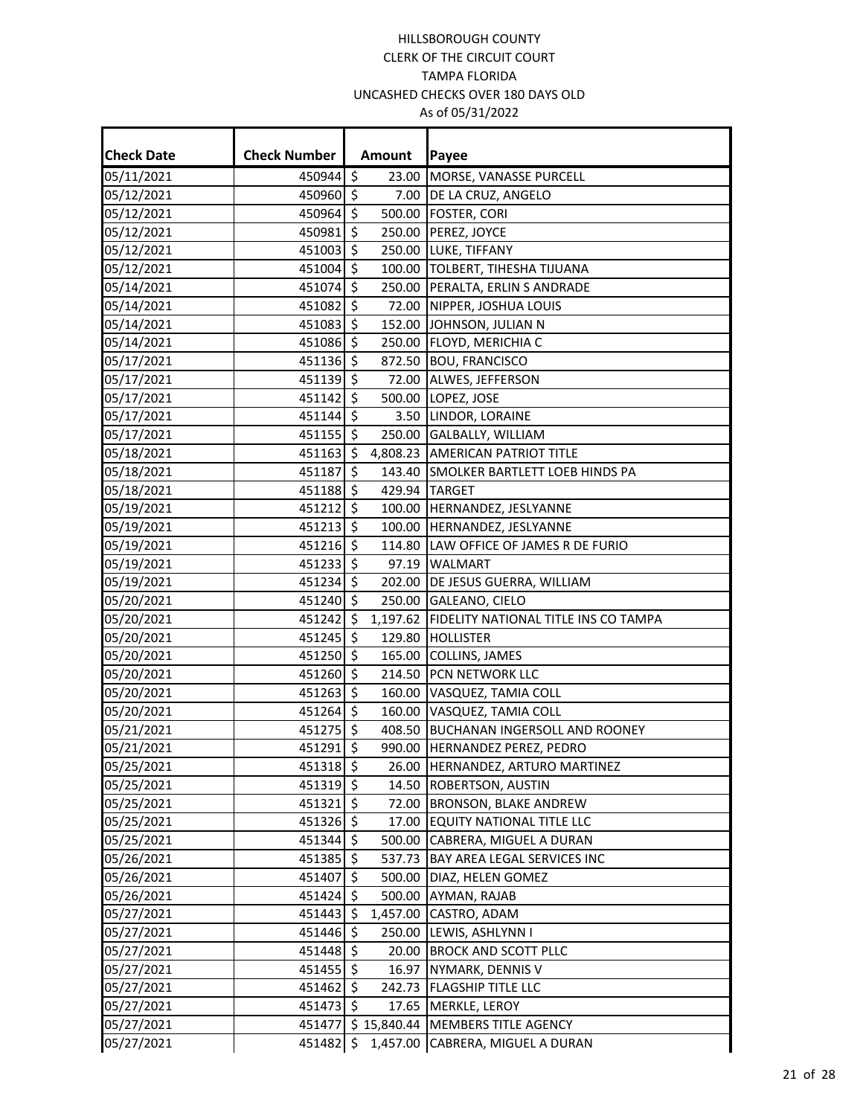| <b>Check Date</b> | <b>Check Number</b>           |                     | <b>Amount</b>      | Payee                                           |
|-------------------|-------------------------------|---------------------|--------------------|-------------------------------------------------|
| 05/11/2021        | 450944 \$                     |                     | 23.00              | MORSE, VANASSE PURCELL                          |
| 05/12/2021        | 450960 \$                     |                     | 7.00               | DE LA CRUZ, ANGELO                              |
| 05/12/2021        | 450964 \$                     |                     |                    | 500.00 FOSTER, CORI                             |
| 05/12/2021        | 450981 \$                     |                     |                    | 250.00 PEREZ, JOYCE                             |
| 05/12/2021        | 451003 \$                     |                     |                    | 250.00 LUKE, TIFFANY                            |
| 05/12/2021        | 451004 \$                     |                     |                    | 100.00 TOLBERT, TIHESHA TIJUANA                 |
| 05/14/2021        | 451074 \$                     |                     |                    | 250.00 PERALTA, ERLIN S ANDRADE                 |
| 05/14/2021        | 451082 \$                     |                     |                    | 72.00 NIPPER, JOSHUA LOUIS                      |
| 05/14/2021        | 451083 \$                     |                     |                    | 152.00 JOHNSON, JULIAN N                        |
| 05/14/2021        | 451086 \$                     |                     |                    | 250.00 FLOYD, MERICHIA C                        |
| 05/17/2021        | $451136$ \$                   |                     |                    | 872.50 BOU, FRANCISCO                           |
| 05/17/2021        | 451139 \$                     |                     |                    | 72.00 ALWES, JEFFERSON                          |
| 05/17/2021        | 451142 \$                     |                     |                    | 500.00 LOPEZ, JOSE                              |
| 05/17/2021        | 451144 \$                     |                     |                    | 3.50 LINDOR, LORAINE                            |
| 05/17/2021        | $451155$ \$                   |                     |                    | 250.00 GALBALLY, WILLIAM                        |
| 05/18/2021        | 451163 \$                     |                     |                    | 4,808.23 AMERICAN PATRIOT TITLE                 |
| 05/18/2021        | 451187                        | $\ddot{\mathsf{S}}$ |                    | 143.40 SMOLKER BARTLETT LOEB HINDS PA           |
| 05/18/2021        | 451188 \$                     |                     |                    | 429.94 TARGET                                   |
| 05/19/2021        | 451212 \$                     |                     |                    | 100.00 HERNANDEZ, JESLYANNE                     |
| 05/19/2021        | 451213 \$                     |                     |                    | 100.00 HERNANDEZ, JESLYANNE                     |
| 05/19/2021        | 451216 \$                     |                     |                    | 114.80 LAW OFFICE OF JAMES R DE FURIO           |
| 05/19/2021        | 451233 \$                     |                     |                    | 97.19 WALMART                                   |
| 05/19/2021        | 451234 \$                     |                     |                    | 202.00 DE JESUS GUERRA, WILLIAM                 |
| 05/20/2021        | 451240 \$                     |                     | 250.00             | GALEANO, CIELO                                  |
| 05/20/2021        | 451242 \$                     |                     |                    | 1,197.62   FIDELITY NATIONAL TITLE INS CO TAMPA |
| 05/20/2021        | 451245 \$                     |                     | 129.80             | <b>HOLLISTER</b>                                |
| 05/20/2021        | $451250 \overline{\smash{5}}$ |                     |                    | 165.00 COLLINS, JAMES                           |
| 05/20/2021        | 451260 \$                     |                     |                    | 214.50 PCN NETWORK LLC                          |
| 05/20/2021        | 451263 \$                     |                     |                    | 160.00 VASQUEZ, TAMIA COLL                      |
| 05/20/2021        | 451264 \$                     |                     | 160.00             | VASQUEZ, TAMIA COLL                             |
| 05/21/2021        | 451275 \$                     |                     | 408.50             | BUCHANAN INGERSOLL AND ROONEY                   |
| 05/21/2021        | 451291 \$                     |                     |                    | 990.00 HERNANDEZ PEREZ, PEDRO                   |
| 05/25/2021        | 451318 \$                     |                     |                    | 26.00 HERNANDEZ, ARTURO MARTINEZ                |
| 05/25/2021        | 451319 \$                     |                     |                    | 14.50 ROBERTSON, AUSTIN                         |
| 05/25/2021        | 451321 \$                     |                     |                    | 72.00 BRONSON, BLAKE ANDREW                     |
| 05/25/2021        | 451326 \$                     |                     |                    | 17.00 EQUITY NATIONAL TITLE LLC                 |
| 05/25/2021        | 451344 \$                     |                     |                    | 500.00 CABRERA, MIGUEL A DURAN                  |
| 05/26/2021        | 451385 \$                     |                     | 537.73             | BAY AREA LEGAL SERVICES INC                     |
| 05/26/2021        | 451407 \$                     |                     | 500.00             | DIAZ, HELEN GOMEZ                               |
| 05/26/2021        | 451424 \$                     |                     |                    | 500.00 AYMAN, RAJAB                             |
| 05/27/2021        | 451443 \$                     |                     | 1,457.00           | CASTRO, ADAM                                    |
| 05/27/2021        | 451446 \$                     |                     |                    | 250.00 LEWIS, ASHLYNN I                         |
| 05/27/2021        | 451448 \$                     |                     | 20.00              | <b>BROCK AND SCOTT PLLC</b>                     |
| 05/27/2021        | 451455 \$                     |                     | 16.97              | NYMARK, DENNIS V                                |
| 05/27/2021        | 451462 \$                     |                     | 242.73             | <b>FLAGSHIP TITLE LLC</b>                       |
| 05/27/2021        | 451473 \$                     |                     | 17.65              | MERKLE, LEROY                                   |
| 05/27/2021        |                               |                     | 451477 \$15,840.44 | MEMBERS TITLE AGENCY                            |
| 05/27/2021        | 451482 \$                     |                     | 1,457.00           | CABRERA, MIGUEL A DURAN                         |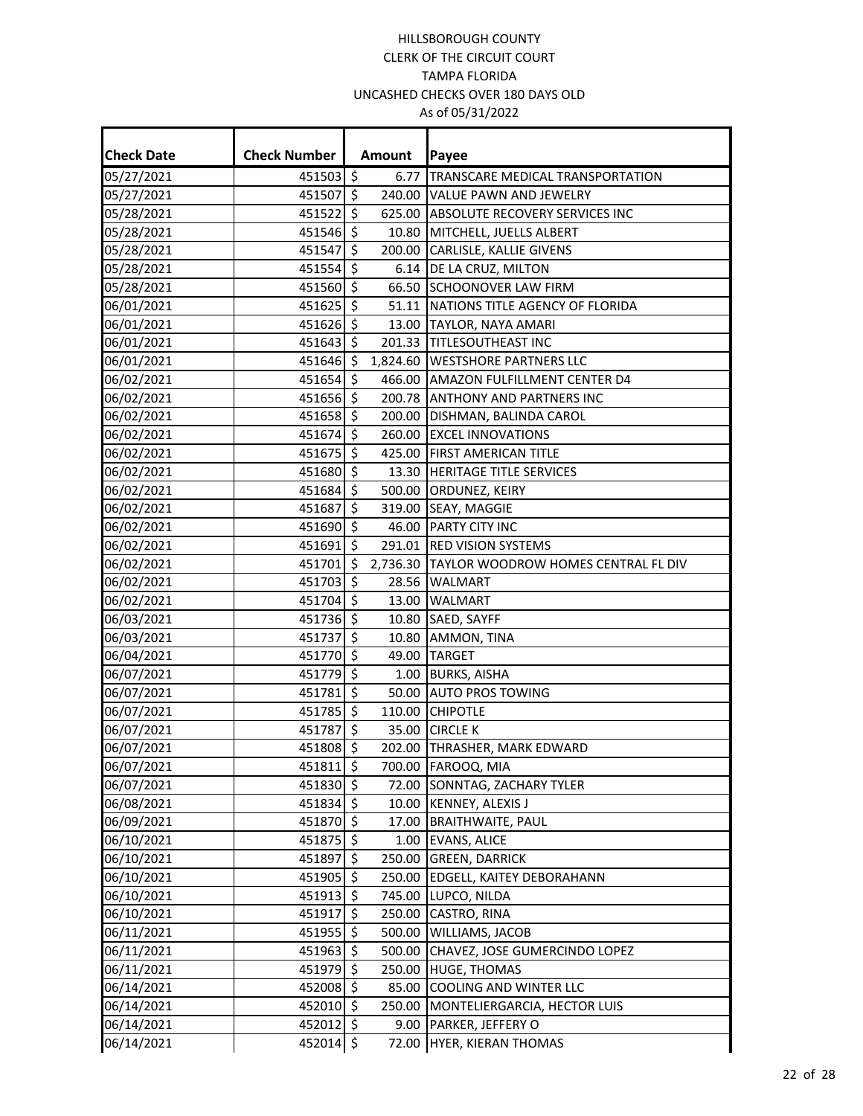| <b>Check Date</b> | <b>Check Number</b> |                     | <b>Amount</b> | Payee                                        |
|-------------------|---------------------|---------------------|---------------|----------------------------------------------|
| 05/27/2021        | 451503 \$           |                     | 6.77          | TRANSCARE MEDICAL TRANSPORTATION             |
| 05/27/2021        | 451507 \$           |                     |               | 240.00 VALUE PAWN AND JEWELRY                |
| 05/28/2021        | 451522 \$           |                     |               | 625.00 ABSOLUTE RECOVERY SERVICES INC        |
| 05/28/2021        | 451546 \$           |                     |               | 10.80 MITCHELL, JUELLS ALBERT                |
| 05/28/2021        | 451547              | \$                  |               | 200.00 CARLISLE, KALLIE GIVENS               |
| 05/28/2021        | 451554 \$           |                     |               | 6.14   DE LA CRUZ, MILTON                    |
| 05/28/2021        | 451560 \$           |                     |               | 66.50 SCHOONOVER LAW FIRM                    |
| 06/01/2021        | 451625 \$           |                     |               | 51.11 NATIONS TITLE AGENCY OF FLORIDA        |
| 06/01/2021        | 451626 \$           |                     |               | 13.00 TAYLOR, NAYA AMARI                     |
| 06/01/2021        | 451643 \$           |                     |               | 201.33 TITLESOUTHEAST INC                    |
| 06/01/2021        | 451646 \$           |                     |               | 1,824.60 WESTSHORE PARTNERS LLC              |
| 06/02/2021        | 451654 \$           |                     |               | 466.00 AMAZON FULFILLMENT CENTER D4          |
| 06/02/2021        | 451656 \$           |                     |               | 200.78 ANTHONY AND PARTNERS INC              |
| 06/02/2021        | 451658 \$           |                     |               | 200.00 DISHMAN, BALINDA CAROL                |
| 06/02/2021        | 451674 \$           |                     |               | 260.00 EXCEL INNOVATIONS                     |
| 06/02/2021        | 451675 \$           |                     |               | 425.00 FIRST AMERICAN TITLE                  |
| 06/02/2021        | 451680 \$           |                     |               | 13.30 HERITAGE TITLE SERVICES                |
| 06/02/2021        | 451684              | \$                  |               | 500.00 ORDUNEZ, KEIRY                        |
| 06/02/2021        | 451687              | \$                  |               | 319.00 SEAY, MAGGIE                          |
| 06/02/2021        | 451690 \$           |                     |               | 46.00 PARTY CITY INC                         |
| 06/02/2021        | 451691              | $\zeta$             |               | 291.01 RED VISION SYSTEMS                    |
| 06/02/2021        | 451701 \$           |                     |               | 2,736.30 TAYLOR WOODROW HOMES CENTRAL FL DIV |
| 06/02/2021        | 451703 \$           |                     |               | 28.56 WALMART                                |
| 06/02/2021        | 451704 \$           |                     |               | 13.00 WALMART                                |
| 06/03/2021        | 451736 \$           |                     |               | 10.80 SAED, SAYFF                            |
| 06/03/2021        | 451737 \$           |                     |               | 10.80 AMMON, TINA                            |
| 06/04/2021        | 451770              | \$                  | 49.00         | <b>TARGET</b>                                |
| 06/07/2021        | $451779$ \$         |                     |               | 1.00 BURKS, AISHA                            |
| 06/07/2021        | 451781              | $\ddot{\mathsf{S}}$ |               | 50.00 AUTO PROS TOWING                       |
| 06/07/2021        | 451785              | \$                  |               | 110.00 CHIPOTLE                              |
| 06/07/2021        | 451787 \$           |                     |               | 35.00 CIRCLE K                               |
| 06/07/2021        | 451808 \$           |                     |               | 202.00 THRASHER, MARK EDWARD                 |
| 06/07/2021        | 451811 \$           |                     |               | 700.00 FAROOQ, MIA                           |
| 06/07/2021        | 451830 \$           |                     |               | 72.00 SONNTAG, ZACHARY TYLER                 |
| 06/08/2021        | 451834 \$           |                     |               | 10.00 KENNEY, ALEXIS J                       |
| 06/09/2021        | 451870 \$           |                     |               | 17.00 BRAITHWAITE, PAUL                      |
| 06/10/2021        | 451875 \$           |                     |               | 1.00 EVANS, ALICE                            |
| 06/10/2021        | 451897 \$           |                     |               | 250.00 GREEN, DARRICK                        |
| 06/10/2021        | 451905 \$           |                     |               | 250.00 EDGELL, KAITEY DEBORAHANN             |
| 06/10/2021        | 451913 \$           |                     |               | 745.00 LUPCO, NILDA                          |
| 06/10/2021        | 451917 \$           |                     |               | 250.00 CASTRO, RINA                          |
| 06/11/2021        | 451955 \$           |                     |               | 500.00 WILLIAMS, JACOB                       |
| 06/11/2021        | 451963 \$           |                     | 500.00        | CHAVEZ, JOSE GUMERCINDO LOPEZ                |
| 06/11/2021        | 451979 \$           |                     | 250.00        | <b>HUGE, THOMAS</b>                          |
| 06/14/2021        | 452008 \$           |                     |               | 85.00 COOLING AND WINTER LLC                 |
| 06/14/2021        | 452010 \$           |                     |               | 250.00 MONTELIERGARCIA, HECTOR LUIS          |
| 06/14/2021        | 452012 \$           |                     |               | 9.00 PARKER, JEFFERY O                       |
| 06/14/2021        | 452014 \$           |                     |               | 72.00 HYER, KIERAN THOMAS                    |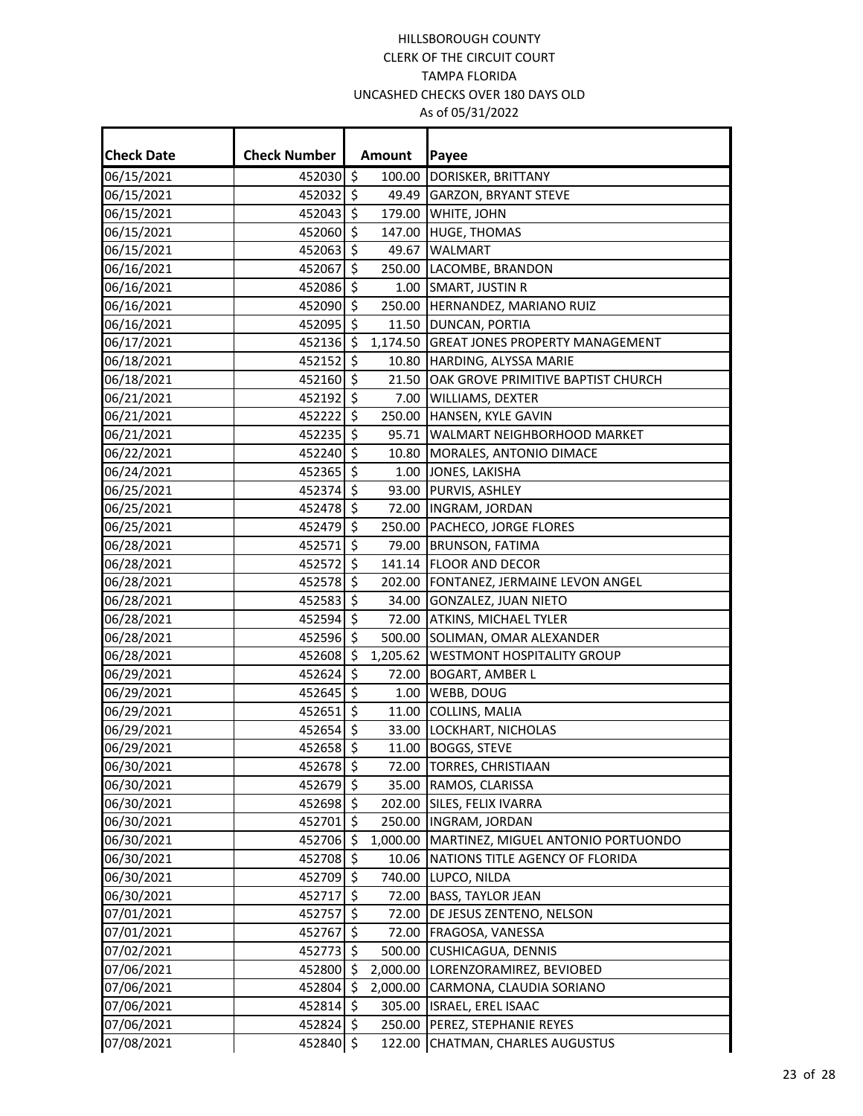| <b>Check Date</b> | <b>Check Number</b> |         | Amount   | Payee                                  |
|-------------------|---------------------|---------|----------|----------------------------------------|
| 06/15/2021        | 452030 \$           |         | 100.00   | DORISKER, BRITTANY                     |
| 06/15/2021        | 452032 \$           |         | 49.49    | <b>GARZON, BRYANT STEVE</b>            |
| 06/15/2021        | 452043 \$           |         |          | 179.00 WHITE, JOHN                     |
| 06/15/2021        | 452060 \$           |         | 147.00   | <b>HUGE, THOMAS</b>                    |
| 06/15/2021        | 452063              | $\zeta$ | 49.67    | <b>WALMART</b>                         |
| 06/16/2021        | 452067 \$           |         |          | 250.00 LACOMBE, BRANDON                |
| 06/16/2021        | 452086 \$           |         |          | 1.00 SMART, JUSTIN R                   |
| 06/16/2021        | 452090 \$           |         |          | 250.00 HERNANDEZ, MARIANO RUIZ         |
| 06/16/2021        | 452095 \$           |         | 11.50    | DUNCAN, PORTIA                         |
| 06/17/2021        | 452136 \$           |         | 1,174.50 | <b>GREAT JONES PROPERTY MANAGEMENT</b> |
| 06/18/2021        | $452152$ \$         |         | 10.80    | HARDING, ALYSSA MARIE                  |
| 06/18/2021        | 452160 \$           |         | 21.50    | OAK GROVE PRIMITIVE BAPTIST CHURCH     |
| 06/21/2021        | 452192 \$           |         | 7.00     | <b>WILLIAMS, DEXTER</b>                |
| 06/21/2021        | 452222 \$           |         |          | 250.00 HANSEN, KYLE GAVIN              |
| 06/21/2021        | 452235 \$           |         | 95.71    | <b>WALMART NEIGHBORHOOD MARKET</b>     |
| 06/22/2021        | 452240              | $\zeta$ |          | 10.80 MORALES, ANTONIO DIMACE          |
| 06/24/2021        | 452365 \$           |         |          | 1.00 JONES, LAKISHA                    |
| 06/25/2021        | 452374              | \$      |          | 93.00 PURVIS, ASHLEY                   |
| 06/25/2021        | 452478 \$           |         |          | 72.00  INGRAM, JORDAN                  |
| 06/25/2021        | 452479 \$           |         |          | 250.00 PACHECO, JORGE FLORES           |
| 06/28/2021        | 452571              | \$      |          | 79.00 BRUNSON, FATIMA                  |
| 06/28/2021        | 452572 \$           |         |          | 141.14 FLOOR AND DECOR                 |
| 06/28/2021        | 452578 \$           |         |          | 202.00 FONTANEZ, JERMAINE LEVON ANGEL  |
| 06/28/2021        | 452583              | \$      | 34.00    | GONZALEZ, JUAN NIETO                   |
| 06/28/2021        | 452594 \$           |         |          | 72.00 ATKINS, MICHAEL TYLER            |
| 06/28/2021        | 452596 \$           |         |          | 500.00 SOLIMAN, OMAR ALEXANDER         |
| 06/28/2021        | 452608              | \$      | 1,205.62 | <b>WESTMONT HOSPITALITY GROUP</b>      |
| 06/29/2021        | 452624 \$           |         | 72.00    | <b>BOGART, AMBER L</b>                 |
| 06/29/2021        | 452645 \$           |         | 1.00     | <b>WEBB, DOUG</b>                      |
| 06/29/2021        | 452651              | \$      | 11.00    | COLLINS, MALIA                         |
| 06/29/2021        | 452654 \$           |         |          | 33.00 LOCKHART, NICHOLAS               |
| 06/29/2021        | 452658 \$           |         |          | 11.00 BOGGS, STEVE                     |
| 06/30/2021        | 452678 \$           |         |          | 72.00 TORRES, CHRISTIAAN               |
| 06/30/2021        | 452679 \$           |         |          | 35.00 RAMOS, CLARISSA                  |
| 06/30/2021        | 452698 \$           |         | 202.00   | SILES, FELIX IVARRA                    |
| 06/30/2021        | 452701 \$           |         |          | 250.00  INGRAM, JORDAN                 |
| 06/30/2021        | 452706 \$           |         | 1,000.00 | MARTINEZ, MIGUEL ANTONIO PORTUONDO     |
| 06/30/2021        | 452708              | \$      | 10.06    | NATIONS TITLE AGENCY OF FLORIDA        |
| 06/30/2021        | 452709 \$           |         |          | 740.00 LUPCO, NILDA                    |
| 06/30/2021        | 452717              | \$      |          | 72.00 BASS, TAYLOR JEAN                |
| 07/01/2021        | 452757              | \$      | 72.00    | DE JESUS ZENTENO, NELSON               |
| 07/01/2021        | 452767 \$           |         | 72.00    | <b>FRAGOSA, VANESSA</b>                |
| 07/02/2021        | 452773              | \$      | 500.00   | <b>CUSHICAGUA, DENNIS</b>              |
| 07/06/2021        | 452800              | \$      | 2,000.00 | LORENZORAMIREZ, BEVIOBED               |
| 07/06/2021        | 452804 \$           |         | 2,000.00 | CARMONA, CLAUDIA SORIANO               |
| 07/06/2021        | 452814              | \$      | 305.00   | ISRAEL, EREL ISAAC                     |
| 07/06/2021        | 452824 \$           |         | 250.00   | PEREZ, STEPHANIE REYES                 |
| 07/08/2021        | 452840 \$           |         | 122.00   | CHATMAN, CHARLES AUGUSTUS              |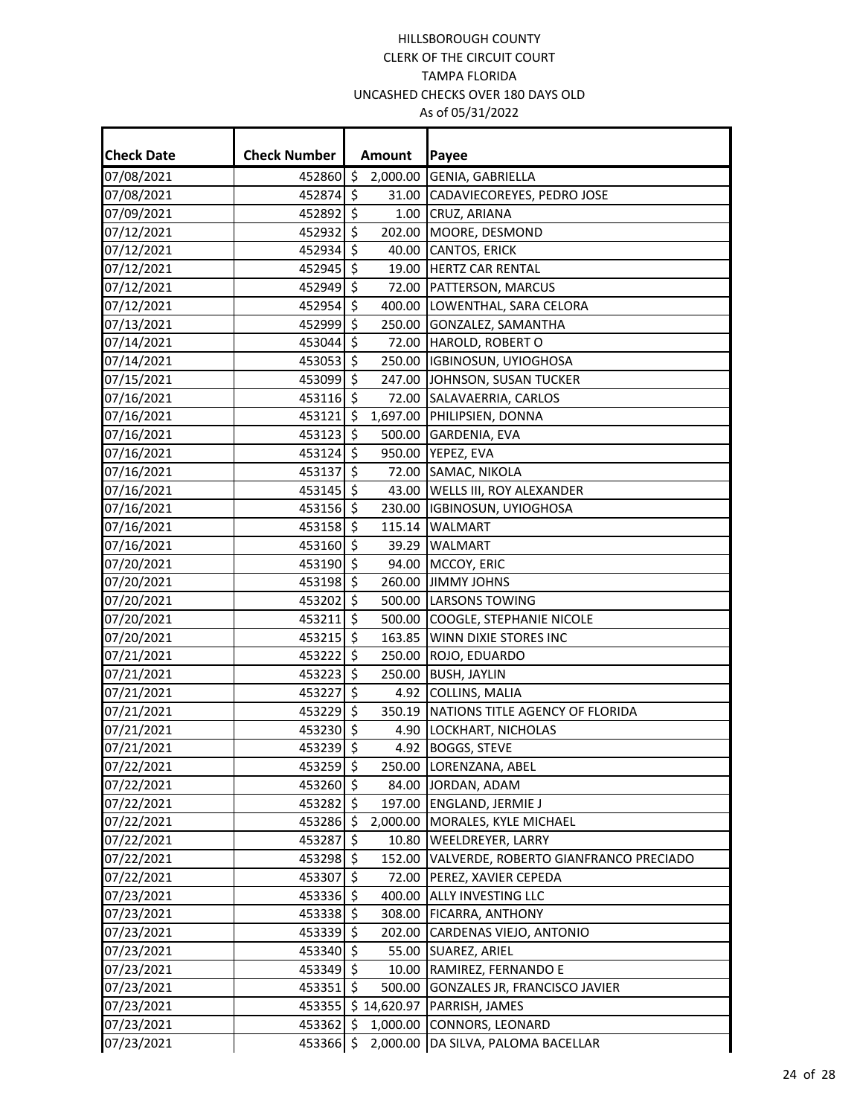| <b>Check Date</b> | <b>Check Number</b> |                     | Amount      | Payee                                  |
|-------------------|---------------------|---------------------|-------------|----------------------------------------|
| 07/08/2021        | 452860 \$           |                     |             | 2,000.00 GENIA, GABRIELLA              |
| 07/08/2021        | 452874 \$           |                     |             | 31.00 CADAVIECOREYES, PEDRO JOSE       |
| 07/09/2021        | 452892 \$           |                     |             | 1.00 CRUZ, ARIANA                      |
| 07/12/2021        | 452932 \$           |                     |             | 202.00 MOORE, DESMOND                  |
| 07/12/2021        | 452934 \$           |                     |             | 40.00 CANTOS, ERICK                    |
| 07/12/2021        | 452945 \$           |                     |             | 19.00 HERTZ CAR RENTAL                 |
| 07/12/2021        | 452949 \$           |                     |             | 72.00 PATTERSON, MARCUS                |
| 07/12/2021        | 452954 \$           |                     |             | 400.00 LOWENTHAL, SARA CELORA          |
| 07/13/2021        | 452999 \$           |                     |             | 250.00 GONZALEZ, SAMANTHA              |
| 07/14/2021        | 453044 \$           |                     |             | 72.00 HAROLD, ROBERT O                 |
| 07/14/2021        | 453053 \$           |                     |             | 250.00  IGBINOSUN, UYIOGHOSA           |
| 07/15/2021        | 453099 \$           |                     |             | 247.00 JOHNSON, SUSAN TUCKER           |
| 07/16/2021        | 453116 \$           |                     |             | 72.00 SALAVAERRIA, CARLOS              |
| 07/16/2021        | 453121 \$           |                     |             | 1,697.00 PHILIPSIEN, DONNA             |
| 07/16/2021        | 453123 \$           |                     |             | 500.00 GARDENIA, EVA                   |
| 07/16/2021        | 453124 \$           |                     |             | 950.00 YEPEZ, EVA                      |
| 07/16/2021        | 453137 \$           |                     |             | 72.00 SAMAC, NIKOLA                    |
| 07/16/2021        | 453145 \$           |                     |             | 43.00 WELLS III, ROY ALEXANDER         |
| 07/16/2021        | 453156 \$           |                     |             | 230.00  IGBINOSUN, UYIOGHOSA           |
| 07/16/2021        | 453158 \$           |                     |             | 115.14 WALMART                         |
| 07/16/2021        | 453160 \$           |                     |             | 39.29 WALMART                          |
| 07/20/2021        | 453190 \$           |                     |             | 94.00 MCCOY, ERIC                      |
| 07/20/2021        | 453198 \$           |                     |             | 260.00 JIMMY JOHNS                     |
| 07/20/2021        | 453202              | \$                  |             | 500.00 LARSONS TOWING                  |
| 07/20/2021        | $453211$ \$         |                     |             | 500.00 COOGLE, STEPHANIE NICOLE        |
| 07/20/2021        | $453215$ \$         |                     |             | 163.85 WINN DIXIE STORES INC           |
| 07/21/2021        | 453222              | \$                  |             | 250.00 ROJO, EDUARDO                   |
| 07/21/2021        | 453223 \$           |                     |             | 250.00 BUSH, JAYLIN                    |
| 07/21/2021        | 453227 \$           |                     |             | 4.92 COLLINS, MALIA                    |
| 07/21/2021        | 453229 \$           |                     |             | 350.19 NATIONS TITLE AGENCY OF FLORIDA |
| 07/21/2021        | 453230 \$           |                     |             | 4.90 LOCKHART, NICHOLAS                |
| 07/21/2021        | 453239 \$           |                     |             | 4.92 BOGGS, STEVE                      |
| 07/22/2021        | 453259 \$           |                     |             | 250.00 LORENZANA, ABEL                 |
| 07/22/2021        | 453260 \$           |                     |             | 84.00 JORDAN, ADAM                     |
| 07/22/2021        | 453282 \$           |                     |             | 197.00 ENGLAND, JERMIE J               |
| 07/22/2021        | 453286 \$           |                     |             | 2,000.00 MORALES, KYLE MICHAEL         |
| 07/22/2021        | 453287              | $\ddot{\mathsf{S}}$ |             | 10.80 WEELDREYER, LARRY                |
| 07/22/2021        | 453298 \$           |                     | 152.00      | VALVERDE, ROBERTO GIANFRANCO PRECIADO  |
| 07/22/2021        | 453307 \$           |                     | 72.00       | PEREZ, XAVIER CEPEDA                   |
| 07/23/2021        | 453336 \$           |                     |             | 400.00 ALLY INVESTING LLC              |
| 07/23/2021        | 453338 \$           |                     |             | 308.00 FICARRA, ANTHONY                |
| 07/23/2021        | 453339 \$           |                     |             | 202.00 CARDENAS VIEJO, ANTONIO         |
| 07/23/2021        | 453340 \$           |                     | 55.00       | SUAREZ, ARIEL                          |
| 07/23/2021        | 453349 \$           |                     | 10.00       | RAMIREZ, FERNANDO E                    |
| 07/23/2021        | 453351 \$           |                     | 500.00      | GONZALES JR, FRANCISCO JAVIER          |
| 07/23/2021        | 453355              |                     | \$14,620.97 | PARRISH, JAMES                         |
| 07/23/2021        | 453362 \$           |                     | 1,000.00    | CONNORS, LEONARD                       |
| 07/23/2021        | 453366 \$           |                     | 2,000.00    | DA SILVA, PALOMA BACELLAR              |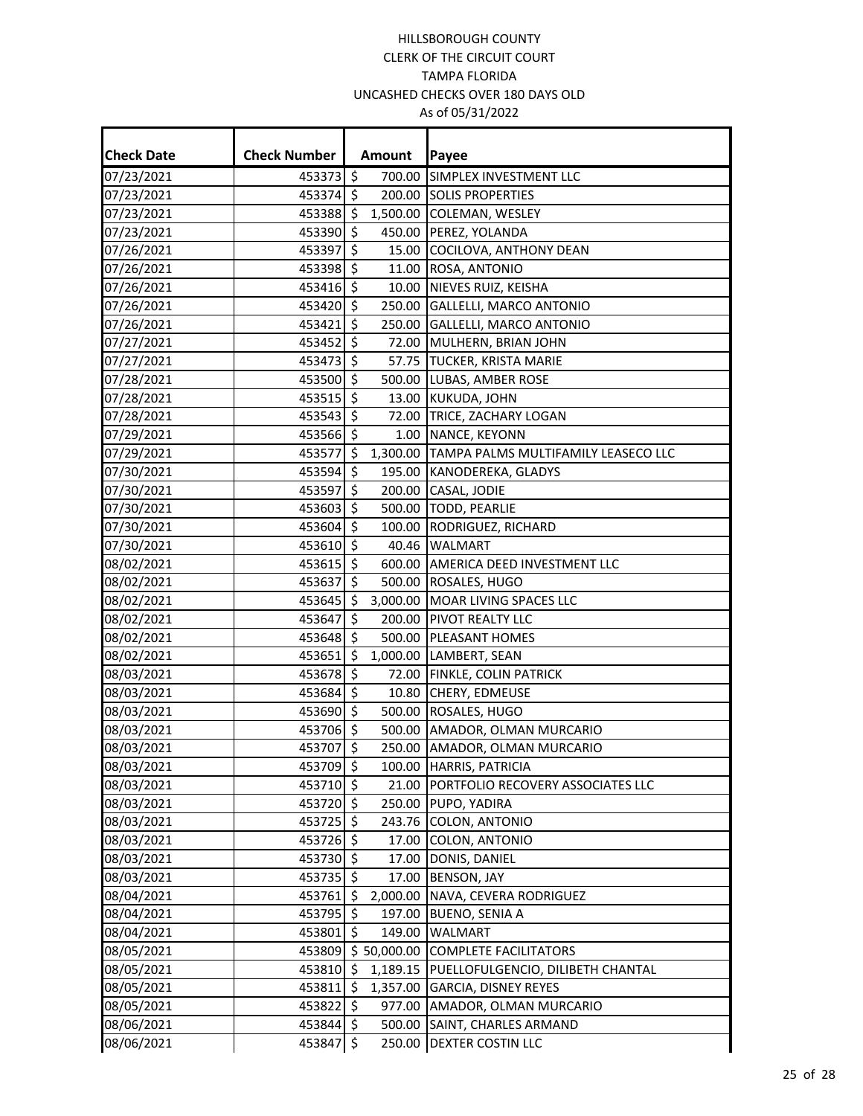| <b>Check Date</b> | <b>Check Number</b> |                     | Amount             | Payee                                        |
|-------------------|---------------------|---------------------|--------------------|----------------------------------------------|
| 07/23/2021        | 453373 \$           |                     | 700.00             | SIMPLEX INVESTMENT LLC                       |
| 07/23/2021        | 453374 \$           |                     |                    | 200.00 SOLIS PROPERTIES                      |
| 07/23/2021        | 453388 \$           |                     | 1,500.00           | COLEMAN, WESLEY                              |
| 07/23/2021        | 453390 \$           |                     | 450.00             | PEREZ, YOLANDA                               |
| 07/26/2021        | 453397              | \$                  | 15.00              | COCILOVA, ANTHONY DEAN                       |
| 07/26/2021        | 453398 \$           |                     | 11.00              | ROSA, ANTONIO                                |
| 07/26/2021        | 453416 \$           |                     | 10.00              | NIEVES RUIZ, KEISHA                          |
| 07/26/2021        | 453420 \$           |                     | 250.00             | <b>GALLELLI, MARCO ANTONIO</b>               |
| 07/26/2021        | 453421 \$           |                     | 250.00             | GALLELLI, MARCO ANTONIO                      |
| 07/27/2021        | 453452 \$           |                     | 72.00              | MULHERN, BRIAN JOHN                          |
| 07/27/2021        | 453473 \$           |                     |                    | 57.75 TUCKER, KRISTA MARIE                   |
| 07/28/2021        | 453500 \$           |                     |                    | 500.00 LUBAS, AMBER ROSE                     |
| 07/28/2021        | 453515 \$           |                     |                    | 13.00 KUKUDA, JOHN                           |
| 07/28/2021        | 453543 \$           |                     |                    | 72.00 TRICE, ZACHARY LOGAN                   |
| 07/29/2021        | 453566 \$           |                     |                    | 1.00 NANCE, KEYONN                           |
| 07/29/2021        | 453577              | \$                  |                    | 1,300.00 TAMPA PALMS MULTIFAMILY LEASECO LLC |
| 07/30/2021        | 453594 \$           |                     |                    | 195.00 KANODEREKA, GLADYS                    |
| 07/30/2021        | 453597 \$           |                     |                    | 200.00 CASAL, JODIE                          |
| 07/30/2021        | 453603              | \$                  | 500.00             | TODD, PEARLIE                                |
| 07/30/2021        | 453604 \$           |                     | 100.00             | RODRIGUEZ, RICHARD                           |
| 07/30/2021        | 453610 \$           |                     |                    | 40.46 WALMART                                |
| 08/02/2021        | 453615 \$           |                     | 600.00             | AMERICA DEED INVESTMENT LLC                  |
| 08/02/2021        | 453637 \$           |                     |                    | 500.00 ROSALES, HUGO                         |
| 08/02/2021        | 453645              | \$                  | 3,000.00           | MOAR LIVING SPACES LLC                       |
| 08/02/2021        | 453647              | \$                  | 200.00             | PIVOT REALTY LLC                             |
| 08/02/2021        | 453648 \$           |                     | 500.00             | PLEASANT HOMES                               |
| 08/02/2021        | 453651              | \$                  | 1,000.00           | LAMBERT, SEAN                                |
| 08/03/2021        | 453678 \$           |                     | 72.00              | FINKLE, COLIN PATRICK                        |
| 08/03/2021        | 453684 \$           |                     | 10.80              | CHERY, EDMEUSE                               |
| 08/03/2021        | 453690 \$           |                     | 500.00             | ROSALES, HUGO                                |
| 08/03/2021        | 453706 \$           |                     |                    | 500.00 AMADOR, OLMAN MURCARIO                |
| 08/03/2021        | 453707 \$           |                     |                    | 250.00 AMADOR, OLMAN MURCARIO                |
| 08/03/2021        | 453709 \$           |                     |                    | 100.00 HARRIS, PATRICIA                      |
| 08/03/2021        | 453710 \$           |                     |                    | 21.00 PORTFOLIO RECOVERY ASSOCIATES LLC      |
| 08/03/2021        | 453720 \$           |                     |                    | 250.00 PUPO, YADIRA                          |
| 08/03/2021        | 453725 \$           |                     |                    | 243.76 COLON, ANTONIO                        |
| 08/03/2021        | 453726 \$           |                     | 17.00              | COLON, ANTONIO                               |
| 08/03/2021        | 453730 \$           |                     | 17.00              | DONIS, DANIEL                                |
| 08/03/2021        | 453735 \$           |                     | 17.00              | <b>BENSON, JAY</b>                           |
| 08/04/2021        | 453761 \$           |                     | 2,000.00           | NAVA, CEVERA RODRIGUEZ                       |
| 08/04/2021        | 453795              | \$                  | 197.00             | <b>BUENO, SENIA A</b>                        |
| 08/04/2021        | 453801 \$           |                     | 149.00             | WALMART                                      |
| 08/05/2021        |                     |                     | 453809 \$50,000.00 | <b>COMPLETE FACILITATORS</b>                 |
| 08/05/2021        | 453810              | \$.                 | 1,189.15           | PUELLOFULGENCIO, DILIBETH CHANTAL            |
| 08/05/2021        | 453811 \$           |                     | 1,357.00           | GARCIA, DISNEY REYES                         |
| 08/05/2021        | 453822 \$           |                     |                    | 977.00 AMADOR, OLMAN MURCARIO                |
| 08/06/2021        | 453844 \$           |                     | 500.00             | SAINT, CHARLES ARMAND                        |
| 08/06/2021        | 453847              | $\ddot{\mathsf{S}}$ | 250.00             | <b>DEXTER COSTIN LLC</b>                     |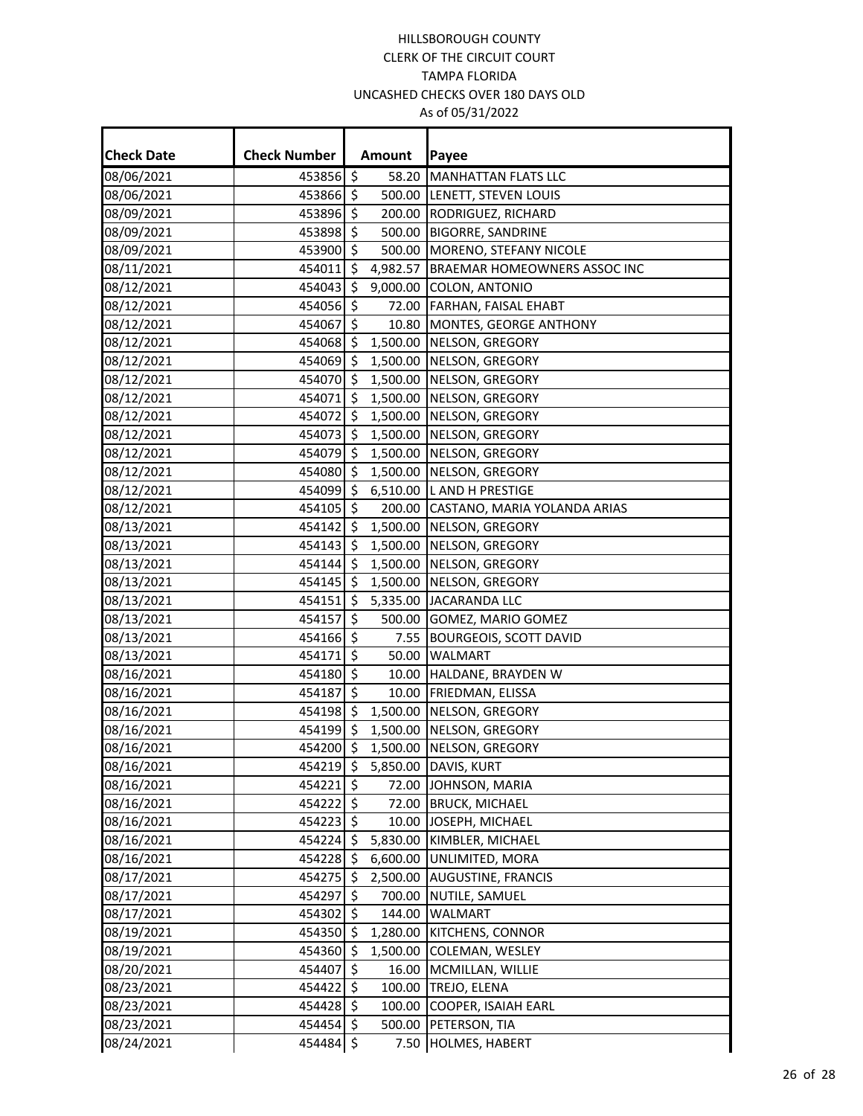| <b>Check Date</b> | <b>Check Number</b> |                     | Amount   | Payee                               |
|-------------------|---------------------|---------------------|----------|-------------------------------------|
| 08/06/2021        | 453856 \$           |                     | 58.20    | <b>MANHATTAN FLATS LLC</b>          |
| 08/06/2021        | 453866              | \$                  | 500.00   | LENETT, STEVEN LOUIS                |
| 08/09/2021        | 453896 \$           |                     | 200.00   | <b>RODRIGUEZ, RICHARD</b>           |
| 08/09/2021        | 453898              | $\zeta$             | 500.00   | <b>BIGORRE, SANDRINE</b>            |
| 08/09/2021        | 453900              | \$                  | 500.00   | MORENO, STEFANY NICOLE              |
| 08/11/2021        | 454011 \$           |                     | 4,982.57 | <b>BRAEMAR HOMEOWNERS ASSOC INC</b> |
| 08/12/2021        | 454043              | \$                  | 9,000.00 | COLON, ANTONIO                      |
| 08/12/2021        | 454056 \$           |                     | 72.00    | <b>FARHAN, FAISAL EHABT</b>         |
| 08/12/2021        | 454067              | $\zeta$             | 10.80    | MONTES, GEORGE ANTHONY              |
| 08/12/2021        | 454068              | $\zeta$             | 1,500.00 | NELSON, GREGORY                     |
| 08/12/2021        | 454069 \$           |                     | 1,500.00 | NELSON, GREGORY                     |
| 08/12/2021        | 454070              | $\ddot{\mathsf{S}}$ | 1,500.00 | NELSON, GREGORY                     |
| 08/12/2021        | 454071              | \$                  | 1,500.00 | NELSON, GREGORY                     |
| 08/12/2021        | 454072 \$           |                     | 1,500.00 | NELSON, GREGORY                     |
| 08/12/2021        | 454073 \$           |                     | 1,500.00 | NELSON, GREGORY                     |
| 08/12/2021        | 454079              | $\zeta$             | 1,500.00 | NELSON, GREGORY                     |
| 08/12/2021        | 454080 \$           |                     |          | 1,500.00 NELSON, GREGORY            |
| 08/12/2021        | 454099              | $\ddot{\mathsf{S}}$ |          | 6,510.00 L AND H PRESTIGE           |
| 08/12/2021        | 454105              | \$                  | 200.00   | CASTANO, MARIA YOLANDA ARIAS        |
| 08/13/2021        | 454142 \$           |                     | 1,500.00 | NELSON, GREGORY                     |
| 08/13/2021        | 454143              | $\zeta$             | 1,500.00 | NELSON, GREGORY                     |
| 08/13/2021        | 454144 \$           |                     | 1,500.00 | NELSON, GREGORY                     |
| 08/13/2021        | 454145 \$           |                     | 1,500.00 | NELSON, GREGORY                     |
| 08/13/2021        | 454151              | \$                  | 5,335.00 | JACARANDA LLC                       |
| 08/13/2021        | 454157              | \$                  | 500.00   | GOMEZ, MARIO GOMEZ                  |
| 08/13/2021        | 454166 \$           |                     | 7.55     | <b>BOURGEOIS, SCOTT DAVID</b>       |
| 08/13/2021        | 454171              | \$                  | 50.00    | <b>WALMART</b>                      |
| 08/16/2021        | 454180              | $\zeta$             | 10.00    | HALDANE, BRAYDEN W                  |
| 08/16/2021        | 454187              | $\zeta$             | 10.00    | FRIEDMAN, ELISSA                    |
| 08/16/2021        | 454198              | \$                  | 1,500.00 | NELSON, GREGORY                     |
| 08/16/2021        | 454199 \$           |                     |          | 1,500.00 NELSON, GREGORY            |
| 08/16/2021        | 454200              | $\zeta$             |          | 1,500.00 NELSON, GREGORY            |
| 08/16/2021        |                     |                     |          | 454219 \$ 5,850.00 DAVIS, KURT      |
| 08/16/2021        | 454221              | $\zeta$             |          | 72.00 JOHNSON, MARIA                |
| 08/16/2021        | 454222              | \$                  | 72.00    | <b>BRUCK, MICHAEL</b>               |
| 08/16/2021        | 454223 \$           |                     | 10.00    | JOSEPH, MICHAEL                     |
| 08/16/2021        | 454224              | $\ddot{\mathsf{S}}$ | 5,830.00 | KIMBLER, MICHAEL                    |
| 08/16/2021        | 454228              | \$                  | 6,600.00 | UNLIMITED, MORA                     |
| 08/17/2021        | 454275 \$           |                     | 2,500.00 | <b>AUGUSTINE, FRANCIS</b>           |
| 08/17/2021        | 454297              | \$                  | 700.00   | NUTILE, SAMUEL                      |
| 08/17/2021        | 454302              | \$                  | 144.00   | WALMART                             |
| 08/19/2021        | 454350 \$           |                     | 1,280.00 | <b>KITCHENS, CONNOR</b>             |
| 08/19/2021        | 454360              | \$                  | 1,500.00 | COLEMAN, WESLEY                     |
| 08/20/2021        | 454407              | \$                  | 16.00    | MCMILLAN, WILLIE                    |
| 08/23/2021        | 454422 \$           |                     | 100.00   | TREJO, ELENA                        |
| 08/23/2021        | 454428              | \$                  | 100.00   | COOPER, ISAIAH EARL                 |
| 08/23/2021        | 454454 \$           |                     | 500.00   | PETERSON, TIA                       |
| 08/24/2021        | 454484              | $\ddot{\mathsf{S}}$ | 7.50     | <b>HOLMES, HABERT</b>               |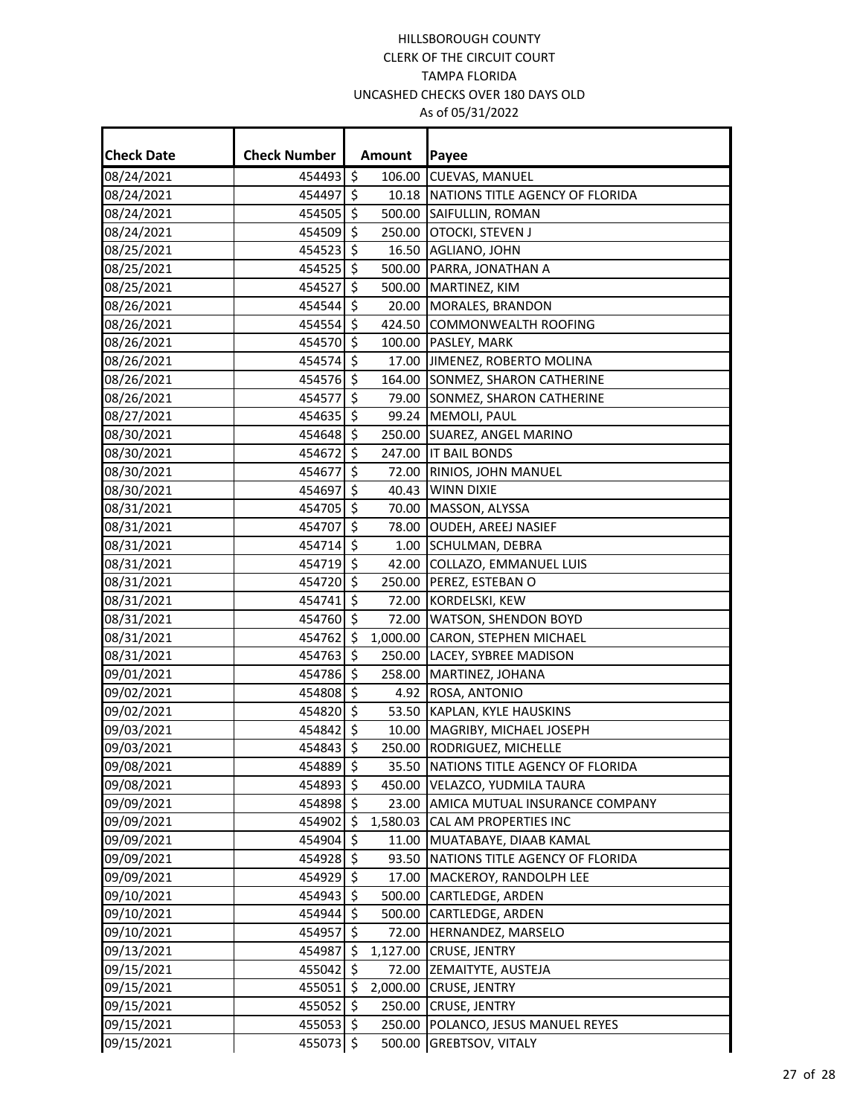| <b>Check Date</b> | <b>Check Number</b> |                          | Amount   | Payee                                 |
|-------------------|---------------------|--------------------------|----------|---------------------------------------|
| 08/24/2021        | 454493              | $\zeta$                  | 106.00   | <b>CUEVAS, MANUEL</b>                 |
| 08/24/2021        | 454497              | \$                       |          | 10.18 NATIONS TITLE AGENCY OF FLORIDA |
| 08/24/2021        | 454505 \$           |                          |          | 500.00 SAIFULLIN, ROMAN               |
| 08/24/2021        | 454509              | $\zeta$                  |          | 250.00 OTOCKI, STEVEN J               |
| 08/25/2021        | 454523              | \$                       | 16.50    | AGLIANO, JOHN                         |
| 08/25/2021        | 454525 \$           |                          |          | 500.00 PARRA, JONATHAN A              |
| 08/25/2021        | 454527              | \$                       | 500.00   | MARTINEZ, KIM                         |
| 08/26/2021        | 454544 \$           |                          | 20.00    | MORALES, BRANDON                      |
| 08/26/2021        | 454554 \$           |                          |          | 424.50 COMMONWEALTH ROOFING           |
| 08/26/2021        | 454570              | $\zeta$                  |          | 100.00 PASLEY, MARK                   |
| 08/26/2021        | 454574              | $\mathsf{\hat{S}}$       |          | 17.00 JIMENEZ, ROBERTO MOLINA         |
| 08/26/2021        | 454576 \$           |                          |          | 164.00 SONMEZ, SHARON CATHERINE       |
| 08/26/2021        | 454577              | \$                       |          | 79.00 SONMEZ, SHARON CATHERINE        |
| 08/27/2021        | 454635 \$           |                          |          | 99.24 MEMOLI, PAUL                    |
| 08/30/2021        | 454648              | $\zeta$                  |          | 250.00 SUAREZ, ANGEL MARINO           |
| 08/30/2021        | 454672              | \$                       | 247.00   | <b>IT BAIL BONDS</b>                  |
| 08/30/2021        | 454677              | $\overline{\mathcal{S}}$ | 72.00    | RINIOS, JOHN MANUEL                   |
| 08/30/2021        | 454697              | \$                       |          | 40.43 WINN DIXIE                      |
| 08/31/2021        | 454705              | \$                       | 70.00    | MASSON, ALYSSA                        |
| 08/31/2021        | 454707              | $\zeta$                  | 78.00    | <b>OUDEH, AREEJ NASIEF</b>            |
| 08/31/2021        | 454714              | $\zeta$                  | 1.00     | SCHULMAN, DEBRA                       |
| 08/31/2021        | 454719 \$           |                          |          | 42.00 COLLAZO, EMMANUEL LUIS          |
| 08/31/2021        | 454720              | $\zeta$                  | 250.00   | <b>PEREZ, ESTEBAN O</b>               |
| 08/31/2021        | 454741              | \$                       | 72.00    | KORDELSKI, KEW                        |
| 08/31/2021        | 454760 \$           |                          |          | 72.00 WATSON, SHENDON BOYD            |
| 08/31/2021        | 454762              | $\zeta$                  |          | 1,000.00 CARON, STEPHEN MICHAEL       |
| 08/31/2021        | 454763              | \$                       |          | 250.00 LACEY, SYBREE MADISON          |
| 09/01/2021        | 454786 \$           |                          |          | 258.00 MARTINEZ, JOHANA               |
| 09/02/2021        | 454808              | $\zeta$                  |          | 4.92 ROSA, ANTONIO                    |
| 09/02/2021        | 454820              | \$                       |          | 53.50 KAPLAN, KYLE HAUSKINS           |
| 09/03/2021        | 454842 \$           |                          |          | 10.00 MAGRIBY, MICHAEL JOSEPH         |
| 09/03/2021        | 454843              | $\zeta$                  |          | 250.00 RODRIGUEZ, MICHELLE            |
| 09/08/2021        | 454889 \$           |                          |          | 35.50 NATIONS TITLE AGENCY OF FLORIDA |
| 09/08/2021        | 454893 \$           |                          | 450.00   | VELAZCO, YUDMILA TAURA                |
| 09/09/2021        | 454898 \$           |                          | 23.00    | AMICA MUTUAL INSURANCE COMPANY        |
| 09/09/2021        | 454902 \$           |                          | 1,580.03 | CAL AM PROPERTIES INC                 |
| 09/09/2021        | 454904 \$           |                          | 11.00    | MUATABAYE, DIAAB KAMAL                |
| 09/09/2021        | 454928              | $\zeta$                  | 93.50    | NATIONS TITLE AGENCY OF FLORIDA       |
| 09/09/2021        | 454929 \$           |                          | 17.00    | MACKEROY, RANDOLPH LEE                |
| 09/10/2021        | 454943              | \$                       | 500.00   | CARTLEDGE, ARDEN                      |
| 09/10/2021        | 454944              | \$                       | 500.00   | CARTLEDGE, ARDEN                      |
| 09/10/2021        | 454957 \$           |                          |          | 72.00 HERNANDEZ, MARSELO              |
| 09/13/2021        | 454987              | \$                       | 1,127.00 | <b>CRUSE, JENTRY</b>                  |
| 09/15/2021        | 455042              | \$                       | 72.00    | ZEMAITYTE, AUSTEJA                    |
| 09/15/2021        | 455051 \$           |                          | 2,000.00 | <b>CRUSE, JENTRY</b>                  |
| 09/15/2021        | 455052              | \$                       | 250.00   | <b>CRUSE, JENTRY</b>                  |
| 09/15/2021        | 455053 \$           |                          | 250.00   | POLANCO, JESUS MANUEL REYES           |
| 09/15/2021        | 455073              | $\zeta$                  | 500.00   | <b>GREBTSOV, VITALY</b>               |